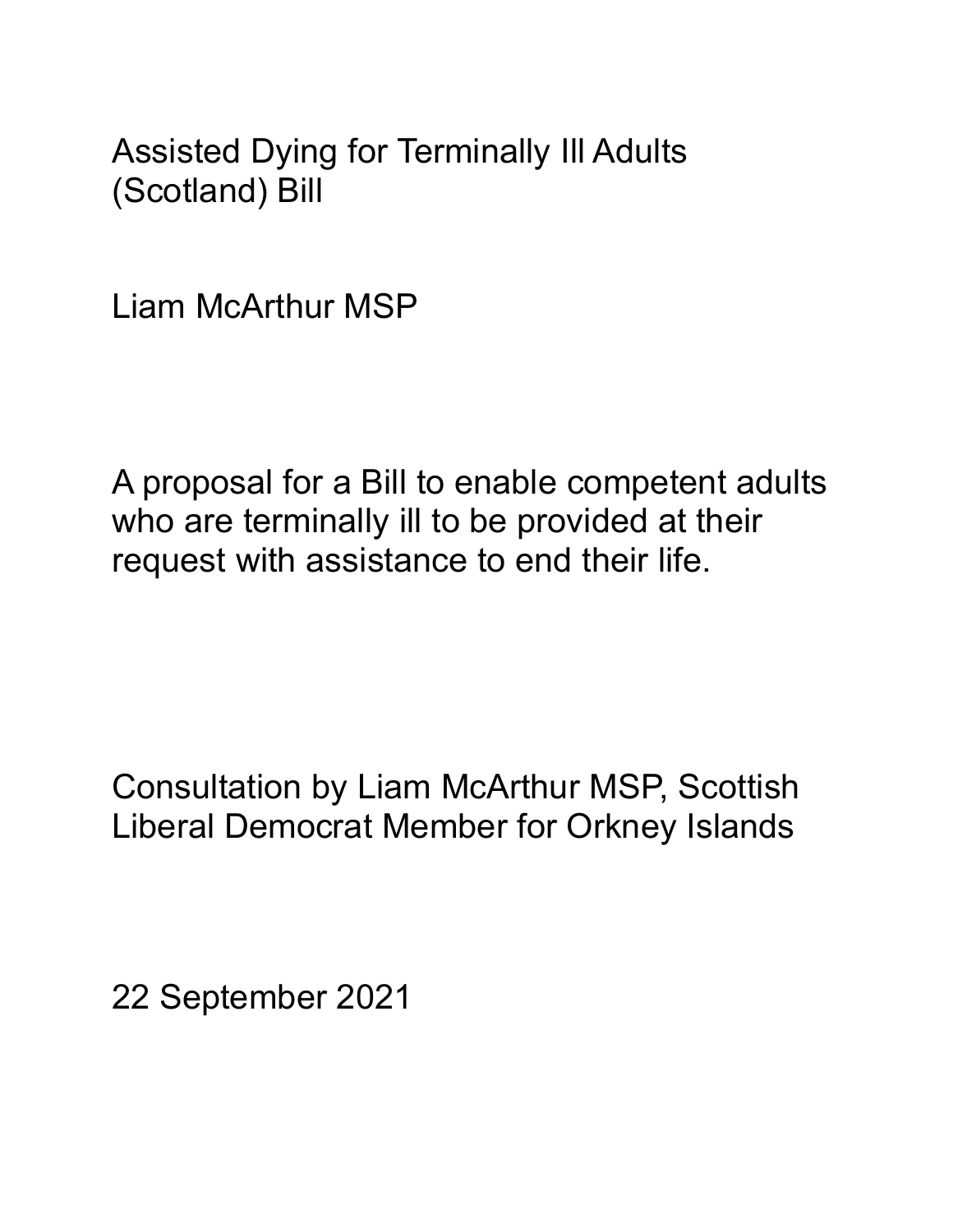Assisted Dying for Terminally Ill Adults (Scotland) Bill

Liam McArthur MSP

A proposal for a Bill to enable competent adults who are terminally ill to be provided at their request with assistance to end their life.

Consultation by Liam McArthur MSP, Scottish Liberal Democrat Member for Orkney Islands

22 September 2021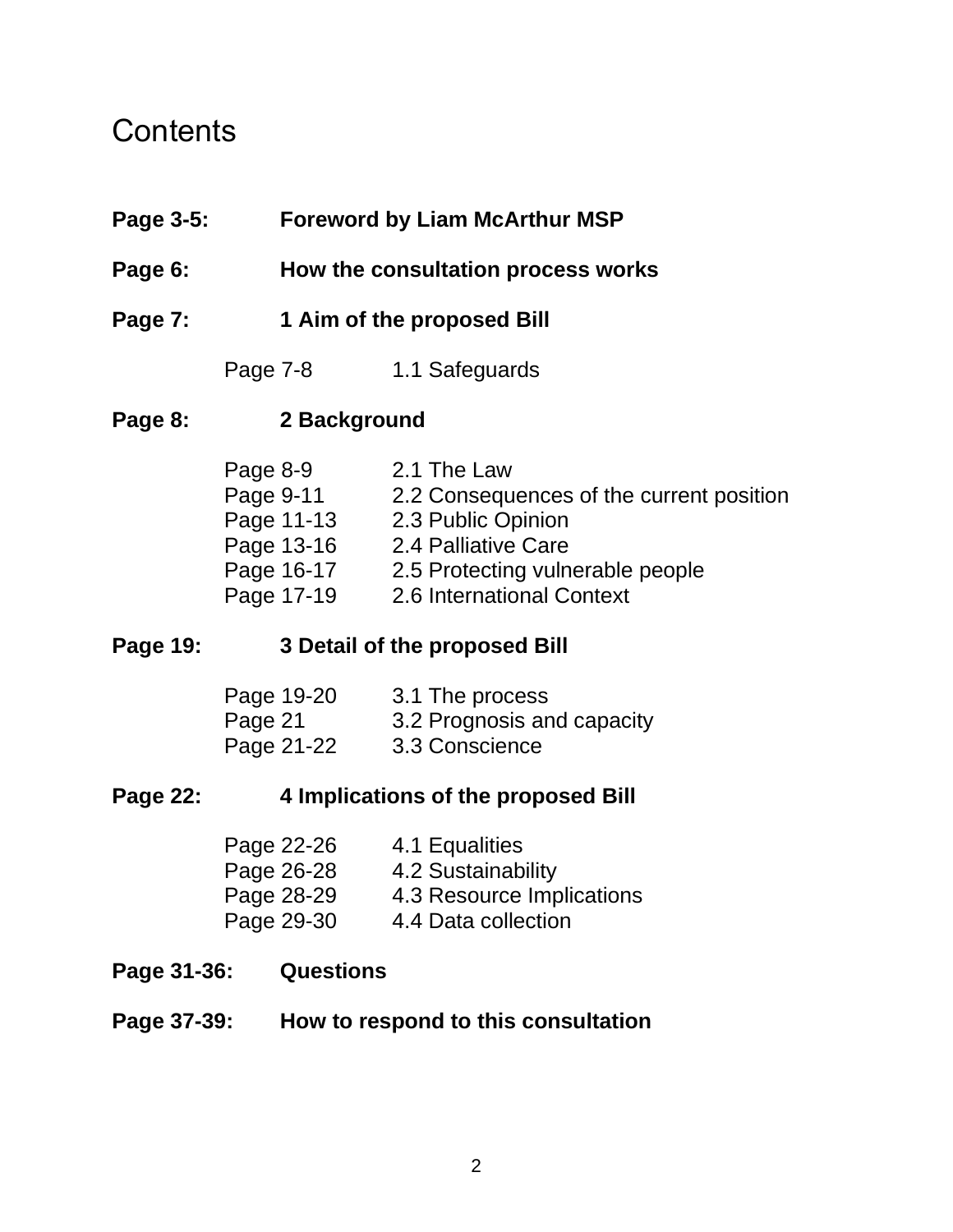## **Contents**

- **Page 3-5: Foreword by Liam McArthur MSP**
- **Page 6: How the consultation process works**
- **Page 7: 1 Aim of the proposed Bill**
	- Page 7-8 1.1 Safeguards

#### **Page 8: 2 Background**

| Page 8-9   | 2.1 The Law                              |
|------------|------------------------------------------|
| Page 9-11  | 2.2 Consequences of the current position |
| Page 11-13 | 2.3 Public Opinion                       |
| Page 13-16 | 2.4 Palliative Care                      |
| Page 16-17 | 2.5 Protecting vulnerable people         |
| Page 17-19 | 2.6 International Context                |

#### **Page 19: 3 Detail of the proposed Bill**

| Page 19-20 | 3.1 The process            |
|------------|----------------------------|
| Page 21    | 3.2 Prognosis and capacity |
| Page 21-22 | 3.3 Conscience             |

#### **Page 22: 4 Implications of the proposed Bill**

| Page 22-26 | 4.1 Equalities            |
|------------|---------------------------|
| Page 26-28 | 4.2 Sustainability        |
| Page 28-29 | 4.3 Resource Implications |
| Page 29-30 | 4.4 Data collection       |

- **Page 31-36: Questions**
- **Page 37-39: How to respond to this consultation**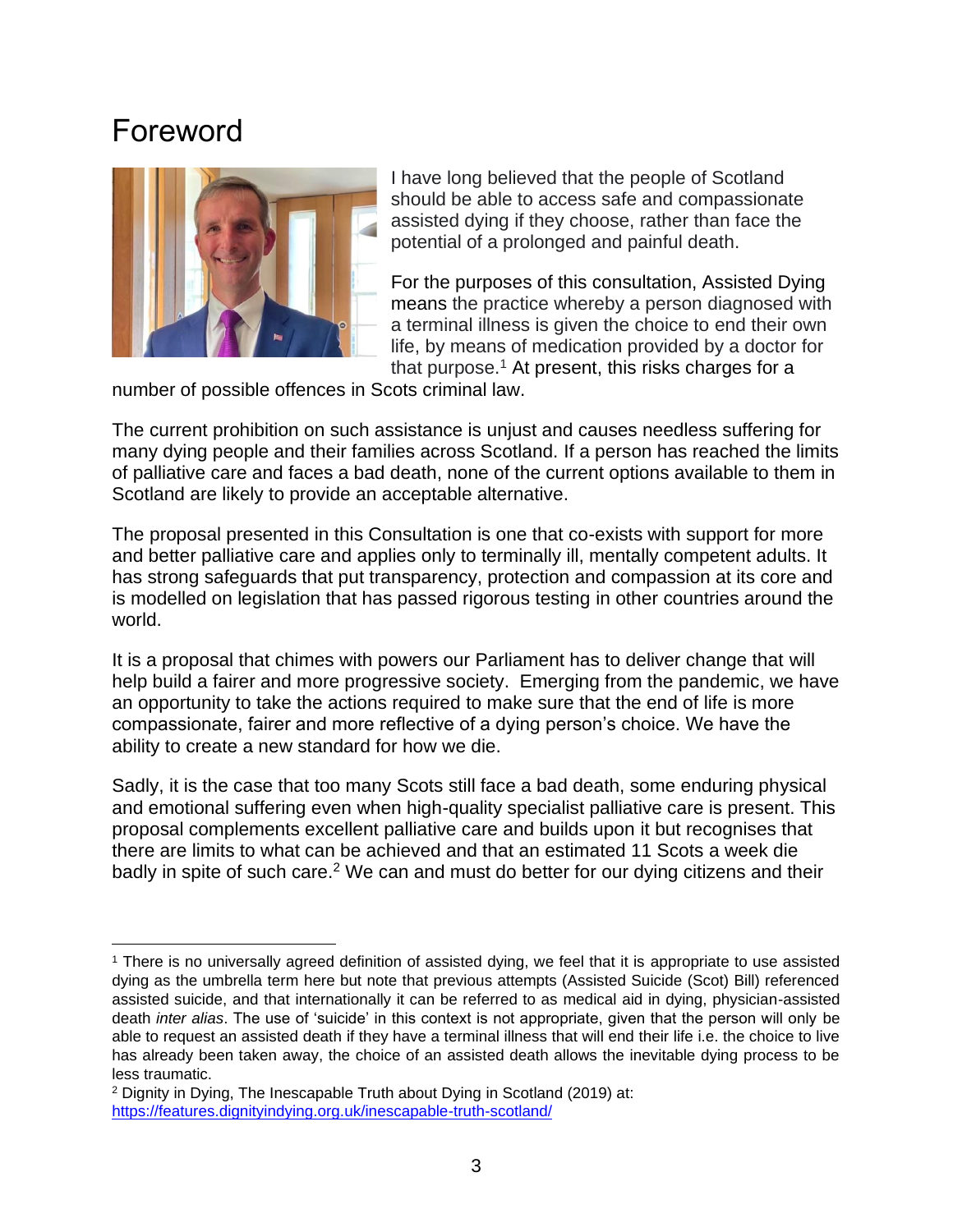## Foreword



I have long believed that the people of Scotland should be able to access safe and compassionate assisted dying if they choose, rather than face the potential of a prolonged and painful death.

For the purposes of this consultation, Assisted Dying means the practice whereby a person diagnosed with a terminal illness is given the choice to end their own life, by means of medication provided by a doctor for that purpose.<sup>1</sup> At present, this risks charges for a

number of possible offences in Scots criminal law.

The current prohibition on such assistance is unjust and causes needless suffering for many dying people and their families across Scotland. If a person has reached the limits of palliative care and faces a bad death, none of the current options available to them in Scotland are likely to provide an acceptable alternative.

The proposal presented in this Consultation is one that co-exists with support for more and better palliative care and applies only to terminally ill, mentally competent adults. It has strong safeguards that put transparency, protection and compassion at its core and is modelled on legislation that has passed rigorous testing in other countries around the world.

It is a proposal that chimes with powers our Parliament has to deliver change that will help build a fairer and more progressive society. Emerging from the pandemic, we have an opportunity to take the actions required to make sure that the end of life is more compassionate, fairer and more reflective of a dying person's choice. We have the ability to create a new standard for how we die.

Sadly, it is the case that too many Scots still face a bad death, some enduring physical and emotional suffering even when high-quality specialist palliative care is present. This proposal complements excellent palliative care and builds upon it but recognises that there are limits to what can be achieved and that an estimated 11 Scots a week die badly in spite of such care.<sup>2</sup> We can and must do better for our dying citizens and their

<sup>1</sup> There is no universally agreed definition of assisted dying, we feel that it is appropriate to use assisted dying as the umbrella term here but note that previous attempts (Assisted Suicide (Scot) Bill) referenced assisted suicide, and that internationally it can be referred to as medical aid in dying, physician-assisted death *inter alias*. The use of 'suicide' in this context is not appropriate, given that the person will only be able to request an assisted death if they have a terminal illness that will end their life i.e. the choice to live has already been taken away, the choice of an assisted death allows the inevitable dying process to be less traumatic.

<sup>2</sup> Dignity in Dying, The Inescapable Truth about Dying in Scotland (2019) at: <https://features.dignityindying.org.uk/inescapable-truth-scotland/>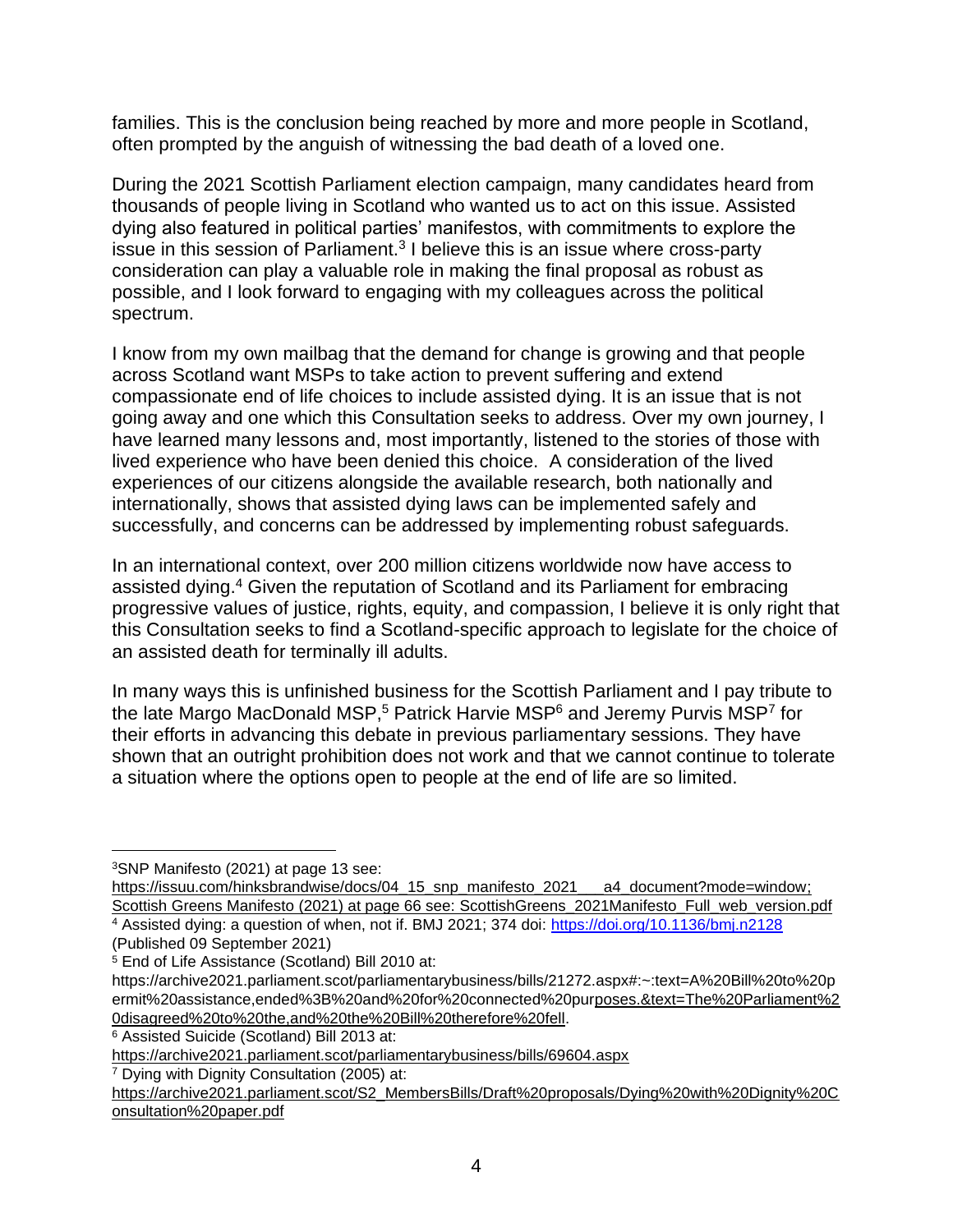families. This is the conclusion being reached by more and more people in Scotland, often prompted by the anguish of witnessing the bad death of a loved one.

During the 2021 Scottish Parliament election campaign, many candidates heard from thousands of people living in Scotland who wanted us to act on this issue. Assisted dying also featured in political parties' manifestos, with commitments to explore the issue in this session of Parliament.<sup>3</sup> I believe this is an issue where cross-party consideration can play a valuable role in making the final proposal as robust as possible, and I look forward to engaging with my colleagues across the political spectrum.

I know from my own mailbag that the demand for change is growing and that people across Scotland want MSPs to take action to prevent suffering and extend compassionate end of life choices to include assisted dying. It is an issue that is not going away and one which this Consultation seeks to address. Over my own journey, I have learned many lessons and, most importantly, listened to the stories of those with lived experience who have been denied this choice. A consideration of the lived experiences of our citizens alongside the available research, both nationally and internationally, shows that assisted dying laws can be implemented safely and successfully, and concerns can be addressed by implementing robust safeguards.

In an international context, over 200 million citizens worldwide now have access to assisted dying.<sup>4</sup> Given the reputation of Scotland and its Parliament for embracing progressive values of justice, rights, equity, and compassion, I believe it is only right that this Consultation seeks to find a Scotland-specific approach to legislate for the choice of an assisted death for terminally ill adults.

In many ways this is unfinished business for the Scottish Parliament and I pay tribute to the late Margo MacDonald MSP,<sup>5</sup> Patrick Harvie MSP<sup>6</sup> and Jeremy Purvis MSP<sup>7</sup> for their efforts in advancing this debate in previous parliamentary sessions. They have shown that an outright prohibition does not work and that we cannot continue to tolerate a situation where the options open to people at the end of life are so limited.

[https://issuu.com/hinksbrandwise/docs/04\\_15\\_snp\\_manifesto\\_2021\\_\\_\\_a4\\_document?mode=window;](https://issuu.com/hinksbrandwise/docs/04_15_snp_manifesto_2021___a4_document?mode=window) Scottish Greens Manifesto (2021) at page 66 see: [ScottishGreens\\_2021Manifesto\\_Full\\_web\\_version.pdf](https://greens.scot/sites/default/files/ScottishGreens_2021Manifesto_Full_web_version.pdf) <sup>4</sup> Assisted dying: a question of when, not if. BMJ 2021; 374 doi:<https://doi.org/10.1136/bmj.n2128>

<sup>7</sup> Dying with Dignity Consultation (2005) at:

<sup>3</sup>SNP Manifesto (2021) at page 13 see:

<sup>(</sup>Published 09 September 2021)

<sup>5</sup> End of Life Assistance (Scotland) Bill 2010 at:

https://archive2021.parliament.scot/parliamentarybusiness/bills/21272.aspx#:~:text=A%20Bill%20to%20p ermit%20assistance,ended%3B%20and%20for%20connected%20pu[rposes.&text=The%20Parliament%2](file:///D:/Users/AJWard/Downloads/poses.&text=The%20Parliament%20disagreed%20to%20the,and%20the%20Bill%20therefore%20fell) [0disagreed%20to%20the,and%20the%20Bill%20therefore%20fell.](file:///D:/Users/AJWard/Downloads/poses.&text=The%20Parliament%20disagreed%20to%20the,and%20the%20Bill%20therefore%20fell)

<sup>6</sup> Assisted Suicide (Scotland) Bill 2013 at:

<https://archive2021.parliament.scot/parliamentarybusiness/bills/69604.aspx>

[https://archive2021.parliament.scot/S2\\_MembersBills/Draft%20proposals/Dying%20with%20Dignity%20C](https://archive2021.parliament.scot/S2_MembersBills/Draft%20proposals/Dying%20with%20Dignity%20Consultation%20paper.pdf) [onsultation%20paper.pdf](https://archive2021.parliament.scot/S2_MembersBills/Draft%20proposals/Dying%20with%20Dignity%20Consultation%20paper.pdf)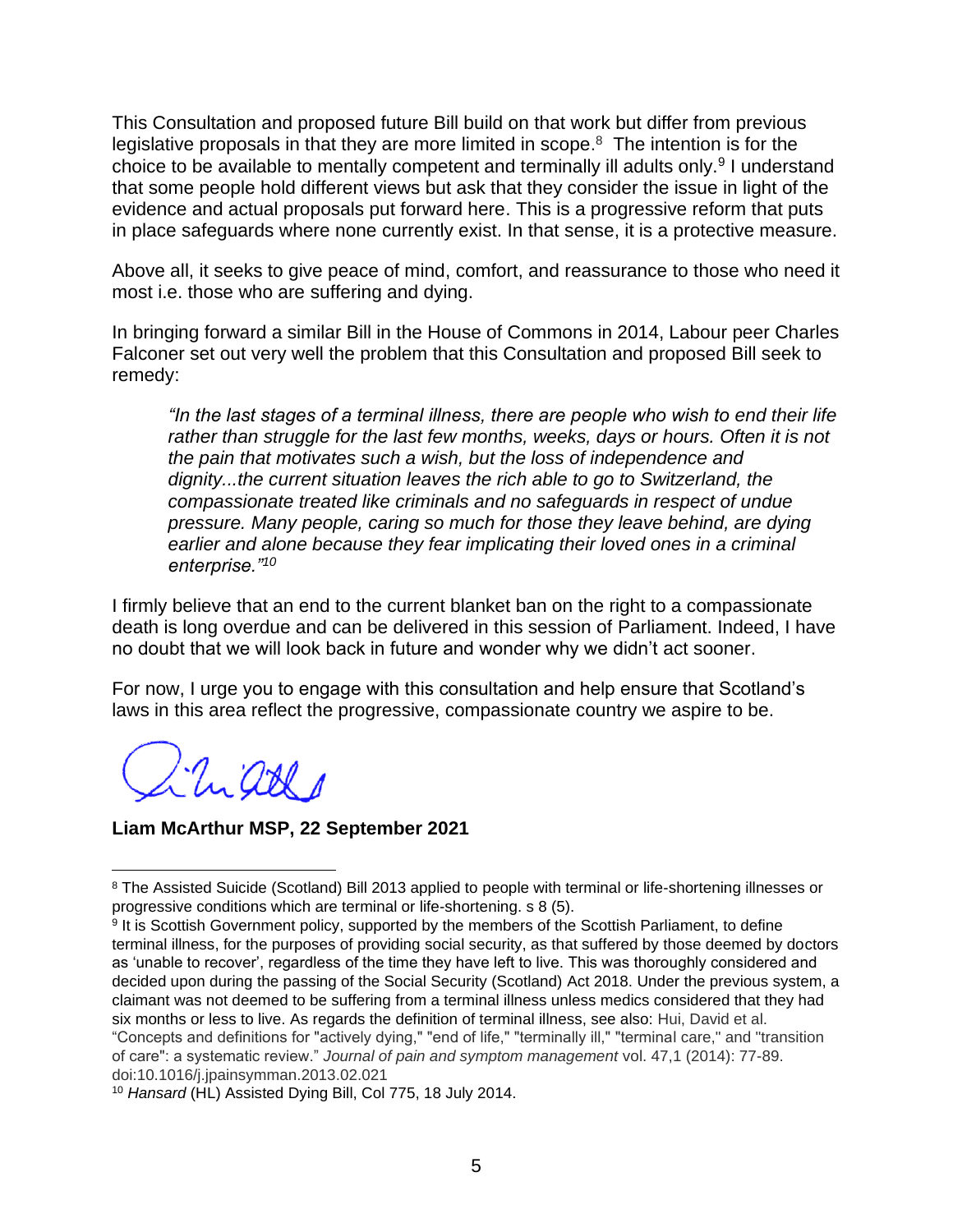This Consultation and proposed future Bill build on that work but differ from previous legislative proposals in that they are more limited in scope. $8$  The intention is for the choice to be available to mentally competent and terminally ill adults only.<sup>9</sup> I understand that some people hold different views but ask that they consider the issue in light of the evidence and actual proposals put forward here. This is a progressive reform that puts in place safeguards where none currently exist. In that sense, it is a protective measure.

Above all, it seeks to give peace of mind, comfort, and reassurance to those who need it most i.e. those who are suffering and dying.

In bringing forward a similar Bill in the House of Commons in 2014, Labour peer Charles Falconer set out very well the problem that this Consultation and proposed Bill seek to remedy:

*"In the last stages of a terminal illness, there are people who wish to end their life*  rather than struggle for the last few months, weeks, days or hours. Often it is not *the pain that motivates such a wish, but the loss of independence and dignity...the current situation leaves the rich able to go to Switzerland, the compassionate treated like criminals and no safeguards in respect of undue pressure. Many people, caring so much for those they leave behind, are dying earlier and alone because they fear implicating their loved ones in a criminal enterprise."<sup>10</sup>*

I firmly believe that an end to the current blanket ban on the right to a compassionate death is long overdue and can be delivered in this session of Parliament. Indeed, I have no doubt that we will look back in future and wonder why we didn't act sooner.

For now, I urge you to engage with this consultation and help ensure that Scotland's laws in this area reflect the progressive, compassionate country we aspire to be.

Uniard

**Liam McArthur MSP, 22 September 2021**

<sup>&</sup>lt;sup>8</sup> The Assisted Suicide (Scotland) Bill 2013 applied to people with terminal or life-shortening illnesses or progressive conditions which are terminal or life-shortening. s 8 (5).

<sup>&</sup>lt;sup>9</sup> It is Scottish Government policy, supported by the members of the Scottish Parliament, to define terminal illness, for the purposes of providing social security, as that suffered by those deemed by doctors as 'unable to recover', regardless of the time they have left to live. This was thoroughly considered and decided upon during the passing of the Social Security (Scotland) Act 2018. Under the previous system, a claimant was not deemed to be suffering from a terminal illness unless medics considered that they had six months or less to live. As regards the definition of terminal illness, see also: Hui, David et al. "Concepts and definitions for "actively dying," "end of life," "terminally ill," "terminal care," and "transition of care": a systematic review." *Journal of pain and symptom management* vol. 47,1 (2014): 77-89. doi:10.1016/j.jpainsymman.2013.02.021

<sup>10</sup> *Hansard* (HL) Assisted Dying Bill, Col 775, 18 July 2014.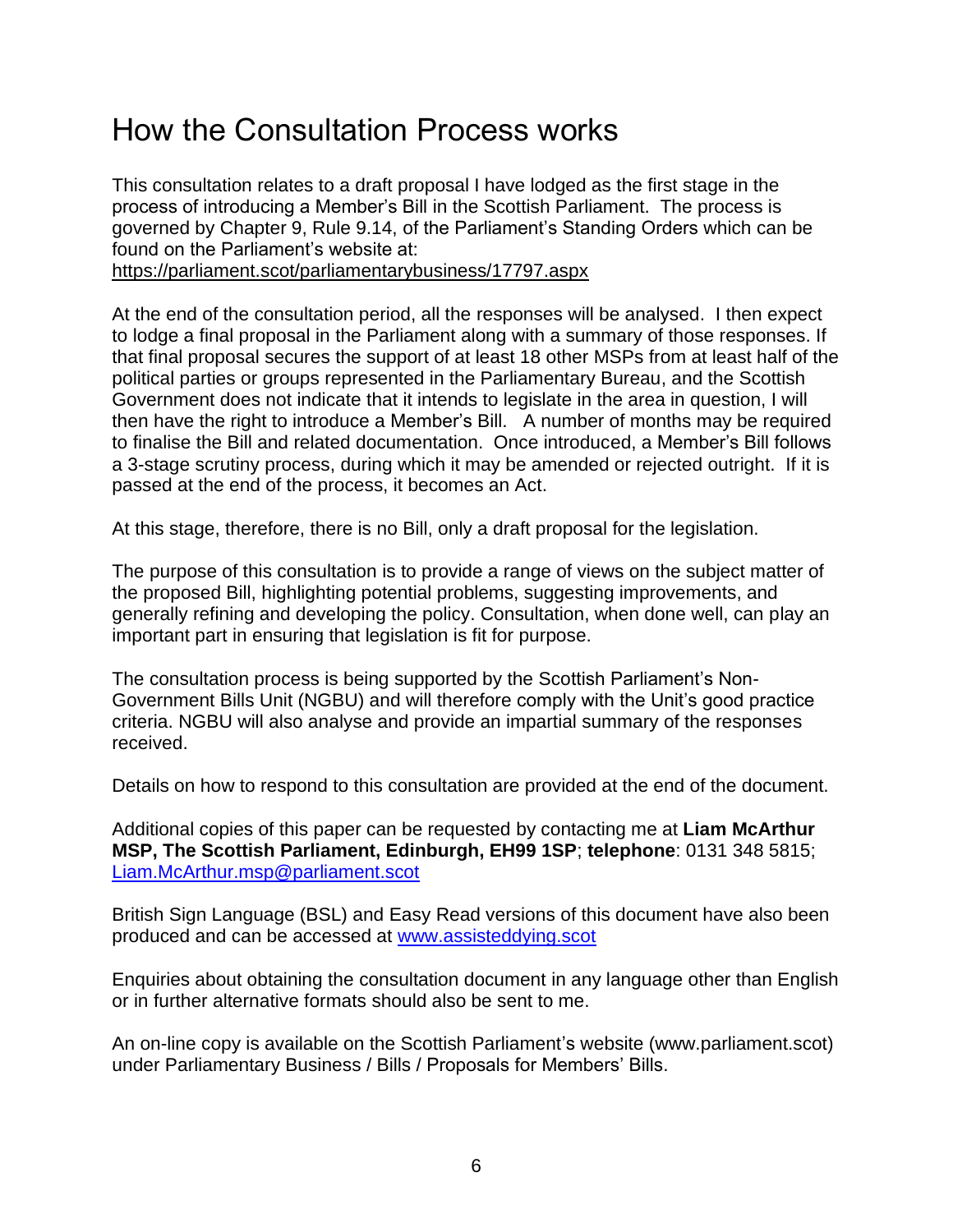## How the Consultation Process works

This consultation relates to a draft proposal I have lodged as the first stage in the process of introducing a Member's Bill in the Scottish Parliament. The process is governed by Chapter 9, Rule 9.14, of the Parliament's Standing Orders which can be found on the Parliament's website at:

<https://parliament.scot/parliamentarybusiness/17797.aspx>

At the end of the consultation period, all the responses will be analysed. I then expect to lodge a final proposal in the Parliament along with a summary of those responses. If that final proposal secures the support of at least 18 other MSPs from at least half of the political parties or groups represented in the Parliamentary Bureau, and the Scottish Government does not indicate that it intends to legislate in the area in question, I will then have the right to introduce a Member's Bill. A number of months may be required to finalise the Bill and related documentation. Once introduced, a Member's Bill follows a 3-stage scrutiny process, during which it may be amended or rejected outright. If it is passed at the end of the process, it becomes an Act.

At this stage, therefore, there is no Bill, only a draft proposal for the legislation.

The purpose of this consultation is to provide a range of views on the subject matter of the proposed Bill, highlighting potential problems, suggesting improvements, and generally refining and developing the policy. Consultation, when done well, can play an important part in ensuring that legislation is fit for purpose.

The consultation process is being supported by the Scottish Parliament's Non-Government Bills Unit (NGBU) and will therefore comply with the Unit's good practice criteria. NGBU will also analyse and provide an impartial summary of the responses received.

Details on how to respond to this consultation are provided at the end of the document.

Additional copies of this paper can be requested by contacting me at **Liam McArthur MSP, The Scottish Parliament, Edinburgh, EH99 1SP**; **telephone**: 0131 348 5815; [Liam.McArthur.msp@parliament.scot](mailto:Liam.McArthur.msp@parliament.scot) 

British Sign Language (BSL) and Easy Read versions of this document have also been produced and can be accessed at [www.assisteddying.scot](http://www.assisteddying.scot/)

Enquiries about obtaining the consultation document in any language other than English or in further alternative formats should also be sent to me.

An on-line copy is available on the Scottish Parliament's website (www.parliament.scot) under Parliamentary Business / Bills / Proposals for Members' Bills.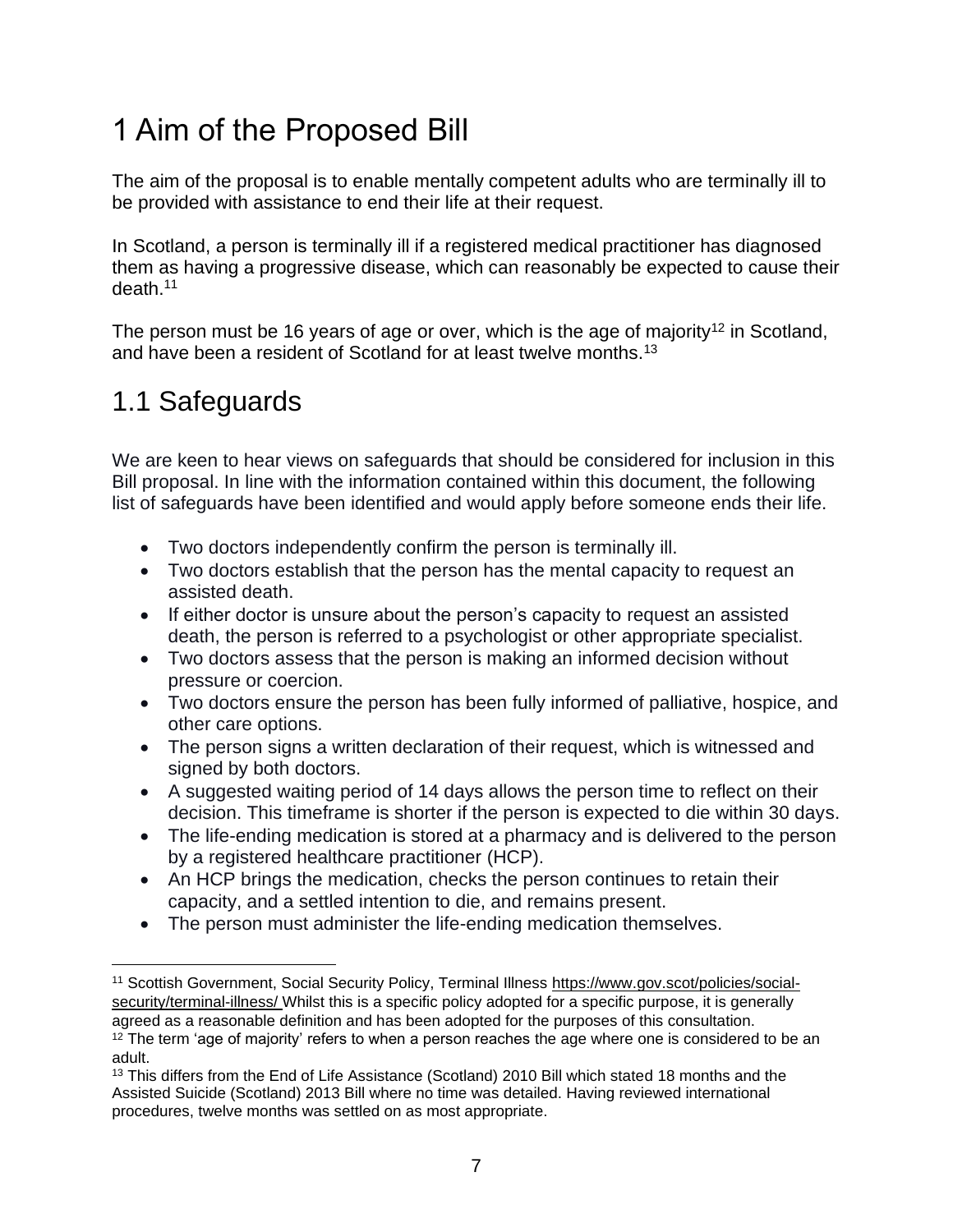# 1 Aim of the Proposed Bill

The aim of the proposal is to enable mentally competent adults who are terminally ill to be provided with assistance to end their life at their request.

In Scotland, a person is terminally ill if a registered medical practitioner has diagnosed them as having a progressive disease, which can reasonably be expected to cause their death.<sup>11</sup>

The person must be 16 years of age or over, which is the age of majority<sup>12</sup> in Scotland, and have been a resident of Scotland for at least twelve months.<sup>13</sup>

## 1.1 Safeguards

We are keen to hear views on safeguards that should be considered for inclusion in this Bill proposal. In line with the information contained within this document, the following list of safeguards have been identified and would apply before someone ends their life.

- Two doctors independently confirm the person is terminally ill.
- Two doctors establish that the person has the mental capacity to request an assisted death.
- If either doctor is unsure about the person's capacity to request an assisted death, the person is referred to a psychologist or other appropriate specialist.
- Two doctors assess that the person is making an informed decision without pressure or coercion.
- Two doctors ensure the person has been fully informed of palliative, hospice, and other care options.
- The person signs a written declaration of their request, which is witnessed and signed by both doctors.
- A suggested waiting period of 14 days allows the person time to reflect on their decision. This timeframe is shorter if the person is expected to die within 30 days.
- The life-ending medication is stored at a pharmacy and is delivered to the person by a registered healthcare practitioner (HCP).
- An HCP brings the medication, checks the person continues to retain their capacity, and a settled intention to die, and remains present.
- The person must administer the life-ending medication themselves.

<sup>11</sup> Scottish Government, Social Security Policy, Terminal Illness [https://www.gov.scot/policies/social](https://www.gov.scot/policies/social-security/terminal-illness/)[security/terminal-illness/](https://www.gov.scot/policies/social-security/terminal-illness/) Whilst this is a specific policy adopted for a specific purpose, it is generally agreed as a reasonable definition and has been adopted for the purposes of this consultation.

 $12$  The term 'age of majority' refers to when a person reaches the age where one is considered to be an adult.

<sup>&</sup>lt;sup>13</sup> This differs from the End of Life Assistance (Scotland) 2010 Bill which stated 18 months and the Assisted Suicide (Scotland) 2013 Bill where no time was detailed. Having reviewed international procedures, twelve months was settled on as most appropriate.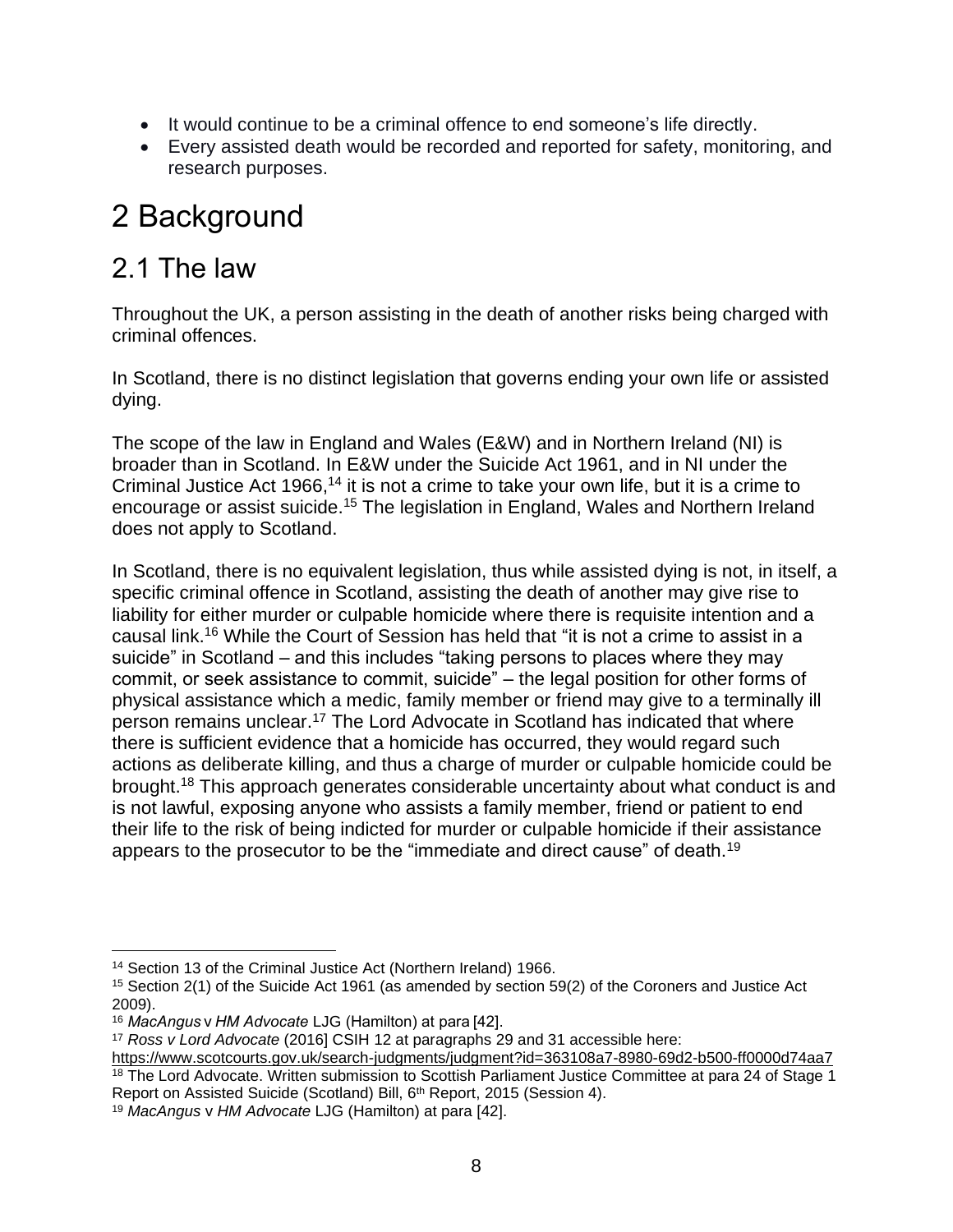- It would continue to be a criminal offence to end someone's life directly.
- Every assisted death would be recorded and reported for safety, monitoring, and research purposes.

# 2 Background

#### 2.1 The law

Throughout the UK, a person assisting in the death of another risks being charged with criminal offences.

In Scotland, there is no distinct legislation that governs ending your own life or assisted dying.

The scope of the law in England and Wales (E&W) and in Northern Ireland (NI) is broader than in Scotland. In E&W under the Suicide Act 1961, and in NI under the Criminal Justice Act 1966,<sup>14</sup> it is not a crime to take your own life, but it is a crime to encourage or assist suicide.<sup>15</sup> The legislation in England, Wales and Northern Ireland does not apply to Scotland.

In Scotland, there is no equivalent legislation, thus while assisted dying is not, in itself, a specific criminal offence in Scotland, assisting the death of another may give rise to liability for either murder or culpable homicide where there is requisite intention and a causal link.<sup>16</sup> While the Court of Session has held that "it is not a crime to assist in a suicide" in Scotland – and this includes "taking persons to places where they may commit, or seek assistance to commit, suicide" – the legal position for other forms of physical assistance which a medic, family member or friend may give to a terminally ill person remains unclear.<sup>17</sup> The Lord Advocate in Scotland has indicated that where there is sufficient evidence that a homicide has occurred, they would regard such actions as deliberate killing, and thus a charge of murder or culpable homicide could be brought.<sup>18</sup> This approach generates considerable uncertainty about what conduct is and is not lawful, exposing anyone who assists a family member, friend or patient to end their life to the risk of being indicted for murder or culpable homicide if their assistance appears to the prosecutor to be the "immediate and direct cause" of death.<sup>19</sup>

<sup>&</sup>lt;sup>14</sup> Section 13 of the Criminal Justice Act (Northern Ireland) 1966.

<sup>15</sup> Section 2(1) of the Suicide Act 1961 (as amended by section 59(2) of the Coroners and Justice Act 2009).

<sup>16</sup> *MacAngus*v*HM Advocate* LJG (Hamilton) at para [42].

<sup>17</sup> *Ross v Lord Advocate* (2016] CSIH 12 at paragraphs 29 and 31 accessible here:

<https://www.scotcourts.gov.uk/search-judgments/judgment?id=363108a7-8980-69d2-b500-ff0000d74aa7> <sup>18</sup> The Lord Advocate. Written submission to Scottish Parliament Justice Committee at para 24 of Stage 1 Report on Assisted Suicide (Scotland) Bill, 6<sup>th</sup> Report, 2015 (Session 4).

<sup>19</sup> *MacAngus* v *HM Advocate* LJG (Hamilton) at para [42].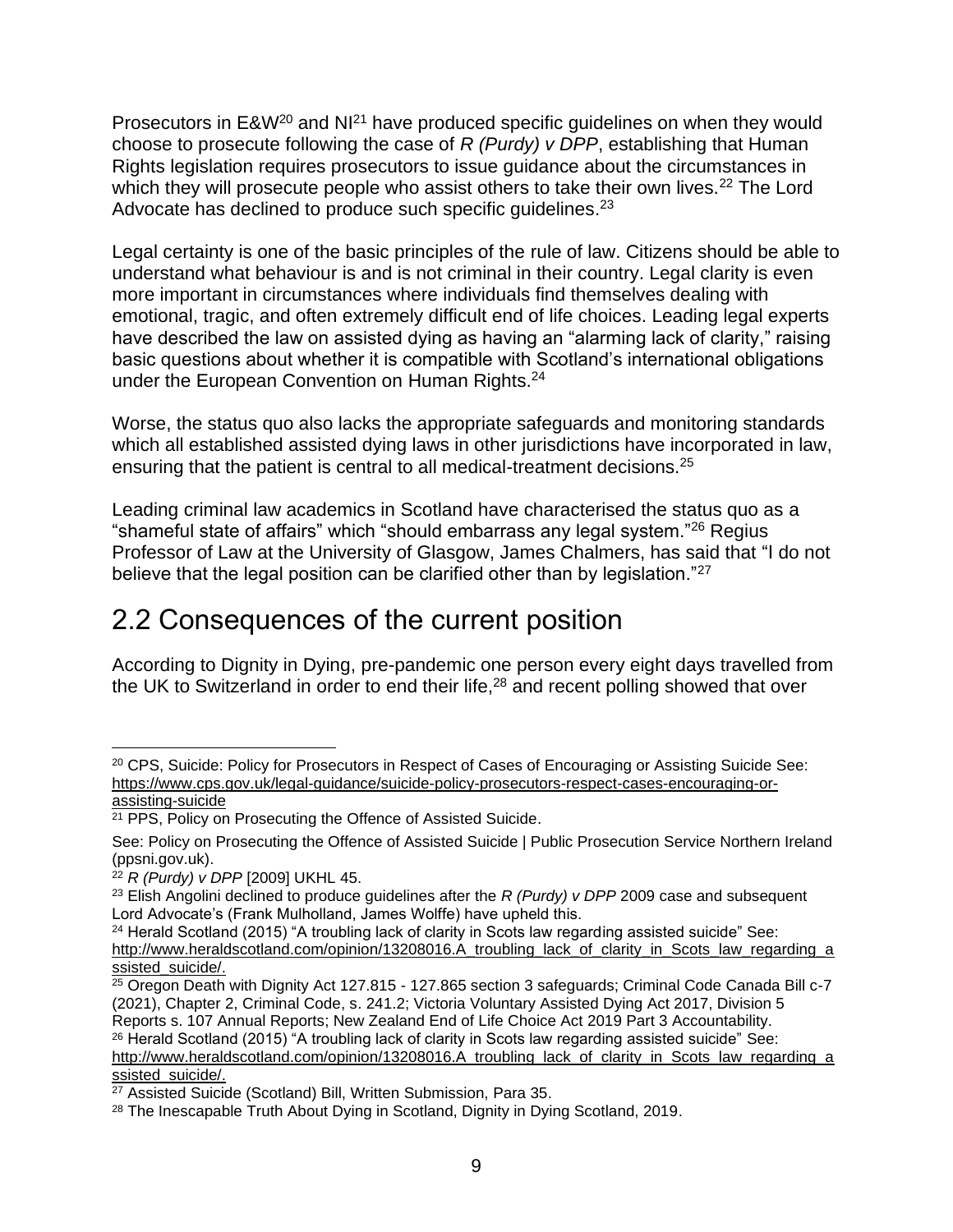Prosecutors in E&W<sup>20</sup> and NI<sup>21</sup> have produced specific guidelines on when they would choose to prosecute following the case of *R (Purdy) v DPP*, establishing that Human Rights legislation requires prosecutors to issue guidance about the circumstances in which they will prosecute people who assist others to take their own lives.<sup>22</sup> The Lord Advocate has declined to produce such specific guidelines.<sup>23</sup>

Legal certainty is one of the basic principles of the rule of law. Citizens should be able to understand what behaviour is and is not criminal in their country. Legal clarity is even more important in circumstances where individuals find themselves dealing with emotional, tragic, and often extremely difficult end of life choices. Leading legal experts have described the law on assisted dying as having an "alarming lack of clarity," raising basic questions about whether it is compatible with Scotland's international obligations under the European Convention on Human Rights.<sup>24</sup>

Worse, the status quo also lacks the appropriate safeguards and monitoring standards which all established assisted dying laws in other jurisdictions have incorporated in law, ensuring that the patient is central to all medical-treatment decisions.<sup>25</sup>

Leading criminal law academics in Scotland have characterised the status quo as a "shameful state of affairs" which "should embarrass any legal system."<sup>26</sup> Regius Professor of Law at the University of Glasgow, James Chalmers, has said that "I do not believe that the legal position can be clarified other than by legislation."<sup>27</sup>

## 2.2 Consequences of the current position

According to Dignity in Dying, pre-pandemic one person every eight days travelled from the UK to Switzerland in order to end their life,<sup>28</sup> and recent polling showed that over

<sup>&</sup>lt;sup>20</sup> CPS, Suicide: Policy for Prosecutors in Respect of Cases of Encouraging or Assisting Suicide See: [https://www.cps.gov.uk/legal-guidance/suicide-policy-prosecutors-respect-cases-encouraging-or](https://www.cps.gov.uk/legal-guidance/suicide-policy-prosecutors-respect-cases-encouraging-or-assisting-suicide)[assisting-suicide](https://www.cps.gov.uk/legal-guidance/suicide-policy-prosecutors-respect-cases-encouraging-or-assisting-suicide)

<sup>21</sup> PPS, Policy on Prosecuting the Offence of Assisted Suicide.

See: [Policy on Prosecuting the Offence of Assisted Suicide | Public Prosecution Service Northern Ireland](https://www.ppsni.gov.uk/publications/policy-prosecuting-offence-assisted-suicide)  [\(ppsni.gov.uk\).](https://www.ppsni.gov.uk/publications/policy-prosecuting-offence-assisted-suicide)

<sup>22</sup> *R (Purdy) v DPP* [2009] UKHL 45.

<sup>23</sup> Elish Angolini declined to produce guidelines after the *R (Purdy) v DPP* 2009 case and subsequent Lord Advocate's (Frank Mulholland, James Wolffe) have upheld this.

 $24$  Herald Scotland (2015) "A troubling lack of clarity in Scots law regarding assisted suicide" See: [http://www.heraldscotland.com/opinion/13208016.A\\_troubling\\_lack\\_of\\_clarity\\_in\\_Scots\\_law\\_regarding\\_a](http://www.heraldscotland.com/opinion/13208016.A_troubling_lack_of_clarity_in_Scots_law_regarding_assisted_suicide/) [ssisted\\_suicide/.](http://www.heraldscotland.com/opinion/13208016.A_troubling_lack_of_clarity_in_Scots_law_regarding_assisted_suicide/)

 $25$  Oregon Death with Dignity Act 127.815 - 127.865 section 3 safeguards; Criminal Code Canada Bill c-7 (2021), Chapter 2, Criminal Code, s. 241.2; Victoria Voluntary Assisted Dying Act 2017, Division 5 Reports s. 107 Annual Reports; New Zealand End of Life Choice Act 2019 Part 3 Accountability. <sup>26</sup> Herald Scotland (2015) "A troubling lack of clarity in Scots law regarding assisted suicide" See: [http://www.heraldscotland.com/opinion/13208016.A\\_troubling\\_lack\\_of\\_clarity\\_in\\_Scots\\_law\\_regarding\\_a](http://www.heraldscotland.com/opinion/13208016.A_troubling_lack_of_clarity_in_Scots_law_regarding_assisted_suicide/) [ssisted\\_suicide/.](http://www.heraldscotland.com/opinion/13208016.A_troubling_lack_of_clarity_in_Scots_law_regarding_assisted_suicide/)

<sup>27</sup> Assisted Suicide (Scotland) Bill, Written Submission, Para 35.

<sup>&</sup>lt;sup>28</sup> The Inescapable Truth About Dying in Scotland, Dignity in Dying Scotland, 2019.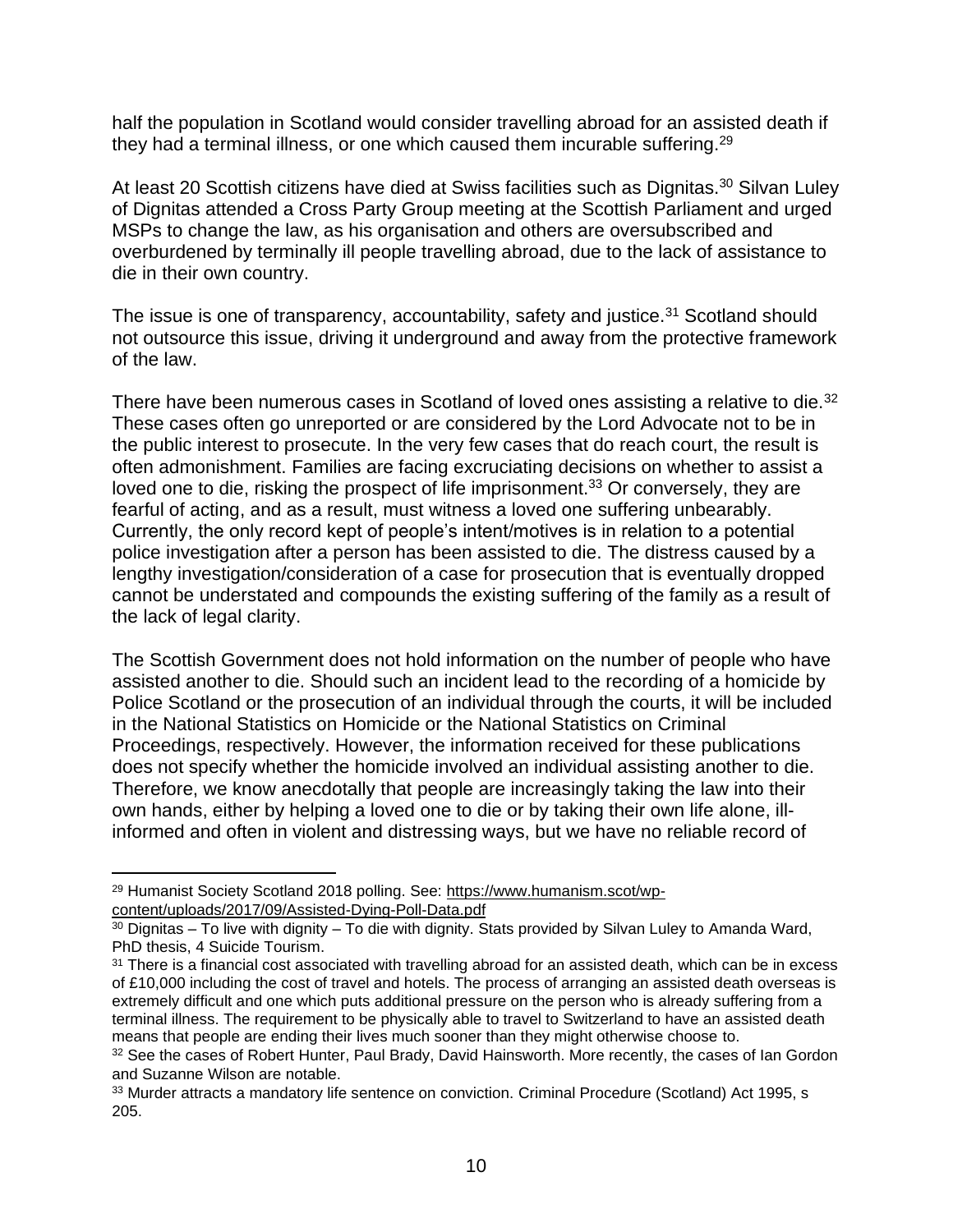half the population in Scotland would consider travelling abroad for an assisted death if they had a terminal illness, or one which caused them incurable suffering.<sup>29</sup>

At least 20 Scottish citizens have died at Swiss facilities such as Dignitas.<sup>30</sup> Silvan Luley of Dignitas attended a Cross Party Group meeting at the Scottish Parliament and urged MSPs to change the law, as his organisation and others are oversubscribed and overburdened by terminally ill people travelling abroad, due to the lack of assistance to die in their own country.

The issue is one of transparency, accountability, safety and justice.<sup>31</sup> Scotland should not outsource this issue, driving it underground and away from the protective framework of the law.

There have been numerous cases in Scotland of loved ones assisting a relative to die.<sup>32</sup> These cases often go unreported or are considered by the Lord Advocate not to be in the public interest to prosecute. In the very few cases that do reach court, the result is often admonishment. Families are facing excruciating decisions on whether to assist a loved one to die, risking the prospect of life imprisonment.<sup>33</sup> Or conversely, they are fearful of acting, and as a result, must witness a loved one suffering unbearably. Currently, the only record kept of people's intent/motives is in relation to a potential police investigation after a person has been assisted to die. The distress caused by a lengthy investigation/consideration of a case for prosecution that is eventually dropped cannot be understated and compounds the existing suffering of the family as a result of the lack of legal clarity.

The Scottish Government does not hold information on the number of people who have assisted another to die. Should such an incident lead to the recording of a homicide by Police Scotland or the prosecution of an individual through the courts, it will be included in the National Statistics on Homicide or the National Statistics on Criminal Proceedings, respectively. However, the information received for these publications does not specify whether the homicide involved an individual assisting another to die. Therefore, we know anecdotally that people are increasingly taking the law into their own hands, either by helping a loved one to die or by taking their own life alone, illinformed and often in violent and distressing ways, but we have no reliable record of

<sup>29</sup> Humanist Society Scotland 2018 polling. See: [https://www.humanism.scot/wp](https://www.humanism.scot/wp-content/uploads/2017/09/Assisted-Dying-Poll-Data.pdf)[content/uploads/2017/09/Assisted-Dying-Poll-Data.pdf](https://www.humanism.scot/wp-content/uploads/2017/09/Assisted-Dying-Poll-Data.pdf)

 $30$  Dignitas – To live with dignity – To die with dignity. Stats provided by Silvan Luley to Amanda Ward, PhD thesis, 4 Suicide Tourism.

<sup>&</sup>lt;sup>31</sup> There is a financial cost associated with travelling abroad for an assisted death, which can be in excess of £10,000 including the cost of travel and hotels. The process of arranging an assisted death overseas is extremely difficult and one which puts additional pressure on the person who is already suffering from a terminal illness. The requirement to be physically able to travel to Switzerland to have an assisted death means that people are ending their lives much sooner than they might otherwise choose to.

<sup>&</sup>lt;sup>32</sup> See the cases of Robert Hunter, Paul Brady, David Hainsworth. More recently, the cases of Ian Gordon and Suzanne Wilson are notable.

<sup>33</sup> Murder attracts a mandatory life sentence on conviction. Criminal Procedure (Scotland) Act 1995, s 205.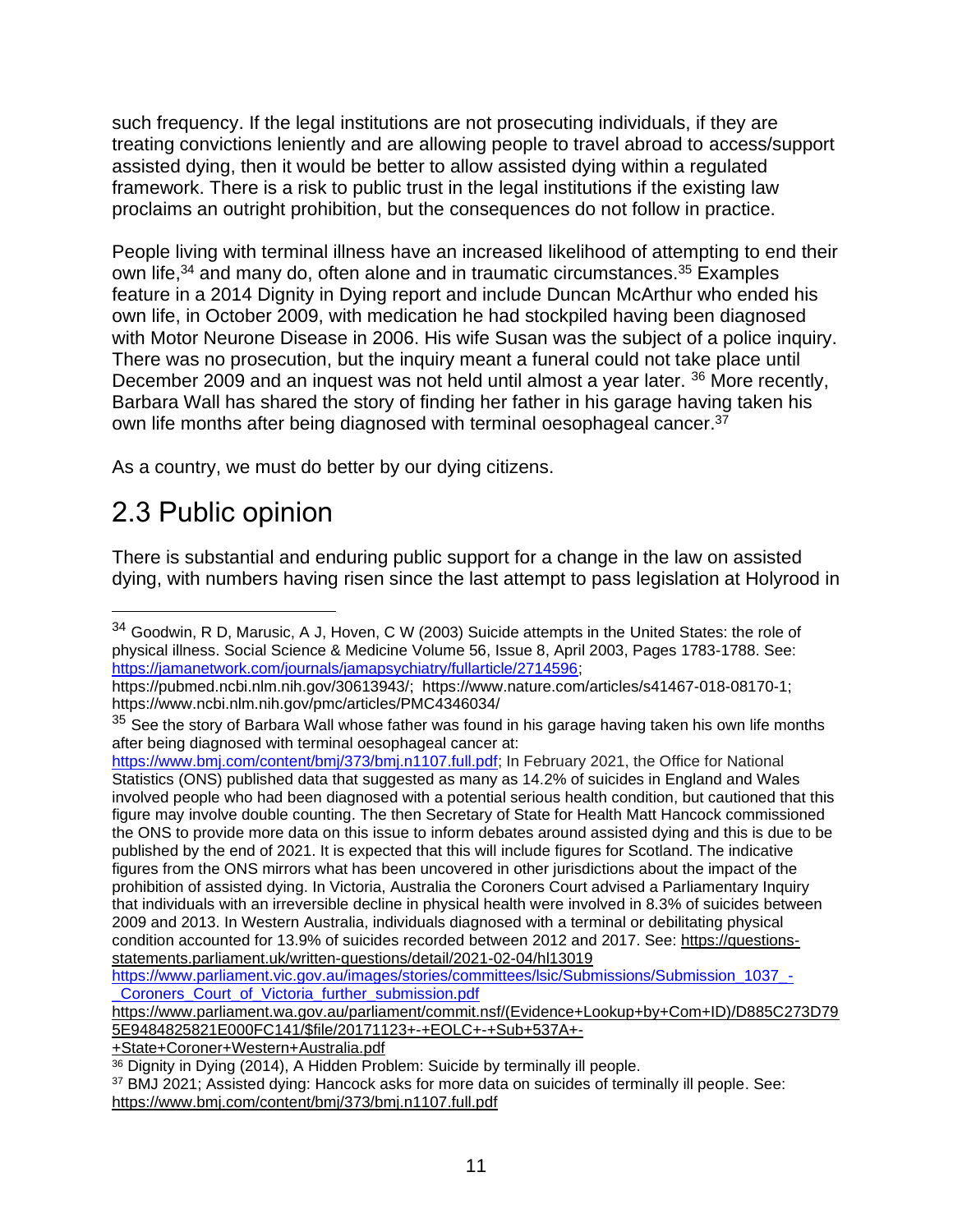such frequency. If the legal institutions are not prosecuting individuals, if they are treating convictions leniently and are allowing people to travel abroad to access/support assisted dying, then it would be better to allow assisted dying within a regulated framework. There is a risk to public trust in the legal institutions if the existing law proclaims an outright prohibition, but the consequences do not follow in practice.

People living with terminal illness have an increased likelihood of attempting to end their own life,<sup>34</sup> and many do, often alone and in traumatic circumstances.<sup>35</sup> Examples feature in a 2014 Dignity in Dying report and include Duncan McArthur who ended his own life, in October 2009, with medication he had stockpiled having been diagnosed with Motor Neurone Disease in 2006. His wife Susan was the subject of a police inquiry. There was no prosecution, but the inquiry meant a funeral could not take place until December 2009 and an inquest was not held until almost a year later. <sup>36</sup> More recently, Barbara Wall has shared the story of finding her father in his garage having taken his own life months after being diagnosed with terminal oesophageal cancer.<sup>37</sup>

As a country, we must do better by our dying citizens.

## 2.3 Public opinion

There is substantial and enduring public support for a change in the law on assisted dying, with numbers having risen since the last attempt to pass legislation at Holyrood in

[https://www.parliament.wa.gov.au/parliament/commit.nsf/\(Evidence+Lookup+by+Com+ID\)/D885C273D79](https://eur03.safelinks.protection.outlook.com/?url=https%3A%2F%2Fwww.parliament.wa.gov.au%2Fparliament%2Fcommit.nsf%2F(Evidence%2BLookup%2Bby%2BCom%2BID)%2FD885C273D795E9484825821E000FC141%2F%24file%2F20171123%2B-%2BEOLC%2B-%2BSub%2B537A%2B-%2BState%2BCoroner%2BWestern%2BAustralia.pdf&data=04%7C01%7CAmanda.Ward%40parliament.scot%7C84c8aa3117fa41ddd4f108d96d53a26d%7Cd603c99ccfdd4292926800db0d0cf081%7C1%7C1%7C637661028255281563%7CUnknown%7CTWFpbGZsb3d8eyJWIjoiMC4wLjAwMDAiLCJQIjoiV2luMzIiLCJBTiI6Ik1haWwiLCJXVCI6Mn0%3D%7C1000&sdata=MU0MrobJMnM%2F19UD7vYCrJ5aGXgSy7VFPVJ3gmHSESw%3D&reserved=0) [5E9484825821E000FC141/\\$file/20171123+-+EOLC+-+Sub+537A+-](https://eur03.safelinks.protection.outlook.com/?url=https%3A%2F%2Fwww.parliament.wa.gov.au%2Fparliament%2Fcommit.nsf%2F(Evidence%2BLookup%2Bby%2BCom%2BID)%2FD885C273D795E9484825821E000FC141%2F%24file%2F20171123%2B-%2BEOLC%2B-%2BSub%2B537A%2B-%2BState%2BCoroner%2BWestern%2BAustralia.pdf&data=04%7C01%7CAmanda.Ward%40parliament.scot%7C84c8aa3117fa41ddd4f108d96d53a26d%7Cd603c99ccfdd4292926800db0d0cf081%7C1%7C1%7C637661028255281563%7CUnknown%7CTWFpbGZsb3d8eyJWIjoiMC4wLjAwMDAiLCJQIjoiV2luMzIiLCJBTiI6Ik1haWwiLCJXVCI6Mn0%3D%7C1000&sdata=MU0MrobJMnM%2F19UD7vYCrJ5aGXgSy7VFPVJ3gmHSESw%3D&reserved=0)

[+State+Coroner+Western+Australia.pdf](https://eur03.safelinks.protection.outlook.com/?url=https%3A%2F%2Fwww.parliament.wa.gov.au%2Fparliament%2Fcommit.nsf%2F(Evidence%2BLookup%2Bby%2BCom%2BID)%2FD885C273D795E9484825821E000FC141%2F%24file%2F20171123%2B-%2BEOLC%2B-%2BSub%2B537A%2B-%2BState%2BCoroner%2BWestern%2BAustralia.pdf&data=04%7C01%7CAmanda.Ward%40parliament.scot%7C84c8aa3117fa41ddd4f108d96d53a26d%7Cd603c99ccfdd4292926800db0d0cf081%7C1%7C1%7C637661028255281563%7CUnknown%7CTWFpbGZsb3d8eyJWIjoiMC4wLjAwMDAiLCJQIjoiV2luMzIiLCJBTiI6Ik1haWwiLCJXVCI6Mn0%3D%7C1000&sdata=MU0MrobJMnM%2F19UD7vYCrJ5aGXgSy7VFPVJ3gmHSESw%3D&reserved=0)

<sup>&</sup>lt;sup>34</sup> Goodwin, R D, Marusic, A J, Hoven, C W (2003) Suicide attempts in the United States: the role of physical illness. Social Science & Medicine Volume 56, Issue 8, April 2003, Pages 1783-1788. See: [https://jamanetwork.com/journals/jamapsychiatry/fullarticle/2714596;](https://jamanetwork.com/journals/jamapsychiatry/fullarticle/2714596)

[https://pubmed.ncbi.nlm.nih.gov/30613943/;](https://pubmed.ncbi.nlm.nih.gov/30613943/) [https://www.nature.com/articles/s41467-018-08170-1;](https://eur03.safelinks.protection.outlook.com/?url=https%3A%2F%2Fwww.nature.com%2Farticles%2Fs41467-018-08170-1&data=04%7C01%7CAmanda.Ward%40parliament.scot%7C84c8aa3117fa41ddd4f108d96d53a26d%7Cd603c99ccfdd4292926800db0d0cf081%7C1%7C1%7C637661028255261576%7CUnknown%7CTWFpbGZsb3d8eyJWIjoiMC4wLjAwMDAiLCJQIjoiV2luMzIiLCJBTiI6Ik1haWwiLCJXVCI6Mn0%3D%7C1000&sdata=ggKmCzKotDPBy0VrwJedi8ujYW12NtYxwFs27e1520U%3D&reserved=0) <https://www.ncbi.nlm.nih.gov/pmc/articles/PMC4346034/>

<sup>&</sup>lt;sup>35</sup> See the story of Barbara Wall whose father was found in his garage having taken his own life months after being diagnosed with terminal oesophageal cancer at:

[https://www.bmj.com/content/bmj/373/bmj.n1107.full.pdf;](https://eur03.safelinks.protection.outlook.com/?url=https%3A%2F%2Fwww.bmj.com%2Fcontent%2Fbmj%2F373%2Fbmj.n1107.full.pdf&data=04%7C01%7CAmanda.Ward%40parliament.scot%7C84c8aa3117fa41ddd4f108d96d53a26d%7Cd603c99ccfdd4292926800db0d0cf081%7C1%7C1%7C637661028255241590%7CUnknown%7CTWFpbGZsb3d8eyJWIjoiMC4wLjAwMDAiLCJQIjoiV2luMzIiLCJBTiI6Ik1haWwiLCJXVCI6Mn0%3D%7C1000&sdata=%2BjeKpiwZCbXqzJfEY9UEpwb%2FkgVaQVxD42Vdod7QXqw%3D&reserved=0) In February 2021, the Office for National Statistics (ONS) published data that suggested as many as 14.2% of suicides in England and Wales involved people who had been diagnosed with a potential serious health condition, but cautioned that this figure may involve double counting. The then Secretary of State for Health Matt Hancock commissioned the ONS to provide more data on this issue to inform debates around assisted dying and this is due to be published by the end of 2021. It is expected that this will include figures for Scotland. The indicative figures from the ONS mirrors what has been uncovered in other jurisdictions about the impact of the prohibition of assisted dying. In Victoria, Australia the Coroners Court advised a Parliamentary Inquiry that individuals with an irreversible decline in physical health were involved in 8.3% of suicides between 2009 and 2013. In Western Australia, individuals diagnosed with a terminal or debilitating physical condition accounted for 13.9% of suicides recorded between 2012 and 2017. See: [https://questions](https://eur03.safelinks.protection.outlook.com/?url=https%3A%2F%2Fquestions-statements.parliament.uk%2Fwritten-questions%2Fdetail%2F2021-02-04%2Fhl13019&data=04%7C01%7CAmanda.Ward%40parliament.scot%7C84c8aa3117fa41ddd4f108d96d53a26d%7Cd603c99ccfdd4292926800db0d0cf081%7C1%7C1%7C637661028255271569%7CUnknown%7CTWFpbGZsb3d8eyJWIjoiMC4wLjAwMDAiLCJQIjoiV2luMzIiLCJBTiI6Ik1haWwiLCJXVCI6Mn0%3D%7C1000&sdata=5sXYU7bsLJ5O%2FNGCB%2FXlAyshShs5uTtkrKrSI97RZMo%3D&reserved=0)[statements.parliament.uk/written-questions/detail/2021-02-04/hl13019](https://eur03.safelinks.protection.outlook.com/?url=https%3A%2F%2Fquestions-statements.parliament.uk%2Fwritten-questions%2Fdetail%2F2021-02-04%2Fhl13019&data=04%7C01%7CAmanda.Ward%40parliament.scot%7C84c8aa3117fa41ddd4f108d96d53a26d%7Cd603c99ccfdd4292926800db0d0cf081%7C1%7C1%7C637661028255271569%7CUnknown%7CTWFpbGZsb3d8eyJWIjoiMC4wLjAwMDAiLCJQIjoiV2luMzIiLCJBTiI6Ik1haWwiLCJXVCI6Mn0%3D%7C1000&sdata=5sXYU7bsLJ5O%2FNGCB%2FXlAyshShs5uTtkrKrSI97RZMo%3D&reserved=0)

[https://www.parliament.vic.gov.au/images/stories/committees/lsic/Submissions/Submission\\_1037\\_-](https://www.parliament.vic.gov.au/images/stories/committees/lsic/Submissions/Submission_1037_-_Coroners_Court_of_Victoria_further_submission.pdf) [\\_Coroners\\_Court\\_of\\_Victoria\\_further\\_submission.pdf](https://www.parliament.vic.gov.au/images/stories/committees/lsic/Submissions/Submission_1037_-_Coroners_Court_of_Victoria_further_submission.pdf)

<sup>36</sup> Dignity in Dying (2014), A Hidden Problem: Suicide by terminally ill people.

<sup>37</sup> BMJ 2021; Assisted dying: Hancock asks for more data on suicides of terminally ill people. See: [https://www.bmj.com/content/bmj/373/bmj.n1107.full.pdf](https://eur03.safelinks.protection.outlook.com/?url=https%3A%2F%2Fwww.bmj.com%2Fcontent%2Fbmj%2F373%2Fbmj.n1107.full.pdf&data=04%7C01%7CAmanda.Ward%40parliament.scot%7C84c8aa3117fa41ddd4f108d96d53a26d%7Cd603c99ccfdd4292926800db0d0cf081%7C1%7C1%7C637661028255241590%7CUnknown%7CTWFpbGZsb3d8eyJWIjoiMC4wLjAwMDAiLCJQIjoiV2luMzIiLCJBTiI6Ik1haWwiLCJXVCI6Mn0%3D%7C1000&sdata=%2BjeKpiwZCbXqzJfEY9UEpwb%2FkgVaQVxD42Vdod7QXqw%3D&reserved=0)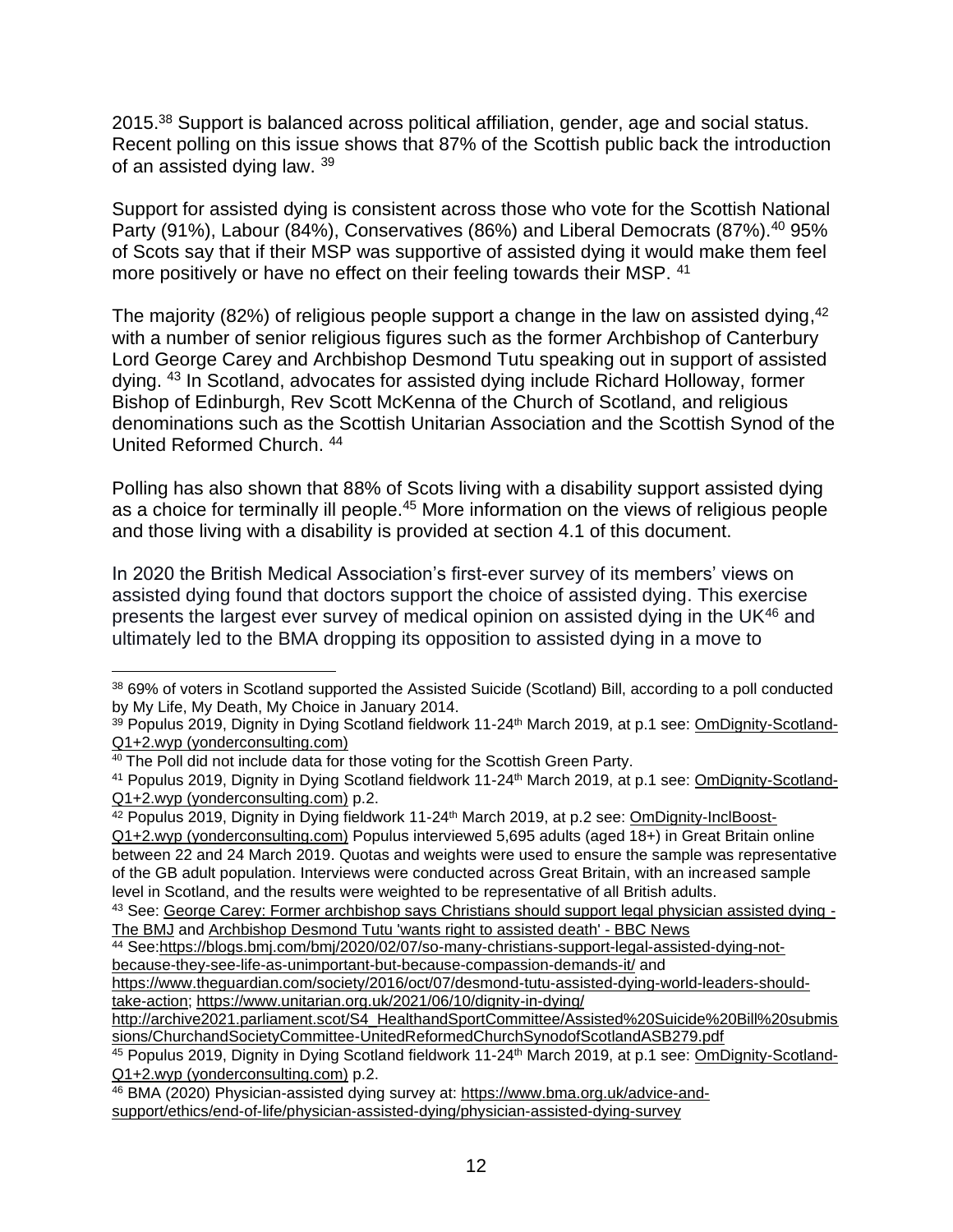2015.<sup>38</sup> Support is balanced across political affiliation, gender, age and social status. Recent polling on this issue shows that 87% of the Scottish public back the introduction of an assisted dying law. <sup>39</sup>

Support for assisted dying is consistent across those who vote for the Scottish National Party (91%), Labour (84%), Conservatives (86%) and Liberal Democrats (87%).<sup>40</sup> 95% of Scots say that if their MSP was supportive of assisted dying it would make them feel more positively or have no effect on their feeling towards their MSP. <sup>41</sup>

The majority (82%) of religious people support a change in the law on assisted dying,<sup>42</sup> with a number of senior religious figures such as the former Archbishop of Canterbury Lord George Carey and Archbishop Desmond Tutu speaking out in support of assisted dying. <sup>43</sup> In Scotland, advocates for assisted dying include Richard Holloway, former Bishop of Edinburgh, Rev Scott McKenna of the Church of Scotland, and religious denominations such as the Scottish Unitarian Association and the Scottish Synod of the United Reformed Church. <sup>44</sup>

Polling has also shown that 88% of Scots living with a disability support assisted dying as a choice for terminally ill people.<sup>45</sup> More information on the views of religious people and those living with a disability is provided at section 4.1 of this document.

In 2020 the British Medical Association's first-ever survey of its members' views on assisted dying found that doctors support the choice of assisted dying. This exercise presents the largest ever survey of medical opinion on assisted dying in the UK<sup>46</sup> and ultimately led to the BMA dropping its opposition to assisted dying in a move to

<sup>38</sup> 69% of voters in Scotland supported the Assisted Suicide (Scotland) Bill, according to a poll conducted by My Life, My Death, My Choice in January 2014.

<sup>39</sup> Populus 2019, Dignity in Dying Scotland fieldwork 11-24<sup>th</sup> March 2019, at p.1 see: [OmDignity-Scotland-](https://yonderconsulting.com/poll-archive/Dignity-in-Dying-Scotland-poll-11-24-March-2019-Q1-Q2-tables-for-publication.pdf)[Q1+2.wyp \(yonderconsulting.com\)](https://yonderconsulting.com/poll-archive/Dignity-in-Dying-Scotland-poll-11-24-March-2019-Q1-Q2-tables-for-publication.pdf)

<sup>&</sup>lt;sup>40</sup> The Poll did not include data for those voting for the Scottish Green Party.

<sup>&</sup>lt;sup>41</sup> Populus 2019, Dignity in Dying Scotland fieldwork 11-24<sup>th</sup> March 2019, at p.1 see: [OmDignity-Scotland-](https://yonderconsulting.com/poll-archive/Dignity-in-Dying-Scotland-poll-11-24-March-2019-Q1-Q2-tables-for-publication.pdf)[Q1+2.wyp \(yonderconsulting.com\)](https://yonderconsulting.com/poll-archive/Dignity-in-Dying-Scotland-poll-11-24-March-2019-Q1-Q2-tables-for-publication.pdf) p.2.

<sup>42</sup> Populus 2019, Dignity in Dying fieldwork 11-24<sup>th</sup> March 2019, at p.2 see: [OmDignity-InclBoost-](https://yonderconsulting.com/poll-archive/Dignity-in-Dying-GB-poll-11-24-March-2019-Q1-Q2-tables-for-publication.pdf)

[Q1+2.wyp \(yonderconsulting.com\)](https://yonderconsulting.com/poll-archive/Dignity-in-Dying-GB-poll-11-24-March-2019-Q1-Q2-tables-for-publication.pdf) Populus interviewed 5,695 adults (aged 18+) in Great Britain online between 22 and 24 March 2019. Quotas and weights were used to ensure the sample was representative of the GB adult population. Interviews were conducted across Great Britain, with an increased sample level in Scotland, and the results were weighted to be representative of all British adults.

<sup>43</sup> See: [George Carey: Former archbishop says Christians should support legal physician assisted dying -](https://blogs.bmj.com/bmj/2020/02/07/so-many-christians-support-legal-assisted-dying-not-because-they-see-life-as-unimportant-but-because-compassion-demands-it/) [The BMJ](https://blogs.bmj.com/bmj/2020/02/07/so-many-christians-support-legal-assisted-dying-not-because-they-see-life-as-unimportant-but-because-compassion-demands-it/) and [Archbishop Desmond Tutu 'wants right to assisted death' -](https://www.bbc.co.uk/news/world-africa-37587290) BBC News

<sup>44</sup> See[:https://blogs.bmj.com/bmj/2020/02/07/so-many-christians-support-legal-assisted-dying-not](https://blogs.bmj.com/bmj/2020/02/07/so-many-christians-support-legal-assisted-dying-not-because-they-see-life-as-unimportant-but-because-compassion-demands-it/)[because-they-see-life-as-unimportant-but-because-compassion-demands-it/](https://blogs.bmj.com/bmj/2020/02/07/so-many-christians-support-legal-assisted-dying-not-because-they-see-life-as-unimportant-but-because-compassion-demands-it/) and

[https://www.theguardian.com/society/2016/oct/07/desmond-tutu-assisted-dying-world-leaders-should](https://www.theguardian.com/society/2016/oct/07/desmond-tutu-assisted-dying-world-leaders-should-take-action)[take-action;](https://www.theguardian.com/society/2016/oct/07/desmond-tutu-assisted-dying-world-leaders-should-take-action)<https://www.unitarian.org.uk/2021/06/10/dignity-in-dying/>

[http://archive2021.parliament.scot/S4\\_HealthandSportCommittee/Assisted%20Suicide%20Bill%20submis](http://archive2021.parliament.scot/S4_HealthandSportCommittee/Assisted%20Suicide%20Bill%20submissions/ChurchandSocietyCommittee-UnitedReformedChurchSynodofScotlandASB279.pdf) [sions/ChurchandSocietyCommittee-UnitedReformedChurchSynodofScotlandASB279.pdf](http://archive2021.parliament.scot/S4_HealthandSportCommittee/Assisted%20Suicide%20Bill%20submissions/ChurchandSocietyCommittee-UnitedReformedChurchSynodofScotlandASB279.pdf)

<sup>45</sup> Populus 2019, Dignity in Dying Scotland fieldwork 11-24<sup>th</sup> March 2019, at p.1 see: [OmDignity-Scotland-](https://yonderconsulting.com/poll-archive/Dignity-in-Dying-Scotland-poll-11-24-March-2019-Q1-Q2-tables-for-publication.pdf)[Q1+2.wyp \(yonderconsulting.com\)](https://yonderconsulting.com/poll-archive/Dignity-in-Dying-Scotland-poll-11-24-March-2019-Q1-Q2-tables-for-publication.pdf) p.2.

<sup>46</sup> BMA (2020) Physician-assisted dying survey at: [https://www.bma.org.uk/advice-and](https://www.bma.org.uk/advice-and-support/ethics/end-of-life/physician-assisted-dying/physician-assisted-dying-survey)[support/ethics/end-of-life/physician-assisted-dying/physician-assisted-dying-survey](https://www.bma.org.uk/advice-and-support/ethics/end-of-life/physician-assisted-dying/physician-assisted-dying-survey)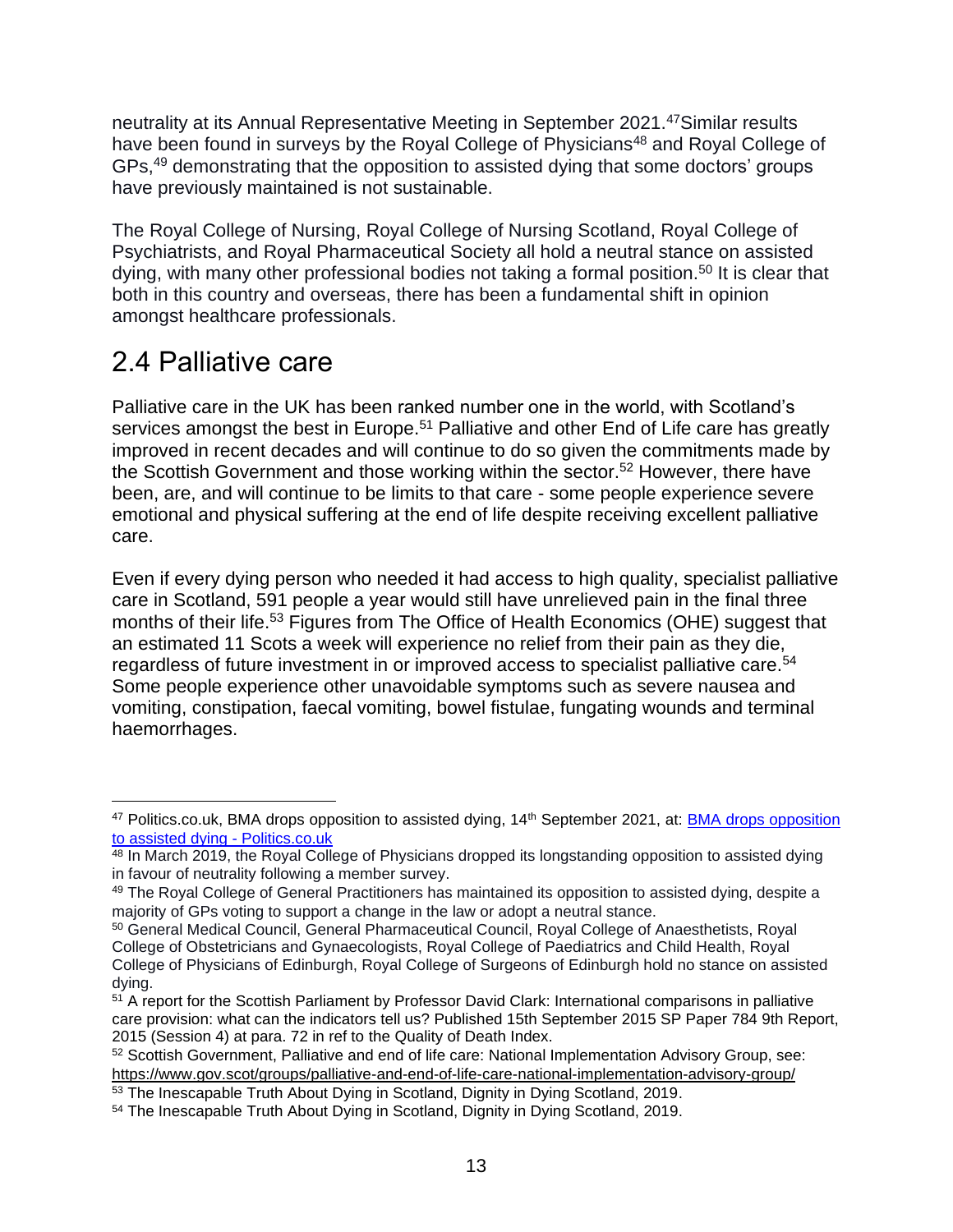neutrality at its Annual Representative Meeting in September 2021.<sup>47</sup>Similar results have been found in surveys by the Royal College of Physicians<sup>48</sup> and Royal College of GPs,<sup>49</sup> demonstrating that the opposition to assisted dying that some doctors' groups have previously maintained is not sustainable.

The Royal College of Nursing, Royal College of Nursing Scotland, Royal College of Psychiatrists, and Royal Pharmaceutical Society all hold a neutral stance on assisted dying, with many other professional bodies not taking a formal position.<sup>50</sup> It is clear that both in this country and overseas, there has been a fundamental shift in opinion amongst healthcare professionals.

## 2.4 Palliative care

Palliative care in the UK has been ranked number one in the world, with Scotland's services amongst the best in Europe.<sup>51</sup> Palliative and other End of Life care has greatly improved in recent decades and will continue to do so given the commitments made by the Scottish Government and those working within the sector.<sup>52</sup> However, there have been, are, and will continue to be limits to that care - some people experience severe emotional and physical suffering at the end of life despite receiving excellent palliative care.

Even if every dying person who needed it had access to high quality, specialist palliative care in Scotland, 591 people a year would still have unrelieved pain in the final three months of their life.<sup>53</sup> Figures from The Office of Health Economics (OHE) suggest that an estimated 11 Scots a week will experience no relief from their pain as they die, regardless of future investment in or improved access to specialist palliative care.<sup>54</sup> Some people experience other unavoidable symptoms such as severe nausea and vomiting, constipation, faecal vomiting, bowel fistulae, fungating wounds and terminal haemorrhages.

<sup>47</sup> Politics.co.uk, [BMA drops opposition](https://www.politics.co.uk/opinion-former/press-release/2021/09/14/bma-drops-opposition-to-assisted-dying/) to assisted dying, 14<sup>th</sup> September 2021, at: **BMA drops opposition** [to assisted dying -](https://www.politics.co.uk/opinion-former/press-release/2021/09/14/bma-drops-opposition-to-assisted-dying/) Politics.co.uk

<sup>&</sup>lt;sup>48</sup> In March 2019, the Royal College of Physicians dropped its longstanding opposition to assisted dying in favour of neutrality following a member survey.

<sup>49</sup> The Royal College of General Practitioners has maintained its opposition to assisted dying, despite a majority of GPs voting to support a change in the law or adopt a neutral stance.

<sup>50</sup> General Medical Council, General Pharmaceutical Council, Royal College of Anaesthetists, Royal College of Obstetricians and Gynaecologists, Royal College of Paediatrics and Child Health, Royal College of Physicians of Edinburgh, Royal College of Surgeons of Edinburgh hold no stance on assisted dying.

<sup>&</sup>lt;sup>51</sup> A report for the Scottish Parliament by Professor David Clark: International comparisons in palliative care provision: what can the indicators tell us? Published 15th September 2015 SP Paper 784 9th Report, 2015 (Session 4) at para. 72 in ref to the Quality of Death Index.

<sup>52</sup> Scottish Government, Palliative and end of life care: National Implementation Advisory Group, see: <https://www.gov.scot/groups/palliative-and-end-of-life-care-national-implementation-advisory-group/>

<sup>53</sup> The Inescapable Truth About Dying in Scotland, Dignity in Dying Scotland, 2019.

<sup>54</sup> The Inescapable Truth About Dying in Scotland, Dignity in Dying Scotland, 2019.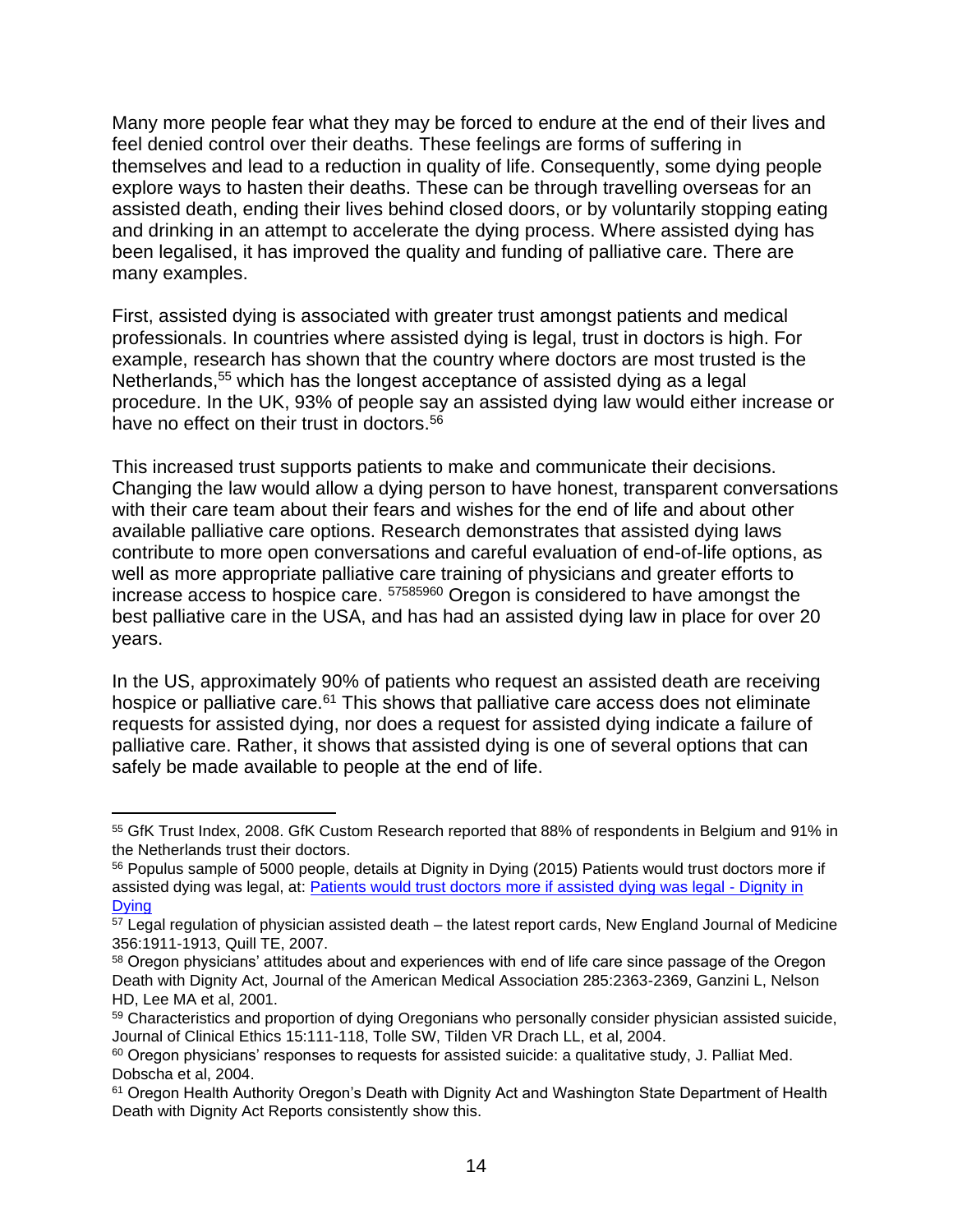Many more people fear what they may be forced to endure at the end of their lives and feel denied control over their deaths. These feelings are forms of suffering in themselves and lead to a reduction in quality of life. Consequently, some dying people explore ways to hasten their deaths. These can be through travelling overseas for an assisted death, ending their lives behind closed doors, or by voluntarily stopping eating and drinking in an attempt to accelerate the dying process. Where assisted dying has been legalised, it has improved the quality and funding of palliative care. There are many examples.

First, assisted dying is associated with greater trust amongst patients and medical professionals. In countries where assisted dying is legal, trust in doctors is high. For example, research has shown that the country where doctors are most trusted is the Netherlands,<sup>55</sup> which has the longest acceptance of assisted dying as a legal procedure. In the UK, 93% of people say an assisted dying law would either increase or have no effect on their trust in doctors.<sup>56</sup>

This increased trust supports patients to make and communicate their decisions. Changing the law would allow a dying person to have honest, transparent conversations with their care team about their fears and wishes for the end of life and about other available palliative care options. Research demonstrates that assisted dying laws contribute to more open conversations and careful evaluation of end-of-life options, as well as more appropriate palliative care training of physicians and greater efforts to increase access to hospice care. <sup>57585960</sup> Oregon is considered to have amongst the best palliative care in the USA, and has had an assisted dying law in place for over 20 years.

In the US, approximately 90% of patients who request an assisted death are receiving hospice or palliative care.<sup>61</sup> This shows that palliative care access does not eliminate requests for assisted dying, nor does a request for assisted dying indicate a failure of palliative care. Rather, it shows that assisted dying is one of several options that can safely be made available to people at the end of life.

<sup>55</sup> GfK Trust Index, 2008. GfK Custom Research reported that 88% of respondents in Belgium and 91% in the Netherlands trust their doctors.

<sup>56</sup> Populus sample of 5000 people, details at Dignity in Dying (2015) Patients would trust doctors more if assisted dying was legal, at: [Patients would trust doctors more if assisted dying was legal -](https://www.dignityindying.org.uk/news/patients-trust-doctors-assisted-dying/) Dignity in **[Dying](https://www.dignityindying.org.uk/news/patients-trust-doctors-assisted-dying/)** 

<sup>&</sup>lt;sup>57</sup> Legal regulation of physician assisted death – the latest report cards, New England Journal of Medicine 356:1911-1913, Quill TE, 2007.

<sup>58</sup> Oregon physicians' attitudes about and experiences with end of life care since passage of the Oregon Death with Dignity Act, Journal of the American Medical Association 285:2363-2369, Ganzini L, Nelson HD, Lee MA et al, 2001.

<sup>&</sup>lt;sup>59</sup> Characteristics and proportion of dying Oregonians who personally consider physician assisted suicide, Journal of Clinical Ethics 15:111-118, Tolle SW, Tilden VR Drach LL, et al, 2004.

<sup>&</sup>lt;sup>60</sup> Oregon physicians' responses to requests for assisted suicide: a qualitative study, J. Palliat Med. Dobscha et al, 2004.

<sup>&</sup>lt;sup>61</sup> Oregon Health Authority Oregon's Death with Dignity Act and Washington State Department of Health Death with Dignity Act Reports consistently show this.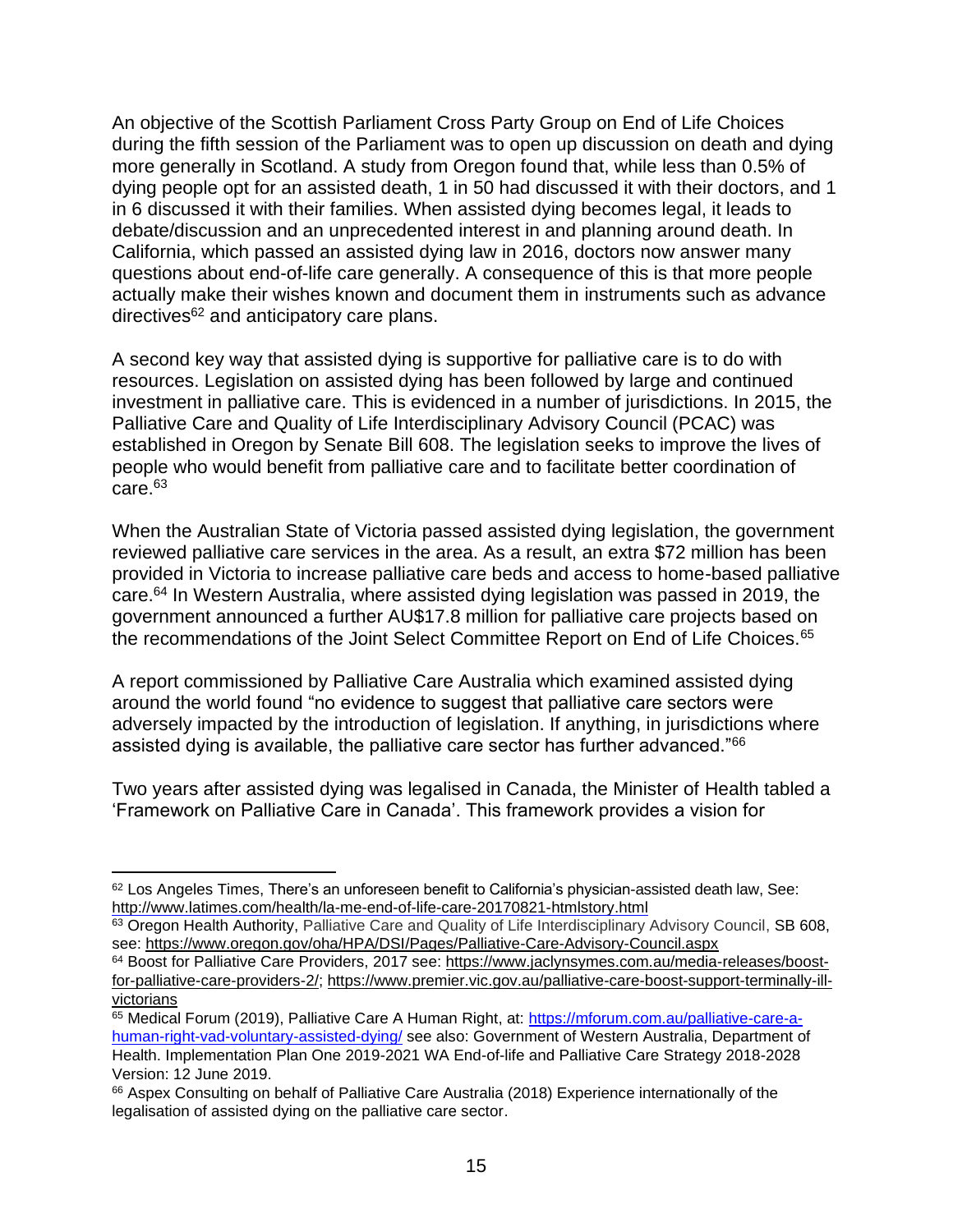An objective of the Scottish Parliament Cross Party Group on End of Life Choices during the fifth session of the Parliament was to open up discussion on death and dying more generally in Scotland. A study from Oregon found that, while less than 0.5% of dying people opt for an assisted death, 1 in 50 had discussed it with their doctors, and 1 in 6 discussed it with their families. When assisted dying becomes legal, it leads to debate/discussion and an unprecedented interest in and planning around death. In California, which passed an assisted dying law in 2016, doctors now answer many questions about end-of-life care generally. A consequence of this is that more people actually make their wishes known and document them in instruments such as advance directives<sup>62</sup> and anticipatory care plans.

A second key way that assisted dying is supportive for palliative care is to do with resources. Legislation on assisted dying has been followed by large and continued investment in palliative care. This is evidenced in a number of jurisdictions. In 2015, the Palliative Care and Quality of Life Interdisciplinary Advisory Council (PCAC) was established in Oregon by Senate Bill 608. The legislation seeks to improve the lives of people who would benefit from palliative care and to facilitate better coordination of care.<sup>63</sup>

When the Australian State of Victoria passed assisted dying legislation, the government reviewed palliative care services in the area. As a result, an extra \$72 million has been provided in Victoria to increase palliative care beds and access to home-based palliative care.<sup>64</sup> In Western Australia, where assisted dying legislation was passed in 2019, the government announced a further AU\$17.8 million for palliative care projects based on the recommendations of the Joint Select Committee Report on End of Life Choices.<sup>65</sup>

A report commissioned by Palliative Care Australia which examined assisted dying around the world found "no evidence to suggest that palliative care sectors were adversely impacted by the introduction of legislation. If anything, in jurisdictions where assisted dying is available, the palliative care sector has further advanced."<sup>66</sup>

Two years after assisted dying was legalised in Canada, the Minister of Health tabled a 'Framework on Palliative Care in Canada'. This framework provides a vision for

<sup>62</sup> Los Angeles Times, There's an unforeseen benefit to California's physician-assisted death law, See: <http://www.latimes.com/health/la-me-end-of-life-care-20170821-htmlstory.html>

<sup>63</sup> Oregon Health Authority, Palliative Care and Quality of Life Interdisciplinary Advisory Council, SB 608, see:<https://www.oregon.gov/oha/HPA/DSI/Pages/Palliative-Care-Advisory-Council.aspx>

<sup>64</sup> Boost for Palliative Care Providers, 2017 see: [https://www.jaclynsymes.com.au/media-releases/boost](https://www.jaclynsymes.com.au/media-releases/boost-for-palliative-care-providers-2/)[for-palliative-care-providers-2/;](https://www.jaclynsymes.com.au/media-releases/boost-for-palliative-care-providers-2/) [https://www.premier.vic.gov.au/palliative-care-boost-support-terminally-ill](https://www.premier.vic.gov.au/palliative-care-boost-support-terminally-ill-victorians)[victorians](https://www.premier.vic.gov.au/palliative-care-boost-support-terminally-ill-victorians)

<sup>65</sup> Medical Forum (2019), Palliative Care A Human Right, at: [https://mforum.com.au/palliative-care-a](https://mforum.com.au/palliative-care-a-human-right-vad-voluntary-assisted-dying/)[human-right-vad-voluntary-assisted-dying/](https://mforum.com.au/palliative-care-a-human-right-vad-voluntary-assisted-dying/) see also: Government of Western Australia, Department of Health. Implementation Plan One 2019-2021 WA End-of-life and Palliative Care Strategy 2018-2028 Version: 12 June 2019.

<sup>&</sup>lt;sup>66</sup> Aspex Consulting on behalf of Palliative Care Australia (2018) Experience internationally of the legalisation of assisted dying on the palliative care sector.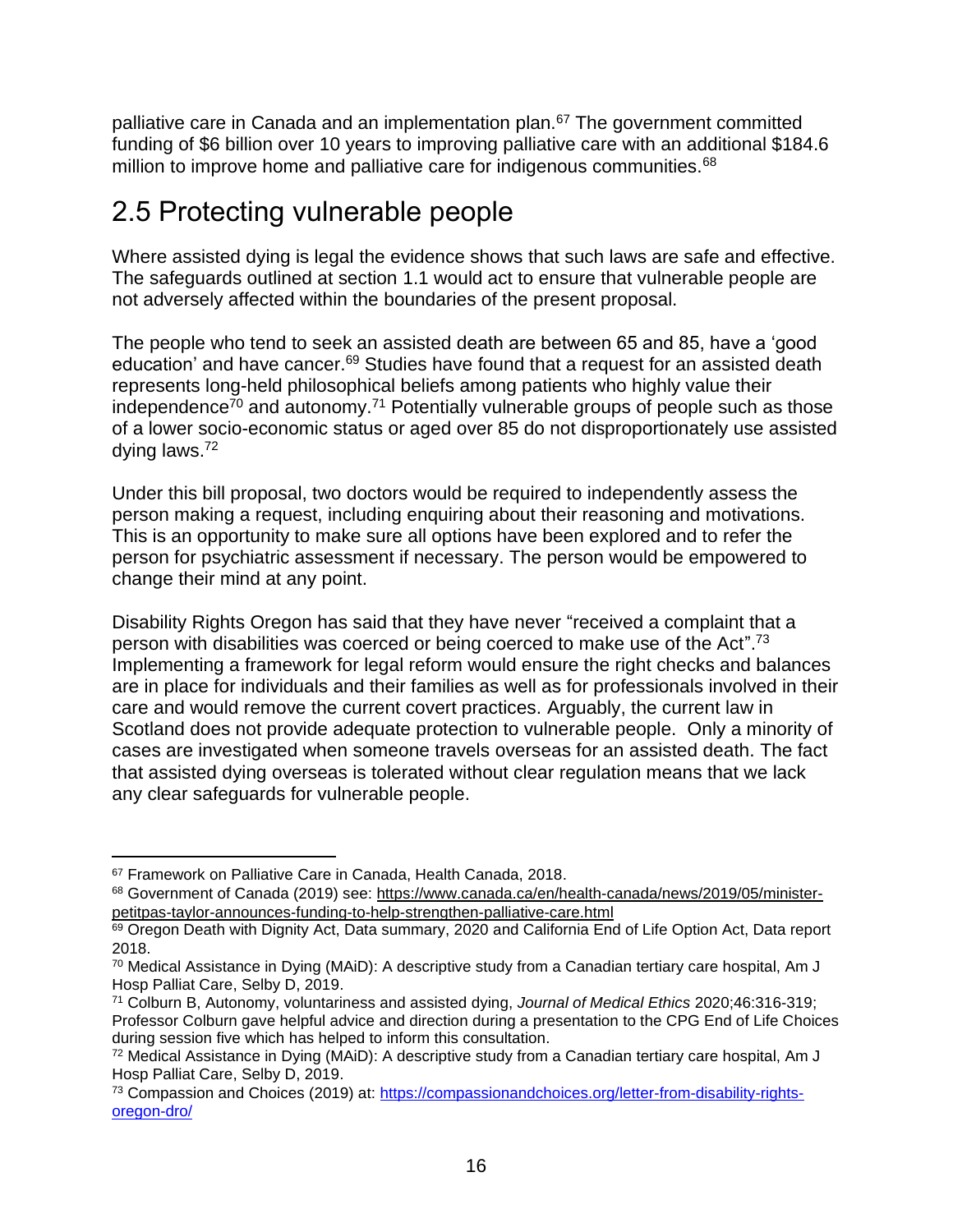palliative care in Canada and an implementation plan.<sup>67</sup> The government committed funding of \$6 billion over 10 years to improving palliative care with an additional \$184.6 million to improve home and palliative care for indigenous communities.<sup>68</sup>

## 2.5 Protecting vulnerable people

Where assisted dying is legal the evidence shows that such laws are safe and effective. The safeguards outlined at section 1.1 would act to ensure that vulnerable people are not adversely affected within the boundaries of the present proposal.

The people who tend to seek an assisted death are between 65 and 85, have a 'good education' and have cancer.<sup>69</sup> Studies have found that a request for an assisted death represents long-held philosophical beliefs among patients who highly value their independence<sup> $70$ </sup> and autonomy.<sup>71</sup> Potentially vulnerable groups of people such as those of a lower socio-economic status or aged over 85 do not disproportionately use assisted dying laws.<sup>72</sup>

Under this bill proposal, two doctors would be required to independently assess the person making a request, including enquiring about their reasoning and motivations. This is an opportunity to make sure all options have been explored and to refer the person for psychiatric assessment if necessary. The person would be empowered to change their mind at any point.

Disability Rights Oregon has said that they have never "received a complaint that a person with disabilities was coerced or being coerced to make use of the Act".<sup>73</sup> Implementing a framework for legal reform would ensure the right checks and balances are in place for individuals and their families as well as for professionals involved in their care and would remove the current covert practices. Arguably, the current law in Scotland does not provide adequate protection to vulnerable people. Only a minority of cases are investigated when someone travels overseas for an assisted death. The fact that assisted dying overseas is tolerated without clear regulation means that we lack any clear safeguards for vulnerable people.

<sup>67</sup> Framework on Palliative Care in Canada, Health Canada, 2018.

<sup>68</sup> Government of Canada (2019) see: [https://www.canada.ca/en/health-canada/news/2019/05/minister](https://www.canada.ca/en/health-canada/news/2019/05/minister-petitpas-taylor-announces-funding-to-help-strengthen-palliative-care.html)[petitpas-taylor-announces-funding-to-help-strengthen-palliative-care.html](https://www.canada.ca/en/health-canada/news/2019/05/minister-petitpas-taylor-announces-funding-to-help-strengthen-palliative-care.html)

<sup>69</sup> Oregon Death with Dignity Act, Data summary, 2020 and California End of Life Option Act, Data report 2018.

<sup>70</sup> Medical Assistance in Dying (MAiD): A descriptive study from a Canadian tertiary care hospital, Am J Hosp Palliat Care, Selby D, 2019.

<sup>71</sup> Colburn B, Autonomy, voluntariness and assisted dying, *Journal of Medical Ethics* 2020;46:316-319; Professor Colburn gave helpful advice and direction during a presentation to the CPG End of Life Choices during session five which has helped to inform this consultation.

<sup>72</sup> Medical Assistance in Dying (MAiD): A descriptive study from a Canadian tertiary care hospital, Am J Hosp Palliat Care, Selby D, 2019.

<sup>73</sup> Compassion and Choices (2019) at: [https://compassionandchoices.org/letter-from-disability-rights](https://compassionandchoices.org/letter-from-disability-rights-oregon-dro/)[oregon-dro/](https://compassionandchoices.org/letter-from-disability-rights-oregon-dro/)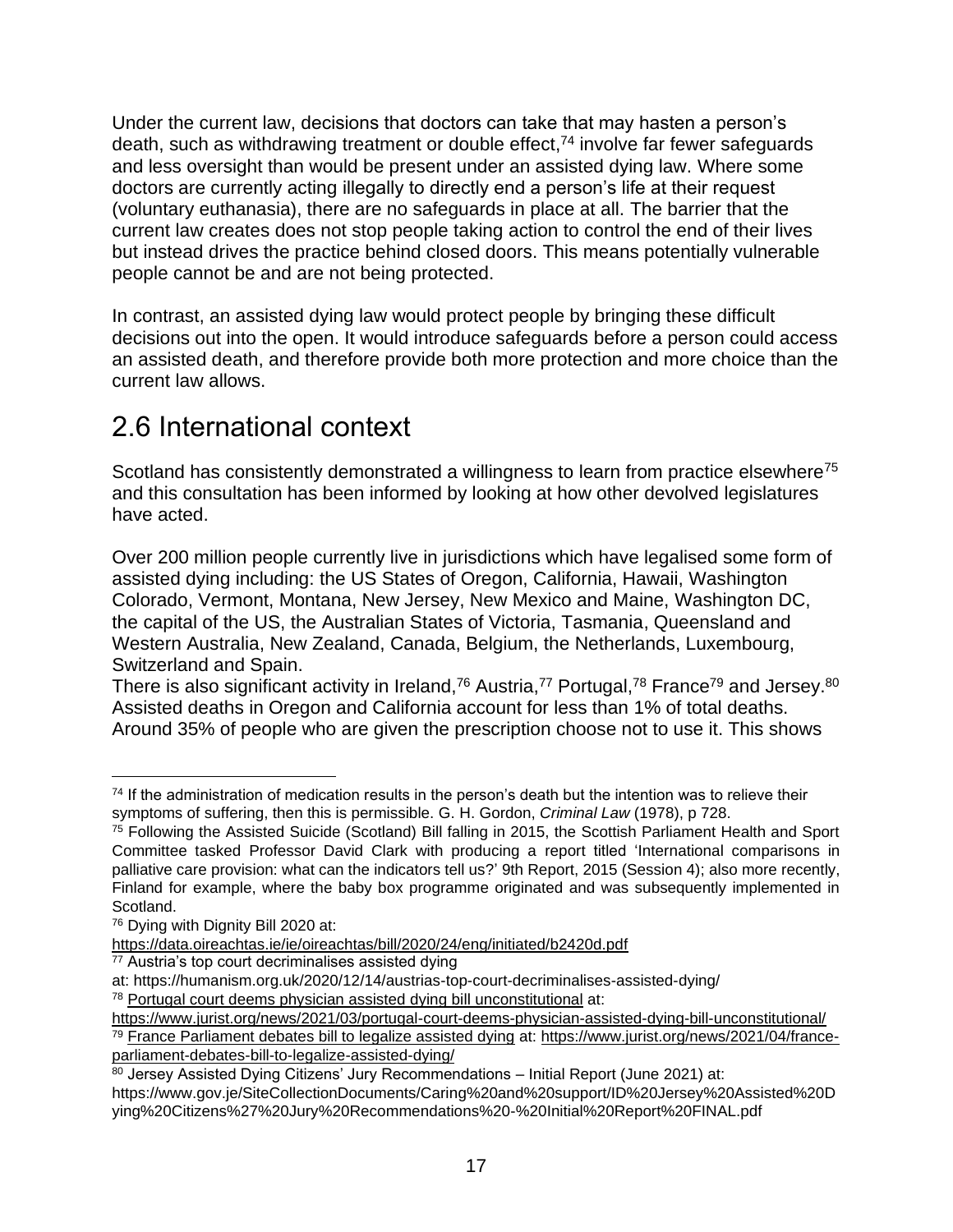Under the current law, decisions that doctors can take that may hasten a person's death, such as withdrawing treatment or double effect,  $74$  involve far fewer safeguards and less oversight than would be present under an assisted dying law. Where some doctors are currently acting illegally to directly end a person's life at their request (voluntary euthanasia), there are no safeguards in place at all. The barrier that the current law creates does not stop people taking action to control the end of their lives but instead drives the practice behind closed doors. This means potentially vulnerable people cannot be and are not being protected.

In contrast, an assisted dying law would protect people by bringing these difficult decisions out into the open. It would introduce safeguards before a person could access an assisted death, and therefore provide both more protection and more choice than the current law allows.

## 2.6 International context

Scotland has consistently demonstrated a willingness to learn from practice elsewhere<sup>75</sup> and this consultation has been informed by looking at how other devolved legislatures have acted.

Over 200 million people currently live in jurisdictions which have legalised some form of assisted dying including: the US States of Oregon, California, Hawaii, Washington Colorado, Vermont, Montana, New Jersey, New Mexico and Maine, Washington DC, the capital of the US, the Australian States of Victoria, Tasmania, Queensland and Western Australia, New Zealand, Canada, Belgium, the Netherlands, Luxembourg, Switzerland and Spain.

There is also significant activity in Ireland,<sup>76</sup> Austria,<sup>77</sup> Portugal,<sup>78</sup> France<sup>79</sup> and Jersey.<sup>80</sup> Assisted deaths in Oregon and California account for less than 1% of total deaths. Around 35% of people who are given the prescription choose not to use it. This shows

<https://www.jurist.org/news/2021/03/portugal-court-deems-physician-assisted-dying-bill-unconstitutional/>

<sup>&</sup>lt;sup>74</sup> If the administration of medication results in the person's death but the intention was to relieve their symptoms of suffering, then this is permissible. G. H. Gordon, *Criminal Law* (1978), p 728.

<sup>75</sup> Following the Assisted Suicide (Scotland) Bill falling in 2015, the Scottish Parliament Health and Sport Committee tasked Professor David Clark with producing a report titled 'International comparisons in palliative care provision: what can the indicators tell us?' 9th Report, 2015 (Session 4); also more recently, Finland for example, where the baby box programme originated and was subsequently implemented in Scotland.

<sup>76</sup> Dying with Dignity Bill 2020 at:

<https://data.oireachtas.ie/ie/oireachtas/bill/2020/24/eng/initiated/b2420d.pdf>

 $77$  Austria's top court decriminalises assisted dying

at: https://humanism.org.uk/2020/12/14/austrias-top-court-decriminalises-assisted-dying/

<sup>78</sup> [Portugal court deems physician assisted dying bill unconstitutional](https://www.jurist.org/news/2021/03/portugal-court-deems-physician-assisted-dying-bill-unconstitutional/) at:

<sup>79</sup> [France Parliament debates bill to legalize assisted dying](https://www.jurist.org/news/2021/04/france-parliament-debates-bill-to-legalize-assisted-dying/) at: [https://www.jurist.org/news/2021/04/france](https://www.jurist.org/news/2021/04/france-parliament-debates-bill-to-legalize-assisted-dying/)[parliament-debates-bill-to-legalize-assisted-dying/](https://www.jurist.org/news/2021/04/france-parliament-debates-bill-to-legalize-assisted-dying/)

<sup>80</sup> Jersey Assisted Dying Citizens' Jury Recommendations – Initial Report (June 2021) at: https://www.gov.je/SiteCollectionDocuments/Caring%20and%20support/ID%20Jersey%20Assisted%20D ying%20Citizens%27%20Jury%20Recommendations%20-%20Initial%20Report%20FINAL.pdf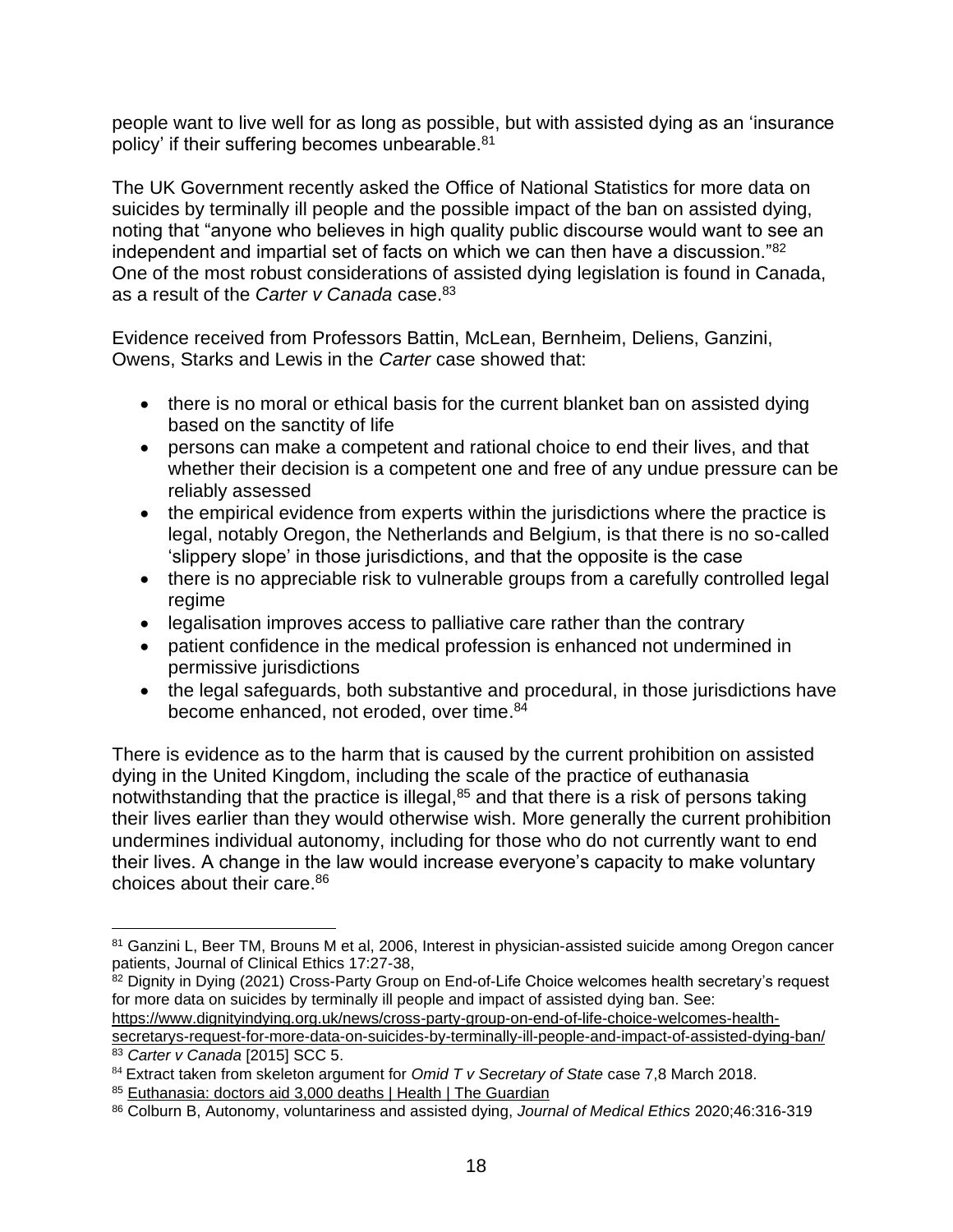people want to live well for as long as possible, but with assisted dying as an 'insurance policy' if their suffering becomes unbearable.<sup>81</sup>

The UK Government recently asked the Office of National Statistics for more data on suicides by terminally ill people and the possible impact of the ban on assisted dying, noting that "anyone who believes in high quality public discourse would want to see an independent and impartial set of facts on which we can then have a discussion."<sup>82</sup> One of the most robust considerations of assisted dying legislation is found in Canada, as a result of the *Carter v Canada* case.<sup>83</sup>

Evidence received from Professors Battin, McLean, Bernheim, Deliens, Ganzini, Owens, Starks and Lewis in the *Carter* case showed that:

- there is no moral or ethical basis for the current blanket ban on assisted dying based on the sanctity of life
- persons can make a competent and rational choice to end their lives, and that whether their decision is a competent one and free of any undue pressure can be reliably assessed
- the empirical evidence from experts within the jurisdictions where the practice is legal, notably Oregon, the Netherlands and Belgium, is that there is no so-called 'slippery slope' in those jurisdictions, and that the opposite is the case
- there is no appreciable risk to vulnerable groups from a carefully controlled legal regime
- legalisation improves access to palliative care rather than the contrary
- patient confidence in the medical profession is enhanced not undermined in permissive jurisdictions
- the legal safeguards, both substantive and procedural, in those jurisdictions have become enhanced, not eroded, over time.<sup>84</sup>

There is evidence as to the harm that is caused by the current prohibition on assisted dying in the United Kingdom, including the scale of the practice of euthanasia notwithstanding that the practice is illegal,<sup>85</sup> and that there is a risk of persons taking their lives earlier than they would otherwise wish. More generally the current prohibition undermines individual autonomy, including for those who do not currently want to end their lives. A change in the law would increase everyone's capacity to make voluntary choices about their care.<sup>86</sup>

82 Dignity in Dying (2021) Cross-Party Group on End-of-Life Choice welcomes health secretary's request for more data on suicides by terminally ill people and impact of assisted dying ban. See: [https://www.dignityindying.org.uk/news/cross-party-group-on-end-of-life-choice-welcomes-health-](https://www.dignityindying.org.uk/news/cross-party-group-on-end-of-life-choice-welcomes-health-secretarys-request-for-more-data-on-suicides-by-terminally-ill-people-and-impact-of-assisted-dying-ban/)

[secretarys-request-for-more-data-on-suicides-by-terminally-ill-people-and-impact-of-assisted-dying-ban/](https://www.dignityindying.org.uk/news/cross-party-group-on-end-of-life-choice-welcomes-health-secretarys-request-for-more-data-on-suicides-by-terminally-ill-people-and-impact-of-assisted-dying-ban/) <sup>83</sup> *Carter v Canada* [2015] SCC 5.

<sup>81</sup> Ganzini L, Beer TM, Brouns M et al, 2006, Interest in physician-assisted suicide among Oregon cancer patients, Journal of Clinical Ethics 17:27-38,

<sup>84</sup> Extract taken from skeleton argument for *Omid T v Secretary of State* case 7,8 March 2018.

<sup>85</sup> [Euthanasia: doctors aid 3,000 deaths | Health | The Guardian](https://www.theguardian.com/society/2006/jan/18/health.science)

<sup>86</sup> Colburn B, Autonomy, voluntariness and assisted dying, *Journal of Medical Ethics* 2020;46:316-319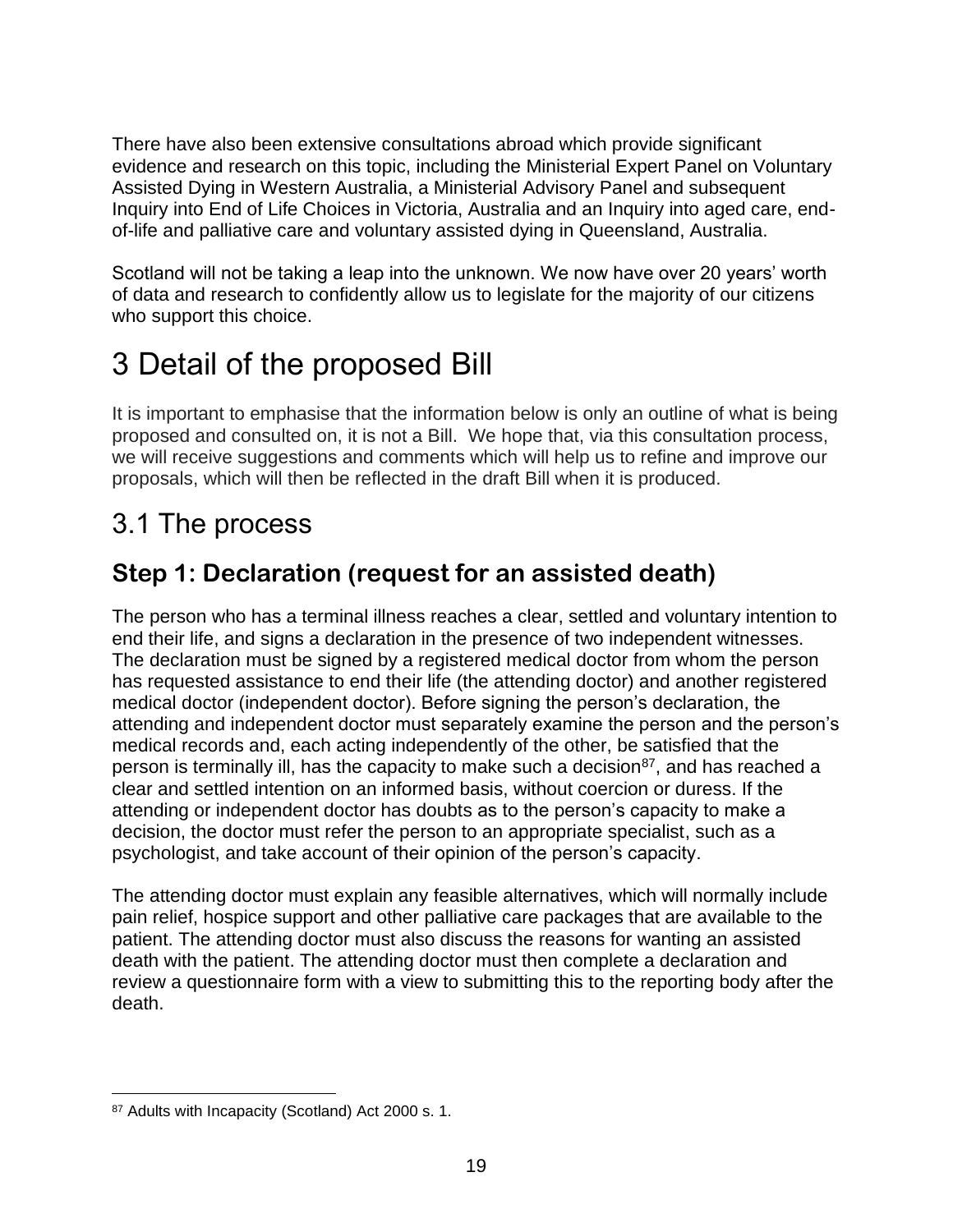There have also been extensive consultations abroad which provide significant evidence and research on this topic, including the Ministerial Expert Panel on Voluntary Assisted Dying in Western Australia, a Ministerial Advisory Panel and subsequent Inquiry into End of Life Choices in Victoria, Australia and an Inquiry into aged care, endof-life and palliative care and voluntary assisted dying in Queensland, Australia.

Scotland will not be taking a leap into the unknown. We now have over 20 years' worth of data and research to confidently allow us to legislate for the majority of our citizens who support this choice.

# 3 Detail of the proposed Bill

It is important to emphasise that the information below is only an outline of what is being proposed and consulted on, it is not a Bill. We hope that, via this consultation process, we will receive suggestions and comments which will help us to refine and improve our proposals, which will then be reflected in the draft Bill when it is produced.

## 3.1 The process

#### **Step 1: Declaration (request for an assisted death)**

The person who has a terminal illness reaches a clear, settled and voluntary intention to end their life, and signs a declaration in the presence of two independent witnesses. The declaration must be signed by a registered medical doctor from whom the person has requested assistance to end their life (the attending doctor) and another registered medical doctor (independent doctor). Before signing the person's declaration, the attending and independent doctor must separately examine the person and the person's medical records and, each acting independently of the other, be satisfied that the person is terminally ill, has the capacity to make such a decision<sup>87</sup>, and has reached a clear and settled intention on an informed basis, without coercion or duress. If the attending or independent doctor has doubts as to the person's capacity to make a decision, the doctor must refer the person to an appropriate specialist, such as a psychologist, and take account of their opinion of the person's capacity.

The attending doctor must explain any feasible alternatives, which will normally include pain relief, hospice support and other palliative care packages that are available to the patient. The attending doctor must also discuss the reasons for wanting an assisted death with the patient. The attending doctor must then complete a declaration and review a questionnaire form with a view to submitting this to the reporting body after the death.

<sup>87</sup> Adults with Incapacity (Scotland) Act 2000 s. 1.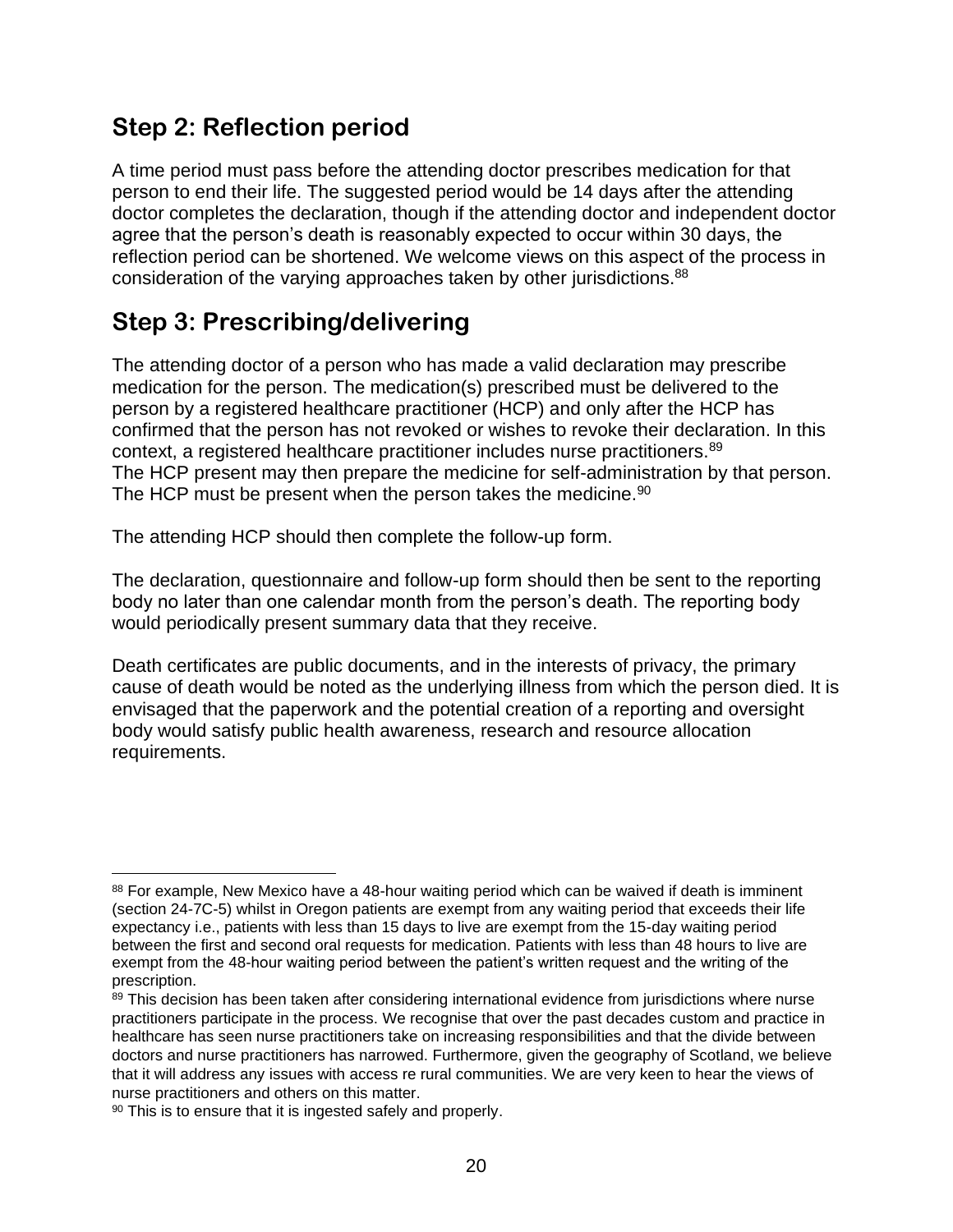#### **Step 2: Reflection period**

A time period must pass before the attending doctor prescribes medication for that person to end their life. The suggested period would be 14 days after the attending doctor completes the declaration, though if the attending doctor and independent doctor agree that the person's death is reasonably expected to occur within 30 days, the reflection period can be shortened. We welcome views on this aspect of the process in consideration of the varying approaches taken by other jurisdictions.<sup>88</sup>

#### **Step 3: Prescribing/delivering**

The attending doctor of a person who has made a valid declaration may prescribe medication for the person. The medication(s) prescribed must be delivered to the person by a registered healthcare practitioner (HCP) and only after the HCP has confirmed that the person has not revoked or wishes to revoke their declaration. In this context, a registered healthcare practitioner includes nurse practitioners.<sup>89</sup> The HCP present may then prepare the medicine for self-administration by that person. The HCP must be present when the person takes the medicine.<sup>90</sup>

The attending HCP should then complete the follow-up form.

The declaration, questionnaire and follow-up form should then be sent to the reporting body no later than one calendar month from the person's death. The reporting body would periodically present summary data that they receive.

Death certificates are public documents, and in the interests of privacy, the primary cause of death would be noted as the underlying illness from which the person died. It is envisaged that the paperwork and the potential creation of a reporting and oversight body would satisfy public health awareness, research and resource allocation requirements.

<sup>88</sup> For example, New Mexico have a 48-hour waiting period which can be waived if death is imminent (section 24-7C-5) whilst in Oregon patients are exempt from any waiting period that exceeds their life expectancy i.e., patients with less than 15 days to live are exempt from the 15-day waiting period between the first and second oral requests for medication. Patients with less than 48 hours to live are exempt from the 48-hour waiting period between the patient's written request and the writing of the prescription.

<sup>89</sup> This decision has been taken after considering international evidence from jurisdictions where nurse practitioners participate in the process. We recognise that over the past decades custom and practice in healthcare has seen nurse practitioners take on increasing responsibilities and that the divide between doctors and nurse practitioners has narrowed. Furthermore, given the geography of Scotland, we believe that it will address any issues with access re rural communities. We are very keen to hear the views of nurse practitioners and others on this matter.

<sup>90</sup> This is to ensure that it is ingested safely and properly.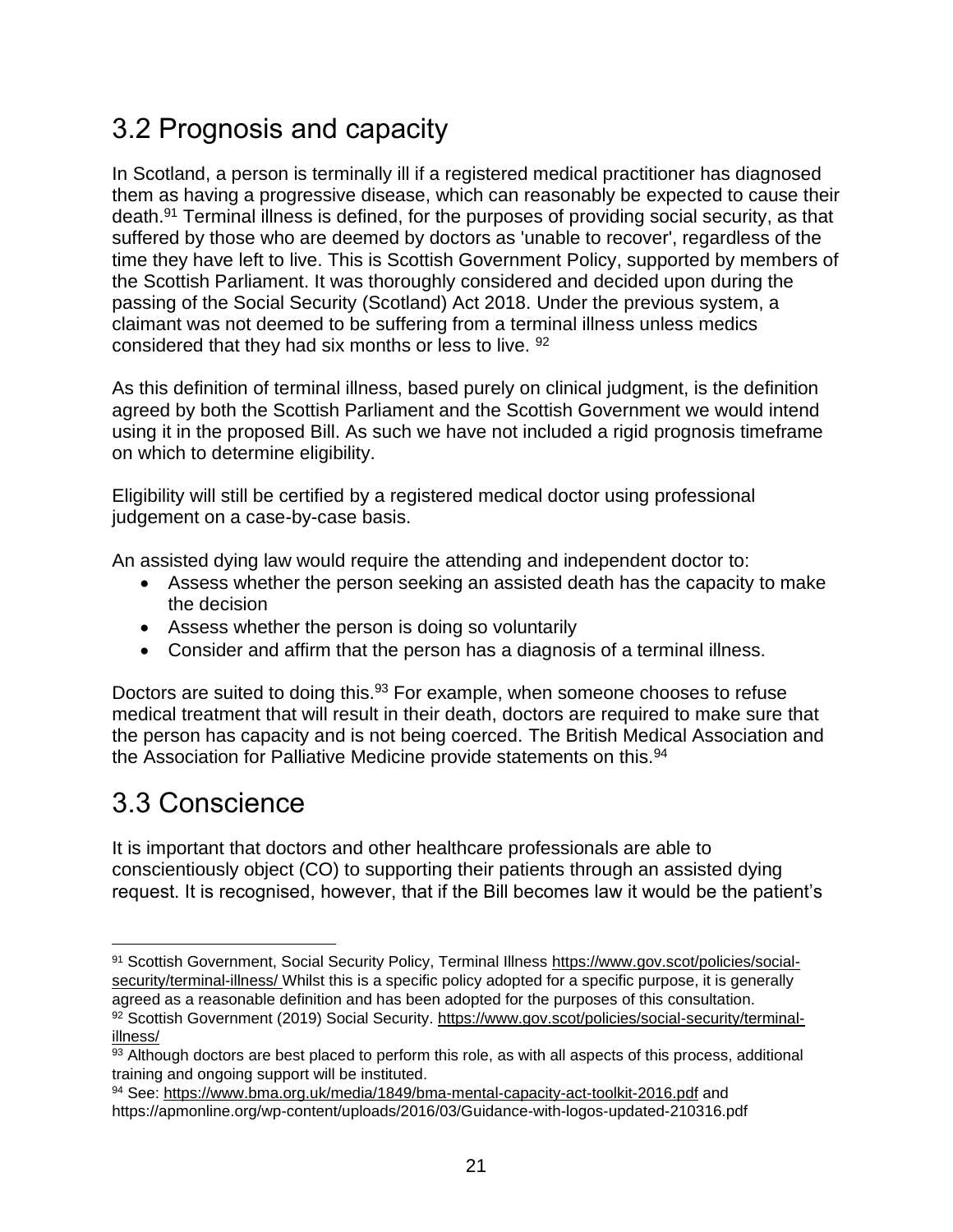## 3.2 Prognosis and capacity

In Scotland, a person is terminally ill if a registered medical practitioner has diagnosed them as having a progressive disease, which can reasonably be expected to cause their death.<sup>91</sup> Terminal illness is defined, for the purposes of providing social security, as that suffered by those who are deemed by doctors as 'unable to recover', regardless of the time they have left to live. This is Scottish Government Policy, supported by members of the Scottish Parliament. It was thoroughly considered and decided upon during the passing of the Social Security (Scotland) Act 2018. Under the previous system, a claimant was not deemed to be suffering from a terminal illness unless medics considered that they had six months or less to live. <sup>92</sup>

As this definition of terminal illness, based purely on clinical judgment, is the definition agreed by both the Scottish Parliament and the Scottish Government we would intend using it in the proposed Bill. As such we have not included a rigid prognosis timeframe on which to determine eligibility.

Eligibility will still be certified by a registered medical doctor using professional judgement on a case-by-case basis.

An assisted dying law would require the attending and independent doctor to:

- Assess whether the person seeking an assisted death has the capacity to make the decision
- Assess whether the person is doing so voluntarily
- Consider and affirm that the person has a diagnosis of a terminal illness.

Doctors are suited to doing this.<sup>93</sup> For example, when someone chooses to refuse medical treatment that will result in their death, doctors are required to make sure that the person has capacity and is not being coerced. The British Medical Association and the Association for Palliative Medicine provide statements on this.<sup>94</sup>

## 3.3 Conscience

It is important that doctors and other healthcare professionals are able to conscientiously object (CO) to supporting their patients through an assisted dying request. It is recognised, however, that if the Bill becomes law it would be the patient's

<sup>91</sup> Scottish Government, Social Security Policy, Terminal Illness [https://www.gov.scot/policies/social](https://www.gov.scot/policies/social-security/terminal-illness/)[security/terminal-illness/](https://www.gov.scot/policies/social-security/terminal-illness/) Whilst this is a specific policy adopted for a specific purpose, it is generally agreed as a reasonable definition and has been adopted for the purposes of this consultation. 92 Scottish Government (2019) Social Security. [https://www.gov.scot/policies/social-security/terminal](https://www.gov.scot/policies/social-security/terminal-illness/)[illness/](https://www.gov.scot/policies/social-security/terminal-illness/)

 $\frac{93}{93}$  Although doctors are best placed to perform this role, as with all aspects of this process, additional training and ongoing support will be instituted.

<sup>94</sup> See:<https://www.bma.org.uk/media/1849/bma-mental-capacity-act-toolkit-2016.pdf> and https://apmonline.org/wp-content/uploads/2016/03/Guidance-with-logos-updated-210316.pdf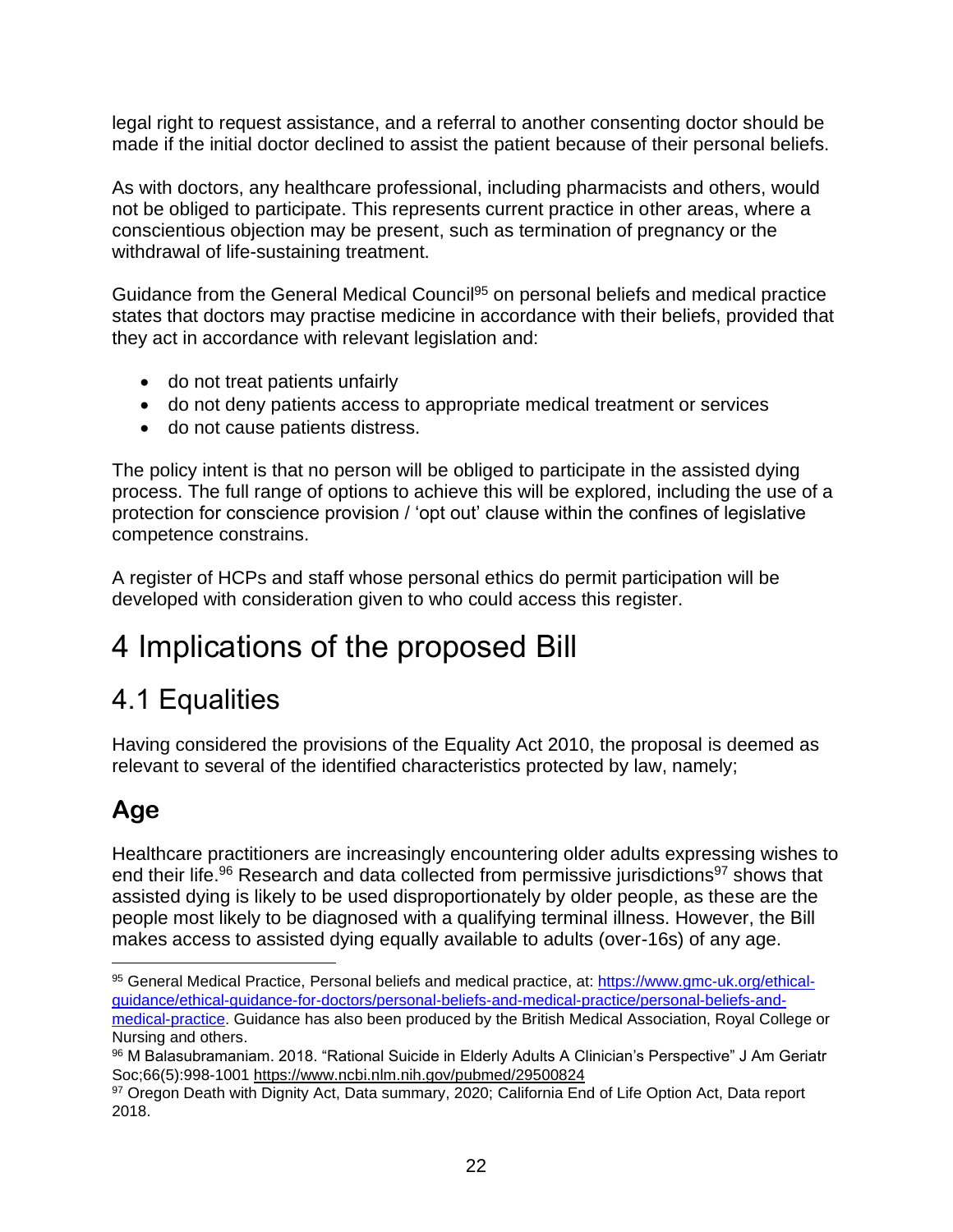legal right to request assistance, and a referral to another consenting doctor should be made if the initial doctor declined to assist the patient because of their personal beliefs.

As with doctors, any healthcare professional, including pharmacists and others, would not be obliged to participate. This represents current practice in other areas, where a conscientious objection may be present, such as termination of pregnancy or the withdrawal of life-sustaining treatment.

Guidance from the General Medical Council<sup>95</sup> on personal beliefs and medical practice states that doctors may practise medicine in accordance with their beliefs, provided that they act in accordance with relevant legislation and:

- do not treat patients unfairly
- do not deny patients access to appropriate medical treatment or services
- do not cause patients distress.

The policy intent is that no person will be obliged to participate in the assisted dying process. The full range of options to achieve this will be explored, including the use of a protection for conscience provision / 'opt out' clause within the confines of legislative competence constrains.

A register of HCPs and staff whose personal ethics do permit participation will be developed with consideration given to who could access this register.

# 4 Implications of the proposed Bill

## 4.1 Equalities

Having considered the provisions of the Equality Act 2010, the proposal is deemed as relevant to several of the identified characteristics protected by law, namely;

## **Age**

Healthcare practitioners are increasingly encountering older adults expressing wishes to end their life.<sup>96</sup> Research and data collected from permissive jurisdictions<sup>97</sup> shows that assisted dying is likely to be used disproportionately by older people, as these are the people most likely to be diagnosed with a qualifying terminal illness. However, the Bill makes access to assisted dying equally available to adults (over-16s) of any age.

<sup>95</sup> General Medical Practice, Personal beliefs and medical practice, at: [https://www.gmc-uk.org/ethical](https://www.gmc-uk.org/ethical-guidance/ethical-guidance-for-doctors/personal-beliefs-and-medical-practice/personal-beliefs-and-medical-practice)[guidance/ethical-guidance-for-doctors/personal-beliefs-and-medical-practice/personal-beliefs-and](https://www.gmc-uk.org/ethical-guidance/ethical-guidance-for-doctors/personal-beliefs-and-medical-practice/personal-beliefs-and-medical-practice)[medical-practice.](https://www.gmc-uk.org/ethical-guidance/ethical-guidance-for-doctors/personal-beliefs-and-medical-practice/personal-beliefs-and-medical-practice) Guidance has also been produced by the British Medical Association, Royal College or Nursing and others.

<sup>96</sup> M Balasubramaniam. 2018. "Rational Suicide in Elderly Adults A Clinician's Perspective" J Am Geriatr Soc;66(5):998-1001<https://www.ncbi.nlm.nih.gov/pubmed/29500824>

<sup>97</sup> Oregon Death with Dignity Act, Data summary, 2020; California End of Life Option Act, Data report 2018.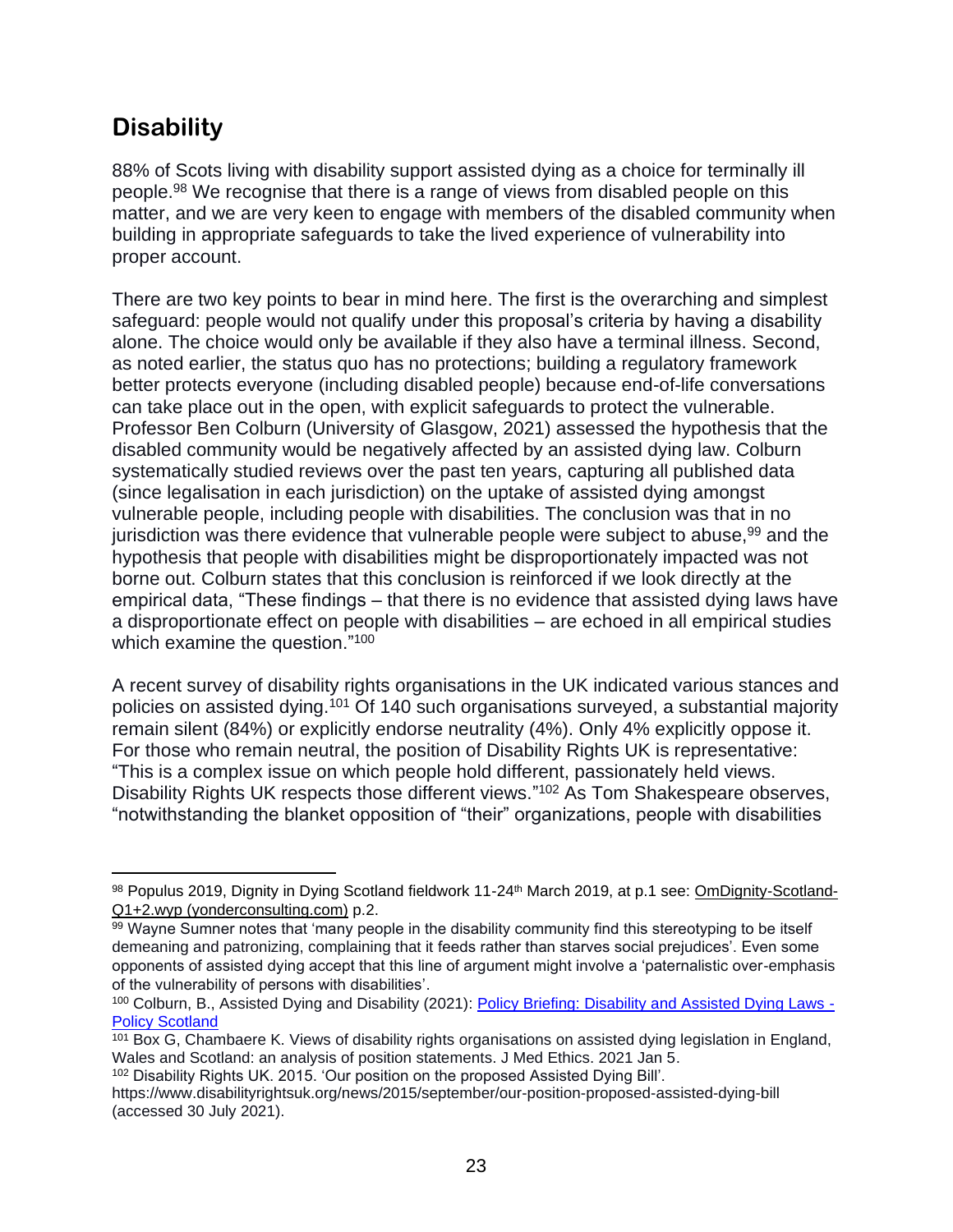#### **Disability**

88% of Scots living with disability support assisted dying as a choice for terminally ill people.<sup>98</sup> We recognise that there is a range of views from disabled people on this matter, and we are very keen to engage with members of the disabled community when building in appropriate safeguards to take the lived experience of vulnerability into proper account.

There are two key points to bear in mind here. The first is the overarching and simplest safeguard: people would not qualify under this proposal's criteria by having a disability alone. The choice would only be available if they also have a terminal illness. Second, as noted earlier, the status quo has no protections; building a regulatory framework better protects everyone (including disabled people) because end-of-life conversations can take place out in the open, with explicit safeguards to protect the vulnerable. Professor Ben Colburn (University of Glasgow, 2021) assessed the hypothesis that the disabled community would be negatively affected by an assisted dying law. Colburn systematically studied reviews over the past ten years, capturing all published data (since legalisation in each jurisdiction) on the uptake of assisted dying amongst vulnerable people, including people with disabilities. The conclusion was that in no jurisdiction was there evidence that vulnerable people were subject to abuse,  $99$  and the hypothesis that people with disabilities might be disproportionately impacted was not borne out. Colburn states that this conclusion is reinforced if we look directly at the empirical data, "These findings – that there is no evidence that assisted dying laws have a disproportionate effect on people with disabilities – are echoed in all empirical studies which examine the question."<sup>100</sup>

A recent survey of disability rights organisations in the UK indicated various stances and policies on assisted dying.<sup>101</sup> Of 140 such organisations surveyed, a substantial majority remain silent (84%) or explicitly endorse neutrality (4%). Only 4% explicitly oppose it. For those who remain neutral, the position of Disability Rights UK is representative: "This is a complex issue on which people hold different, passionately held views. Disability Rights UK respects those different views."<sup>102</sup> As Tom Shakespeare observes, "notwithstanding the blanket opposition of "their" organizations, people with disabilities

<sup>98</sup> Populus 2019, Dignity in Dying Scotland fieldwork 11-24<sup>th</sup> March 2019, at p.1 see: [OmDignity-Scotland-](https://yonderconsulting.com/poll-archive/Dignity-in-Dying-Scotland-poll-11-24-March-2019-Q1-Q2-tables-for-publication.pdf)[Q1+2.wyp \(yonderconsulting.com\)](https://yonderconsulting.com/poll-archive/Dignity-in-Dying-Scotland-poll-11-24-March-2019-Q1-Q2-tables-for-publication.pdf) p.2.

<sup>99</sup> Wayne Sumner notes that 'many people in the disability community find this stereotyping to be itself demeaning and patronizing, complaining that it feeds rather than starves social prejudices'. Even some opponents of assisted dying accept that this line of argument might involve a 'paternalistic over-emphasis of the vulnerability of persons with disabilities'.

<sup>100</sup> Colburn, B., Assisted Dying and Disability (2021): [Policy Briefing: Disability and Assisted Dying Laws -](https://policyscotland.gla.ac.uk/policy-briefing-disability-and-assisted-dying-laws/) [Policy Scotland](https://policyscotland.gla.ac.uk/policy-briefing-disability-and-assisted-dying-laws/)

<sup>101</sup> Box G, Chambaere K. Views of disability rights organisations on assisted dying legislation in England, Wales and Scotland: an analysis of position statements. J Med Ethics. 2021 Jan 5.

<sup>102</sup> Disability Rights UK. 2015. 'Our position on the proposed Assisted Dying Bill'.

https://www.disabilityrightsuk.org/news/2015/september/our-position-proposed-assisted-dying-bill (accessed 30 July 2021).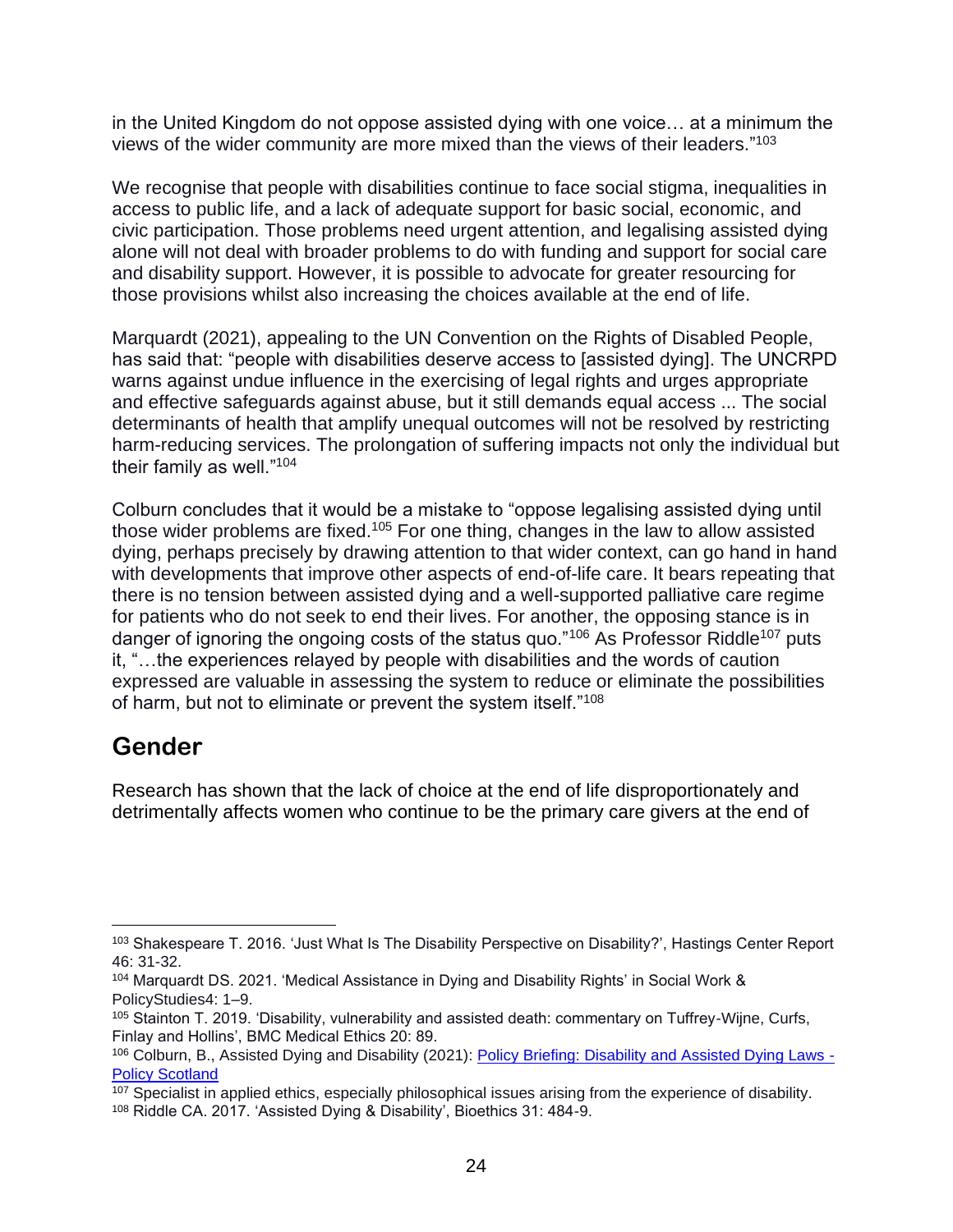in the United Kingdom do not oppose assisted dying with one voice… at a minimum the views of the wider community are more mixed than the views of their leaders."<sup>103</sup>

We recognise that people with disabilities continue to face social stigma, inequalities in access to public life, and a lack of adequate support for basic social, economic, and civic participation. Those problems need urgent attention, and legalising assisted dying alone will not deal with broader problems to do with funding and support for social care and disability support. However, it is possible to advocate for greater resourcing for those provisions whilst also increasing the choices available at the end of life.

Marquardt (2021), appealing to the UN Convention on the Rights of Disabled People, has said that: "people with disabilities deserve access to [assisted dying]. The UNCRPD warns against undue influence in the exercising of legal rights and urges appropriate and effective safeguards against abuse, but it still demands equal access ... The social determinants of health that amplify unequal outcomes will not be resolved by restricting harm-reducing services. The prolongation of suffering impacts not only the individual but their family as well."<sup>104</sup>

Colburn concludes that it would be a mistake to "oppose legalising assisted dying until those wider problems are fixed.<sup>105</sup> For one thing, changes in the law to allow assisted dying, perhaps precisely by drawing attention to that wider context, can go hand in hand with developments that improve other aspects of end-of-life care. It bears repeating that there is no tension between assisted dying and a well-supported palliative care regime for patients who do not seek to end their lives. For another, the opposing stance is in danger of ignoring the ongoing costs of the status quo."<sup>106</sup> As Professor Riddle<sup>107</sup> puts it, "…the experiences relayed by people with disabilities and the words of caution expressed are valuable in assessing the system to reduce or eliminate the possibilities of harm, but not to eliminate or prevent the system itself."<sup>108</sup>

#### **Gender**

Research has shown that the lack of choice at the end of life disproportionately and detrimentally affects women who continue to be the primary care givers at the end of

<sup>103</sup> Shakespeare T. 2016. 'Just What Is The Disability Perspective on Disability?', Hastings Center Report 46: 31-32.

<sup>104</sup> Marquardt DS. 2021. 'Medical Assistance in Dying and Disability Rights' in Social Work & PolicyStudies4: 1–9.

<sup>105</sup> Stainton T. 2019. 'Disability, vulnerability and assisted death: commentary on Tuffrey-Wijne, Curfs, Finlay and Hollins', BMC Medical Ethics 20: 89.

<sup>106</sup> Colburn, B., Assisted Dying and Disability (2021): [Policy Briefing: Disability and Assisted Dying Laws -](https://policyscotland.gla.ac.uk/policy-briefing-disability-and-assisted-dying-laws/) [Policy Scotland](https://policyscotland.gla.ac.uk/policy-briefing-disability-and-assisted-dying-laws/)

<sup>&</sup>lt;sup>107</sup> Specialist in applied ethics, especially philosophical issues arising from the experience of disability.

<sup>108</sup> Riddle CA. 2017. 'Assisted Dying & Disability', Bioethics 31: 484-9.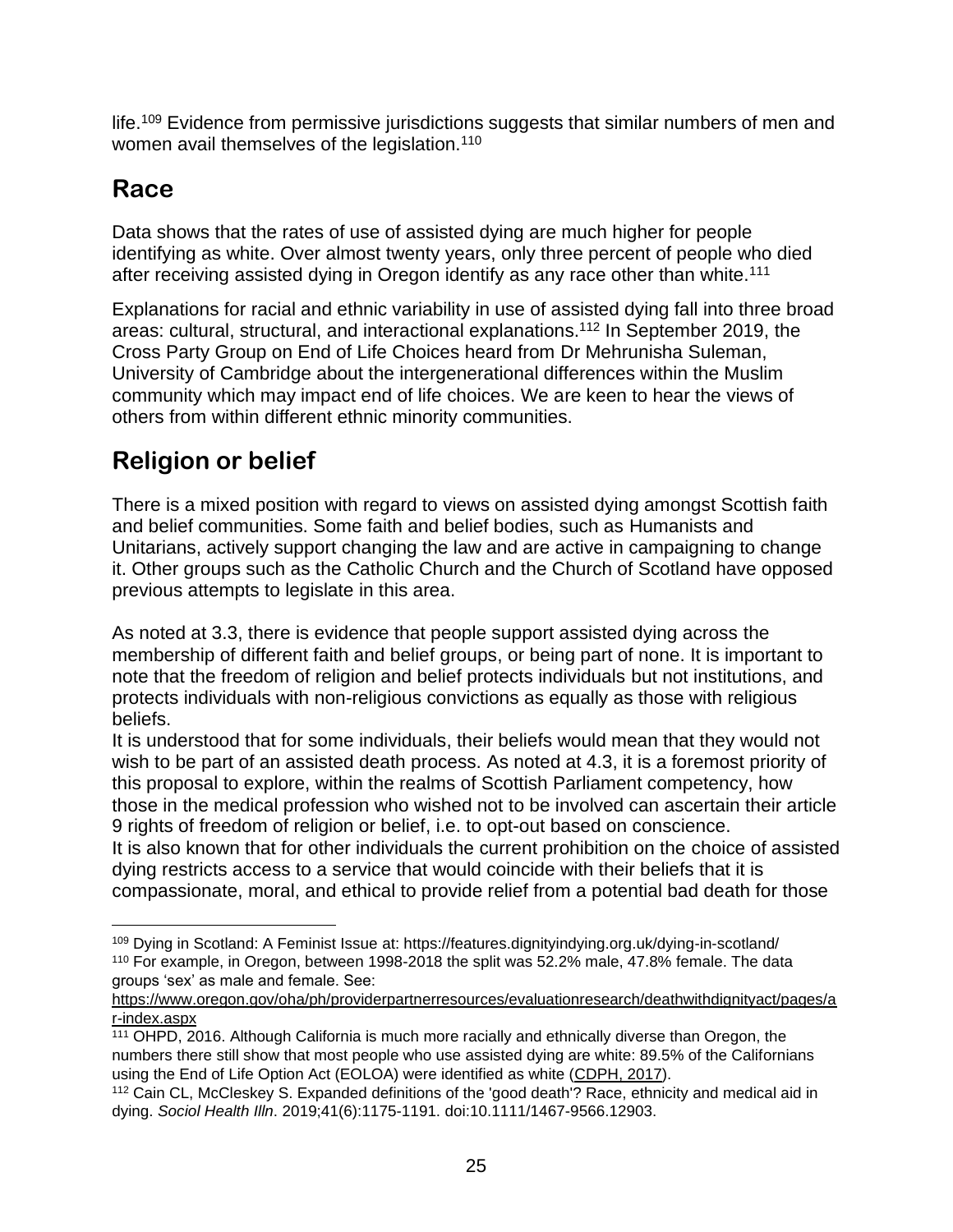life.<sup>109</sup> Evidence from permissive jurisdictions suggests that similar numbers of men and women avail themselves of the legislation.<sup>110</sup>

#### **Race**

Data shows that the rates of use of assisted dying are much higher for people identifying as white. Over almost twenty years, only three percent of people who died after receiving assisted dying in Oregon identify as any race other than white.<sup>111</sup>

Explanations for racial and ethnic variability in use of assisted dying fall into three broad areas: cultural, structural, and interactional explanations.<sup>112</sup> In September 2019, the Cross Party Group on End of Life Choices heard from Dr Mehrunisha Suleman, University of Cambridge about the intergenerational differences within the Muslim community which may impact end of life choices. We are keen to hear the views of others from within different ethnic minority communities.

## **Religion or belief**

There is a mixed position with regard to views on assisted dying amongst Scottish faith and belief communities. Some faith and belief bodies, such as Humanists and Unitarians, actively support changing the law and are active in campaigning to change it. Other groups such as the Catholic Church and the Church of Scotland have opposed previous attempts to legislate in this area.

As noted at 3.3, there is evidence that people support assisted dying across the membership of different faith and belief groups, or being part of none. It is important to note that the freedom of religion and belief protects individuals but not institutions, and protects individuals with non-religious convictions as equally as those with religious beliefs.

It is understood that for some individuals, their beliefs would mean that they would not wish to be part of an assisted death process. As noted at 4.3, it is a foremost priority of this proposal to explore, within the realms of Scottish Parliament competency, how those in the medical profession who wished not to be involved can ascertain their article 9 rights of freedom of religion or belief, i.e. to opt-out based on conscience.

It is also known that for other individuals the current prohibition on the choice of assisted dying restricts access to a service that would coincide with their beliefs that it is compassionate, moral, and ethical to provide relief from a potential bad death for those

<sup>109</sup> Dying in Scotland: A Feminist Issue at: https://features.dignityindying.org.uk/dying-in-scotland/ <sup>110</sup> For example, in Oregon, between 1998-2018 the split was 52.2% male, 47.8% female. The data groups 'sex' as male and female. See:

[https://www.oregon.gov/oha/ph/providerpartnerresources/evaluationresearch/deathwithdignityact/pages/a](https://www.oregon.gov/oha/ph/providerpartnerresources/evaluationresearch/deathwithdignityact/pages/ar-index.aspx) [r-index.aspx](https://www.oregon.gov/oha/ph/providerpartnerresources/evaluationresearch/deathwithdignityact/pages/ar-index.aspx)

<sup>111</sup> [OHPD, 2016.](https://www.ncbi.nlm.nih.gov/pmc/articles/PMC6786270/#R55) Although California is much more racially and ethnically diverse than Oregon, the numbers there still show that most people who use assisted dying are white: 89.5% of the Californians using the End of Life Option Act (EOLOA) were identified as white [\(CDPH, 2017\)](https://www.ncbi.nlm.nih.gov/pmc/articles/PMC6786270/#R13).

<sup>112</sup> Cain CL, McCleskey S. Expanded definitions of the 'good death'? Race, ethnicity and medical aid in dying. *Sociol Health Illn*. 2019;41(6):1175-1191. doi:10.1111/1467-9566.12903.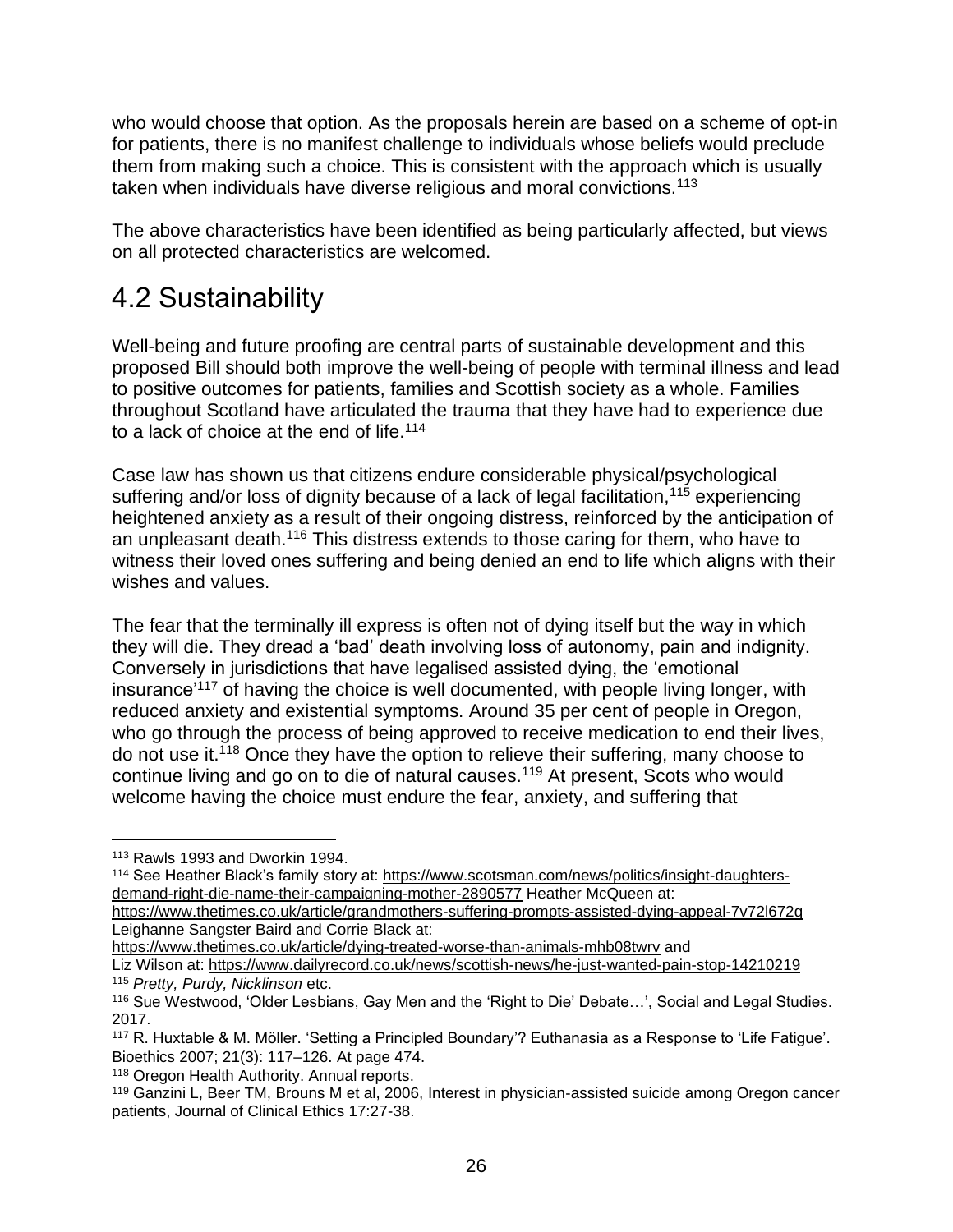who would choose that option. As the proposals herein are based on a scheme of opt-in for patients, there is no manifest challenge to individuals whose beliefs would preclude them from making such a choice. This is consistent with the approach which is usually taken when individuals have diverse religious and moral convictions.<sup>113</sup>

The above characteristics have been identified as being particularly affected, but views on all protected characteristics are welcomed.

## 4.2 Sustainability

Well-being and future proofing are central parts of sustainable development and this proposed Bill should both improve the well-being of people with terminal illness and lead to positive outcomes for patients, families and Scottish society as a whole. Families throughout Scotland have articulated the trauma that they have had to experience due to a lack of choice at the end of life.<sup>114</sup>

Case law has shown us that citizens endure considerable physical/psychological suffering and/or loss of dignity because of a lack of legal facilitation,<sup>115</sup> experiencing heightened anxiety as a result of their ongoing distress, reinforced by the anticipation of an unpleasant death.<sup>116</sup> This distress extends to those caring for them, who have to witness their loved ones suffering and being denied an end to life which aligns with their wishes and values.

The fear that the terminally ill express is often not of dying itself but the way in which they will die. They dread a 'bad' death involving loss of autonomy, pain and indignity. Conversely in jurisdictions that have legalised assisted dying, the 'emotional insurance'<sup>117</sup> of having the choice is well documented, with people living longer, with reduced anxiety and existential symptoms. Around 35 per cent of people in Oregon, who go through the process of being approved to receive medication to end their lives, do not use it.<sup>118</sup> Once they have the option to relieve their suffering, many choose to continue living and go on to die of natural causes.<sup>119</sup> At present, Scots who would welcome having the choice must endure the fear, anxiety, and suffering that

<sup>113</sup> Rawls 1993 and Dworkin 1994.

<sup>114</sup> See Heather Black's family story at: [https://www.scotsman.com/news/politics/insight-daughters](https://www.scotsman.com/news/politics/insight-daughters-demand-right-die-name-their-campaigning-mother-2890577)[demand-right-die-name-their-campaigning-mother-2890577](https://www.scotsman.com/news/politics/insight-daughters-demand-right-die-name-their-campaigning-mother-2890577) Heather McQueen at:

<https://www.thetimes.co.uk/article/grandmothers-suffering-prompts-assisted-dying-appeal-7v72l672q> Leighanne Sangster Baird and Corrie Black at:

<https://www.thetimes.co.uk/article/dying-treated-worse-than-animals-mhb08twrv> and

Liz Wilson at:<https://www.dailyrecord.co.uk/news/scottish-news/he-just-wanted-pain-stop-14210219> <sup>115</sup> *Pretty, Purdy, Nicklinson* etc.

<sup>116</sup> Sue Westwood, 'Older Lesbians, Gay Men and the 'Right to Die' Debate…', Social and Legal Studies. 2017.

<sup>117</sup> R. Huxtable & M. Möller. 'Setting a Principled Boundary'? Euthanasia as a Response to 'Life Fatigue'. Bioethics 2007; 21(3): 117–126. At page 474.

<sup>118</sup> Oregon Health Authority. Annual reports.

<sup>119</sup> Ganzini L, Beer TM, Brouns M et al, 2006, Interest in physician-assisted suicide among Oregon cancer patients, Journal of Clinical Ethics 17:27-38.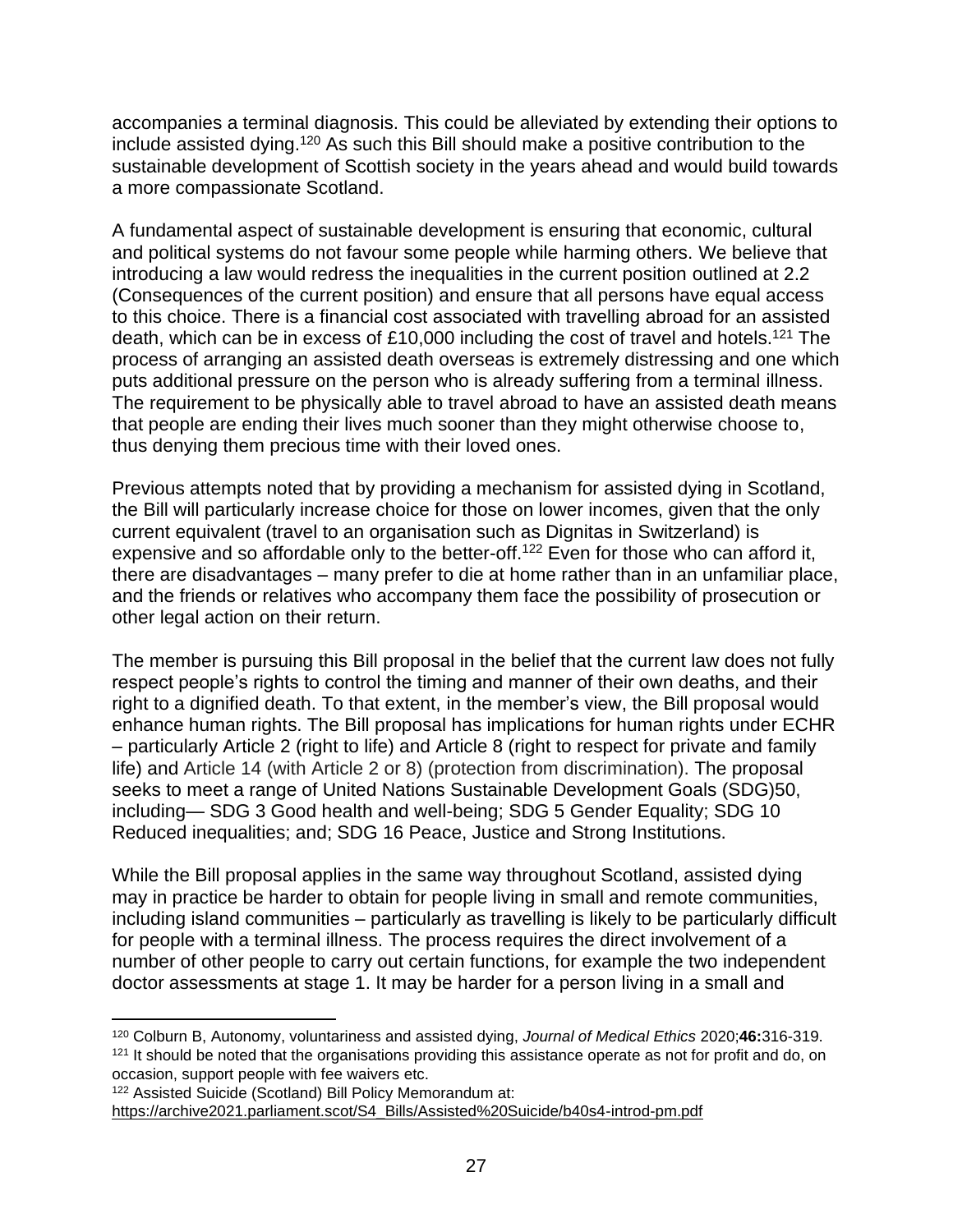accompanies a terminal diagnosis. This could be alleviated by extending their options to include assisted dying.<sup>120</sup> As such this Bill should make a positive contribution to the sustainable development of Scottish society in the years ahead and would build towards a more compassionate Scotland.

A fundamental aspect of sustainable development is ensuring that economic, cultural and political systems do not favour some people while harming others. We believe that introducing a law would redress the inequalities in the current position outlined at 2.2 (Consequences of the current position) and ensure that all persons have equal access to this choice. There is a financial cost associated with travelling abroad for an assisted death, which can be in excess of £10,000 including the cost of travel and hotels.<sup>121</sup> The process of arranging an assisted death overseas is extremely distressing and one which puts additional pressure on the person who is already suffering from a terminal illness. The requirement to be physically able to travel abroad to have an assisted death means that people are ending their lives much sooner than they might otherwise choose to, thus denying them precious time with their loved ones.

Previous attempts noted that by providing a mechanism for assisted dying in Scotland, the Bill will particularly increase choice for those on lower incomes, given that the only current equivalent (travel to an organisation such as Dignitas in Switzerland) is expensive and so affordable only to the better-off.<sup>122</sup> Even for those who can afford it, there are disadvantages – many prefer to die at home rather than in an unfamiliar place, and the friends or relatives who accompany them face the possibility of prosecution or other legal action on their return.

The member is pursuing this Bill proposal in the belief that the current law does not fully respect people's rights to control the timing and manner of their own deaths, and their right to a dignified death. To that extent, in the member's view, the Bill proposal would enhance human rights. The Bill proposal has implications for human rights under ECHR – particularly Article 2 (right to life) and Article 8 (right to respect for private and family life) and Article 14 (with Article 2 or 8) (protection from discrimination). The proposal seeks to meet a range of United Nations Sustainable Development Goals (SDG)50, including— SDG 3 Good health and well-being; SDG 5 Gender Equality; SDG 10 Reduced inequalities; and; SDG 16 Peace, Justice and Strong Institutions.

While the Bill proposal applies in the same way throughout Scotland, assisted dying may in practice be harder to obtain for people living in small and remote communities, including island communities – particularly as travelling is likely to be particularly difficult for people with a terminal illness. The process requires the direct involvement of a number of other people to carry out certain functions, for example the two independent doctor assessments at stage 1. It may be harder for a person living in a small and

<sup>120</sup> Colburn B, Autonomy, voluntariness and assisted dying, *Journal of Medical Ethics* 2020;**46:**316-319. <sup>121</sup> It should be noted that the organisations providing this assistance operate as not for profit and do, on occasion, support people with fee waivers etc.

<sup>122</sup> Assisted Suicide (Scotland) Bill Policy Memorandum at:

[https://archive2021.parliament.scot/S4\\_Bills/Assisted%20Suicide/b40s4-introd-pm.pdf](https://archive2021.parliament.scot/S4_Bills/Assisted%20Suicide/b40s4-introd-pm.pdf)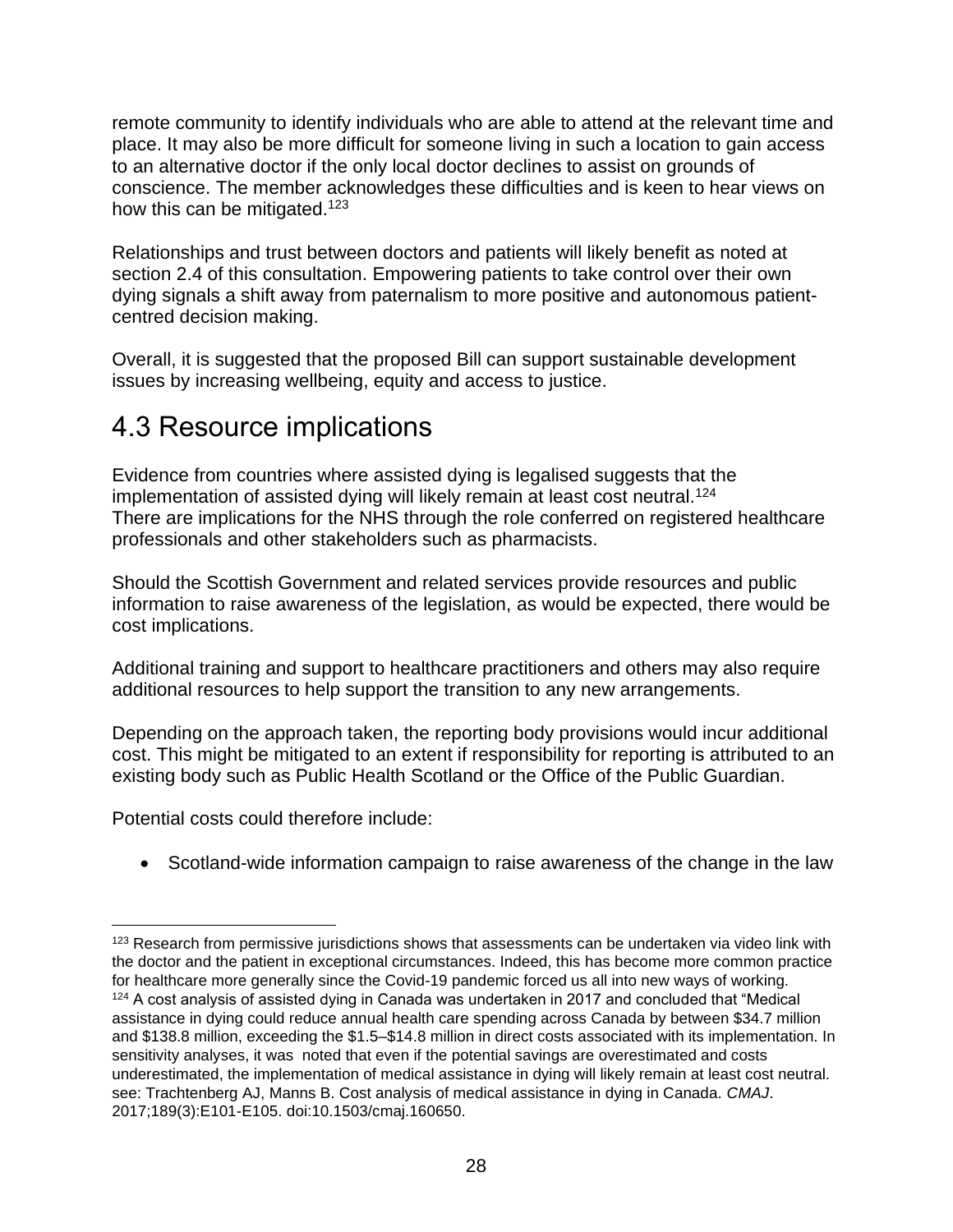remote community to identify individuals who are able to attend at the relevant time and place. It may also be more difficult for someone living in such a location to gain access to an alternative doctor if the only local doctor declines to assist on grounds of conscience. The member acknowledges these difficulties and is keen to hear views on how this can be mitigated.<sup>123</sup>

Relationships and trust between doctors and patients will likely benefit as noted at section 2.4 of this consultation. Empowering patients to take control over their own dying signals a shift away from paternalism to more positive and autonomous patientcentred decision making.

Overall, it is suggested that the proposed Bill can support sustainable development issues by increasing wellbeing, equity and access to justice.

## 4.3 Resource implications

Evidence from countries where assisted dying is legalised suggests that the implementation of assisted dying will likely remain at least cost neutral.<sup>124</sup> There are implications for the NHS through the role conferred on registered healthcare professionals and other stakeholders such as pharmacists.

Should the Scottish Government and related services provide resources and public information to raise awareness of the legislation, as would be expected, there would be cost implications.

Additional training and support to healthcare practitioners and others may also require additional resources to help support the transition to any new arrangements.

Depending on the approach taken, the reporting body provisions would incur additional cost. This might be mitigated to an extent if responsibility for reporting is attributed to an existing body such as Public Health Scotland or the Office of the Public Guardian.

Potential costs could therefore include:

• Scotland-wide information campaign to raise awareness of the change in the law

<sup>&</sup>lt;sup>123</sup> Research from permissive jurisdictions shows that assessments can be undertaken via video link with the doctor and the patient in exceptional circumstances. Indeed, this has become more common practice for healthcare more generally since the Covid-19 pandemic forced us all into new ways of working. <sup>124</sup> A cost analysis of assisted dying in Canada was undertaken in 2017 and concluded that "Medical assistance in dying could reduce annual health care spending across Canada by between \$34.7 million and \$138.8 million, exceeding the \$1.5–\$14.8 million in direct costs associated with its implementation. In sensitivity analyses, it was noted that even if the potential savings are overestimated and costs underestimated, the implementation of medical assistance in dying will likely remain at least cost neutral. see: Trachtenberg AJ, Manns B. Cost analysis of medical assistance in dying in Canada. *CMAJ*. 2017;189(3):E101-E105. doi:10.1503/cmaj.160650.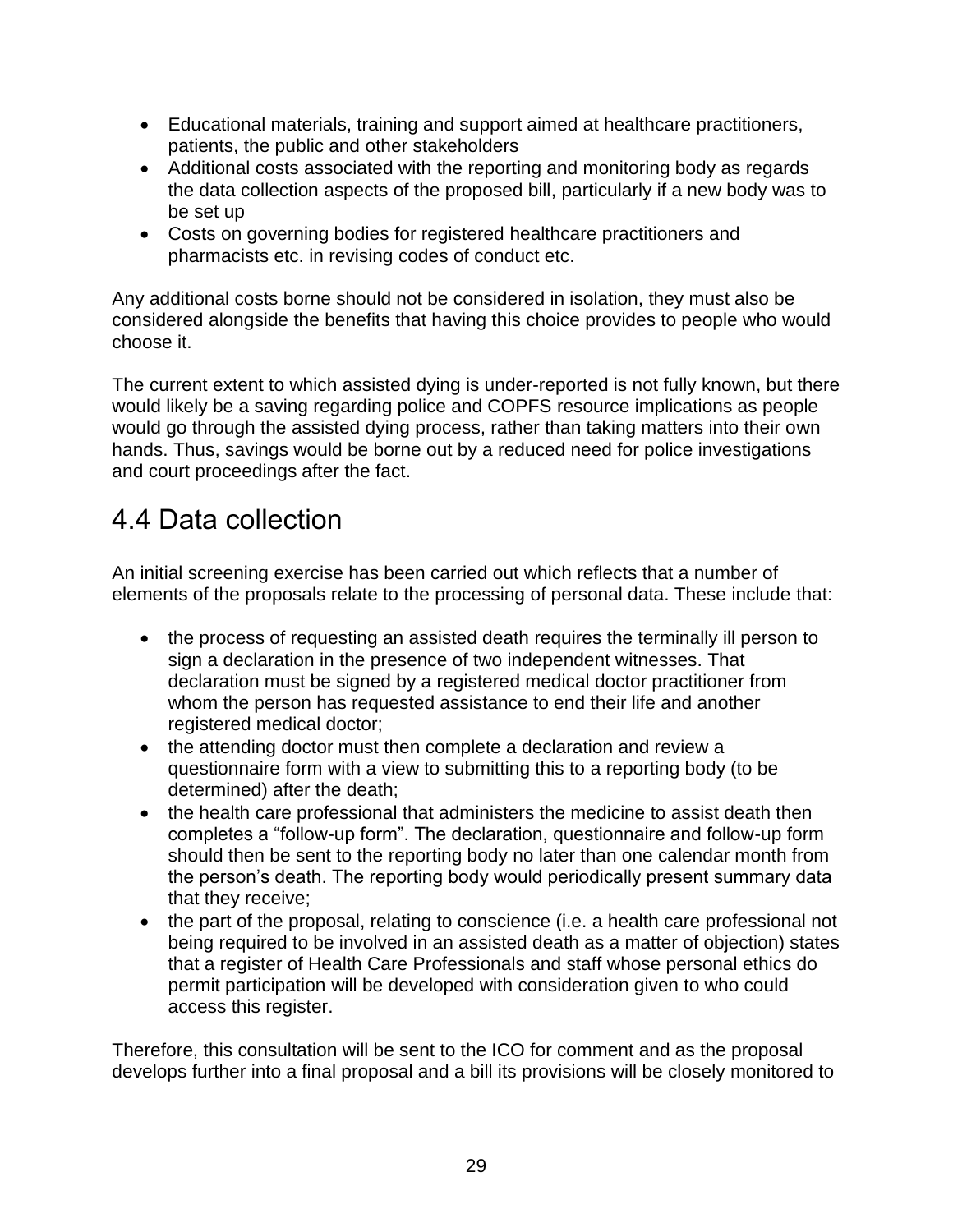- Educational materials, training and support aimed at healthcare practitioners, patients, the public and other stakeholders
- Additional costs associated with the reporting and monitoring body as regards the data collection aspects of the proposed bill, particularly if a new body was to be set up
- Costs on governing bodies for registered healthcare practitioners and pharmacists etc. in revising codes of conduct etc.

Any additional costs borne should not be considered in isolation, they must also be considered alongside the benefits that having this choice provides to people who would choose it.

The current extent to which assisted dying is under-reported is not fully known, but there would likely be a saving regarding police and COPFS resource implications as people would go through the assisted dying process, rather than taking matters into their own hands. Thus, savings would be borne out by a reduced need for police investigations and court proceedings after the fact.

## 4.4 Data collection

An initial screening exercise has been carried out which reflects that a number of elements of the proposals relate to the processing of personal data. These include that:

- the process of requesting an assisted death requires the terminally ill person to sign a declaration in the presence of two independent witnesses. That declaration must be signed by a registered medical doctor practitioner from whom the person has requested assistance to end their life and another registered medical doctor;
- the attending doctor must then complete a declaration and review a questionnaire form with a view to submitting this to a reporting body (to be determined) after the death;
- the health care professional that administers the medicine to assist death then completes a "follow-up form". The declaration, questionnaire and follow-up form should then be sent to the reporting body no later than one calendar month from the person's death. The reporting body would periodically present summary data that they receive;
- the part of the proposal, relating to conscience (i.e. a health care professional not being required to be involved in an assisted death as a matter of objection) states that a register of Health Care Professionals and staff whose personal ethics do permit participation will be developed with consideration given to who could access this register.

Therefore, this consultation will be sent to the ICO for comment and as the proposal develops further into a final proposal and a bill its provisions will be closely monitored to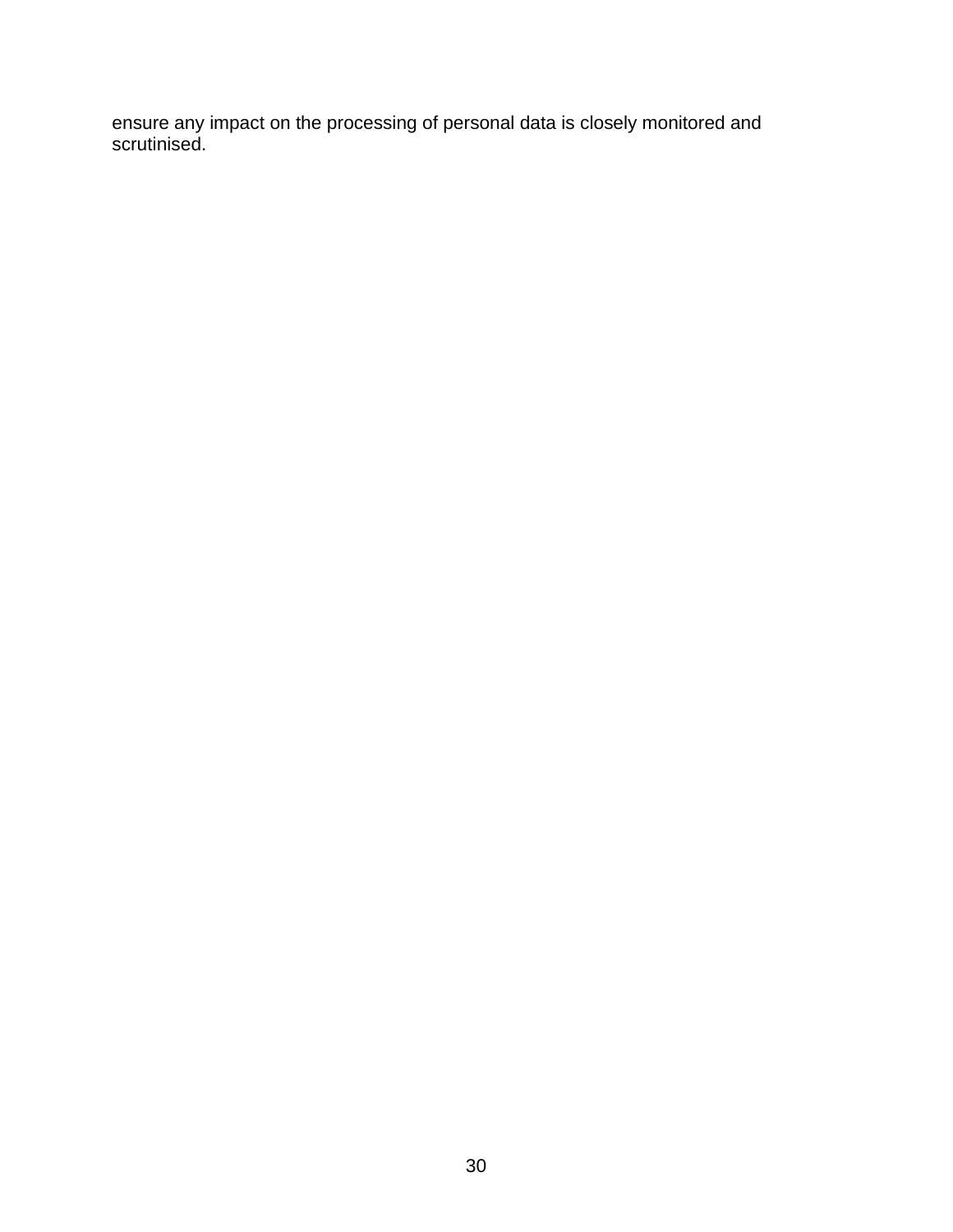ensure any impact on the processing of personal data is closely monitored and scrutinised.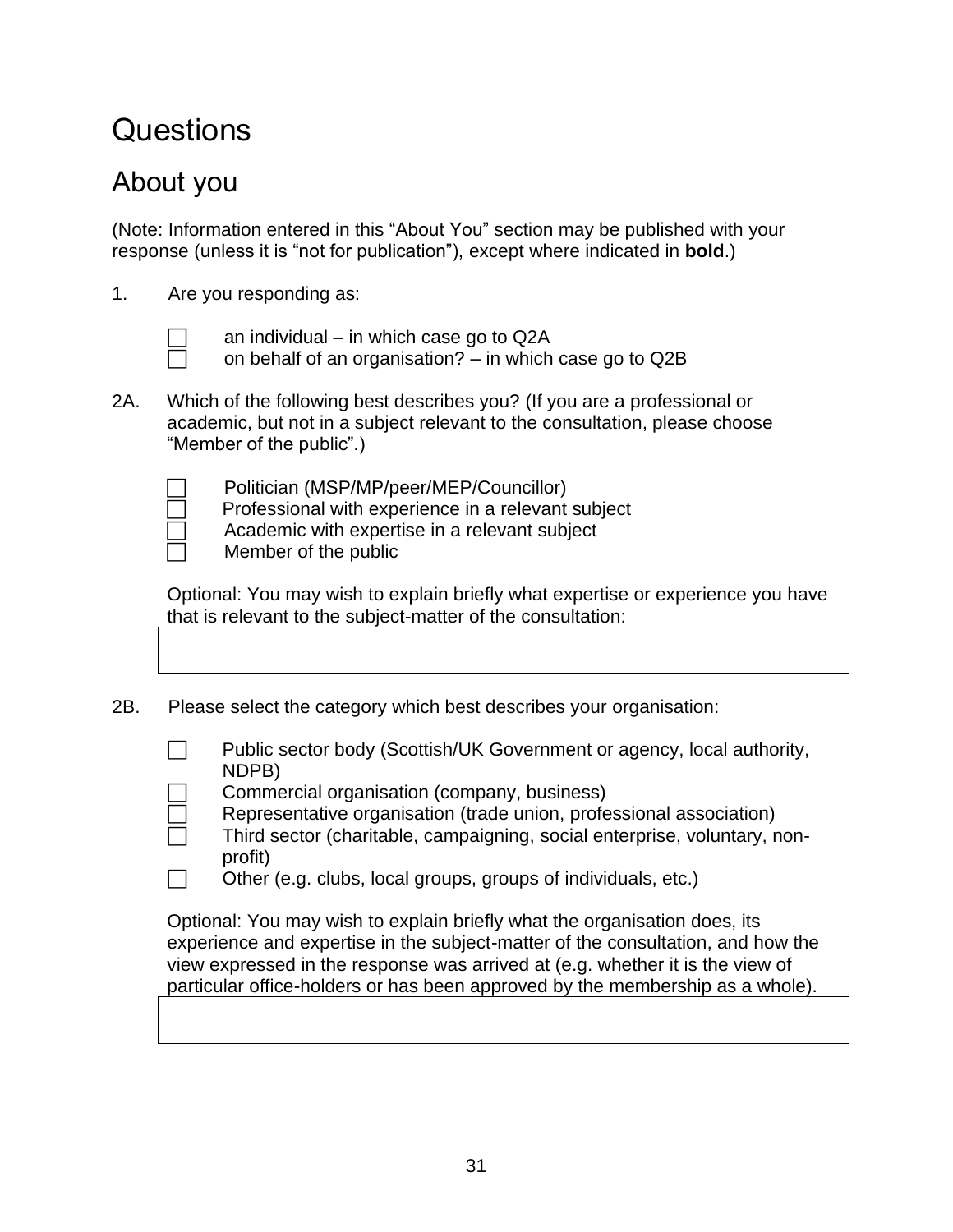# **Questions**

## About you

(Note: Information entered in this "About You" section may be published with your response (unless it is "not for publication"), except where indicated in **bold**.)

- 1. Are you responding as:
	-

an individual – in which case go to Q2A

on behalf of an organisation? – in which case go to Q2B

2A. Which of the following best describes you? (If you are a professional or academic, but not in a subject relevant to the consultation, please choose "Member of the public".)

Politician (MSP/MP/peer/MEP/Councillor)

Professional with experience in a relevant subject

Academic with expertise in a relevant subject

Member of the public

Optional: You may wish to explain briefly what expertise or experience you have that is relevant to the subject-matter of the consultation:

- 2B. Please select the category which best describes your organisation:
	- $\Box$  Public sector body (Scottish/UK Government or agency, local authority, NDPB)
	- Commercial organisation (company, business)
	- Representative organisation (trade union, professional association)
	- Third sector (charitable, campaigning, social enterprise, voluntary, nonprofit)
	- Other (e.g. clubs, local groups, groups of individuals, etc.)

Optional: You may wish to explain briefly what the organisation does, its experience and expertise in the subject-matter of the consultation, and how the view expressed in the response was arrived at (e.g. whether it is the view of particular office-holders or has been approved by the membership as a whole).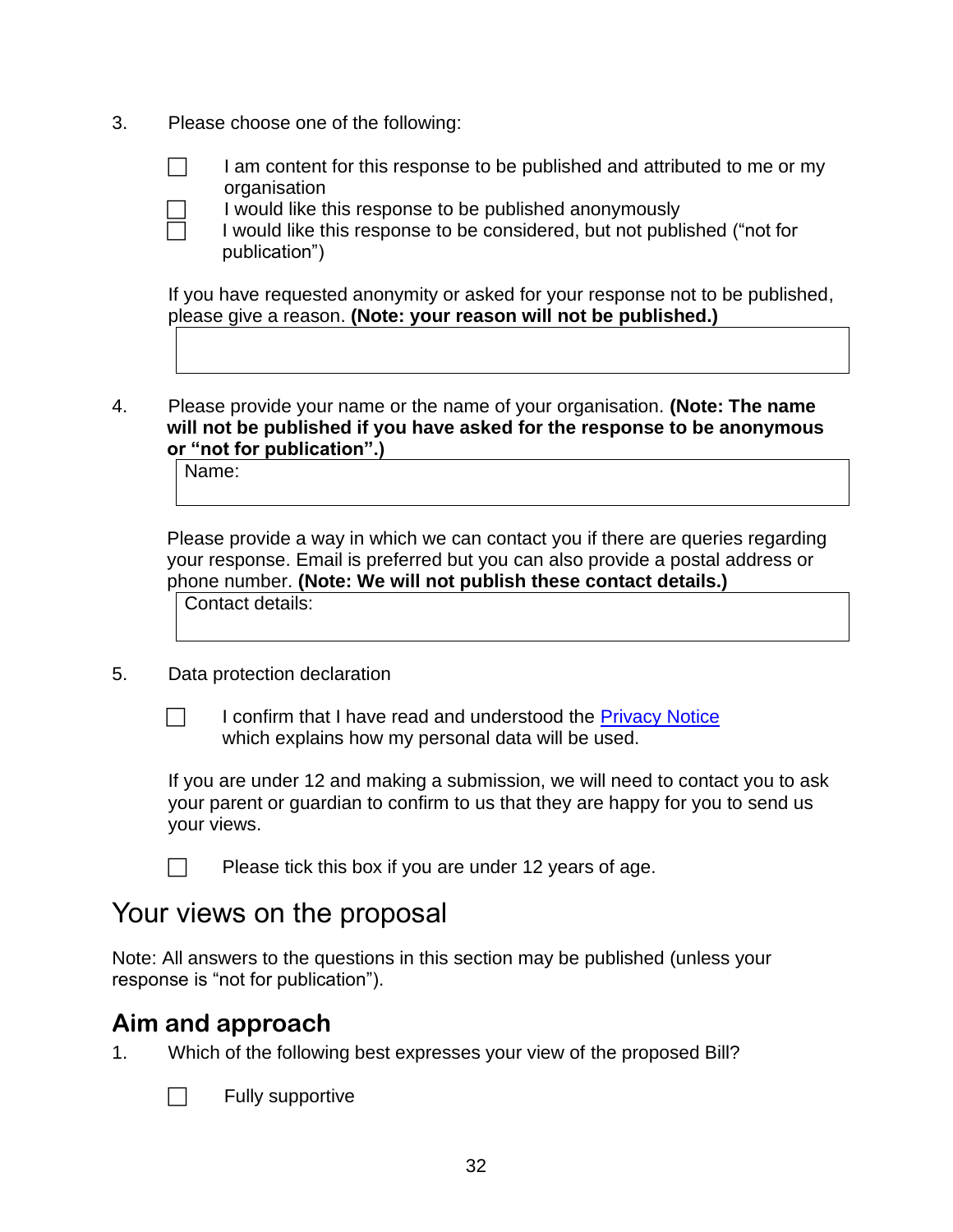3. Please choose one of the following:



 $\Box$  I am content for this response to be published and attributed to me or my organisation



 I would like this response to be published anonymously I would like this response to be considered, but not published ("not for publication")

If you have requested anonymity or asked for your response not to be published, please give a reason. **(Note: your reason will not be published.)**

4. Please provide your name or the name of your organisation. **(Note: The name will not be published if you have asked for the response to be anonymous or "not for publication".)** 

Name:

Please provide a way in which we can contact you if there are queries regarding your response. Email is preferred but you can also provide a postal address or phone number. **(Note: We will not publish these contact details.)**

Contact details:

#### 5. Data protection declaration

 $\Box$  I confirm that I have read and understood the [Privacy Notice](https://www.parliament.scot/about/information-rights/data-protection/privacy-notices/ngbu-members-bill-consultations) which explains how my personal data will be used.

If you are under 12 and making a submission, we will need to contact you to ask your parent or guardian to confirm to us that they are happy for you to send us your views.

Please tick this box if you are under 12 years of age.

#### Your views on the proposal

Note: All answers to the questions in this section may be published (unless your response is "not for publication").

#### **Aim and approach**

1. Which of the following best expresses your view of the proposed Bill?



 $\Box$  Fully supportive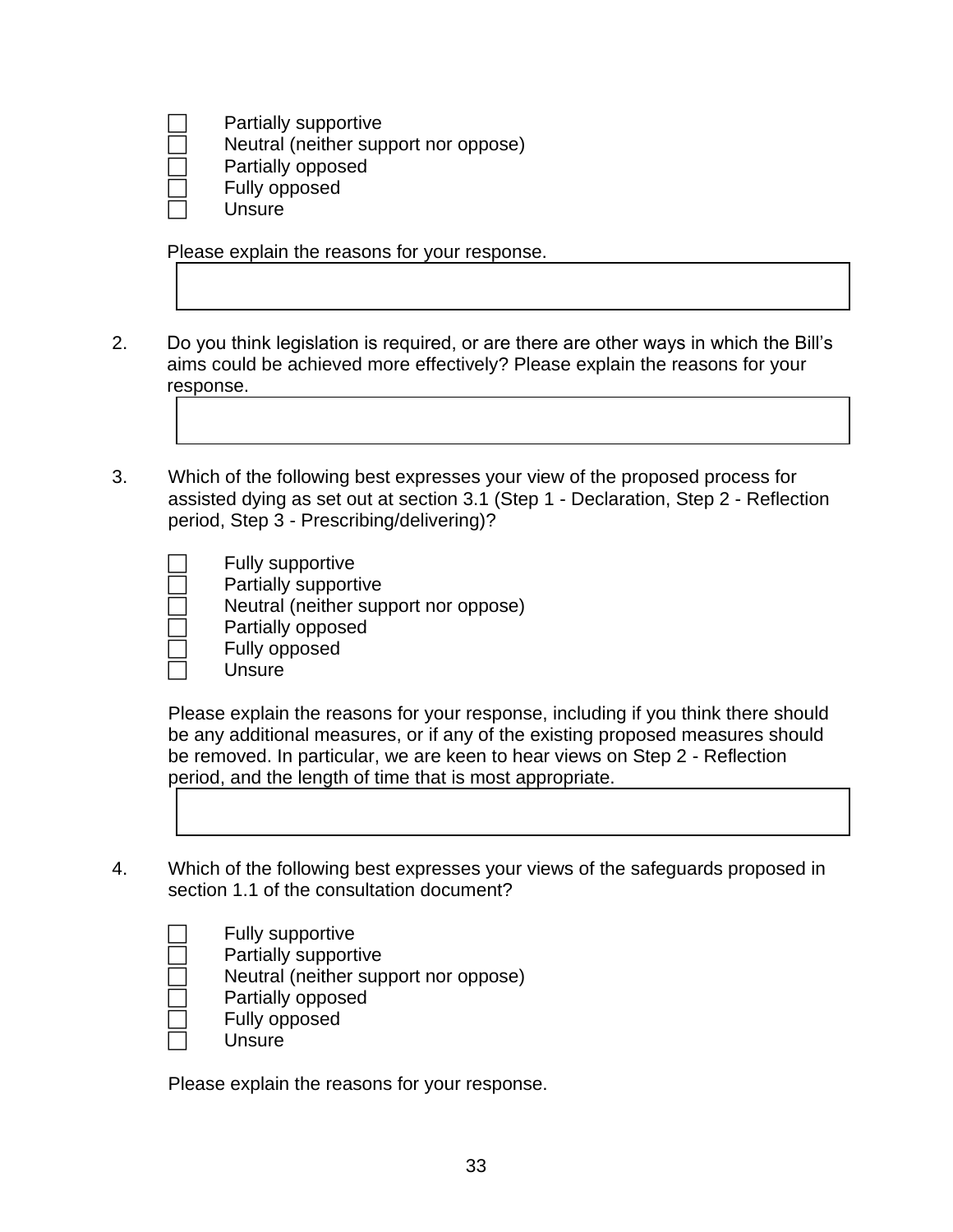Partially supportive

Neutral (neither support nor oppose)

Partially opposed

Fully opposed

**Unsure** 

Please explain the reasons for your response.

- 2. Do you think legislation is required, or are there are other ways in which the Bill's aims could be achieved more effectively? Please explain the reasons for your response.
- 3. Which of the following best expresses your view of the proposed process for assisted dying as set out at section 3.1 (Step 1 - Declaration, Step 2 - Reflection period, Step 3 - Prescribing/delivering)?

|  | Fully supportive |
|--|------------------|
|  |                  |

- Partially supportive
- Neutral (neither support nor oppose)
- Partially opposed
- Fully opposed
- **Unsure**

Please explain the reasons for your response, including if you think there should be any additional measures, or if any of the existing proposed measures should be removed. In particular, we are keen to hear views on Step 2 - Reflection period, and the length of time that is most appropriate.



- Fully supportive Partially supportive Neutral (neither support nor oppose) Partially opposed Fully opposed
	- **Unsure**

Please explain the reasons for your response.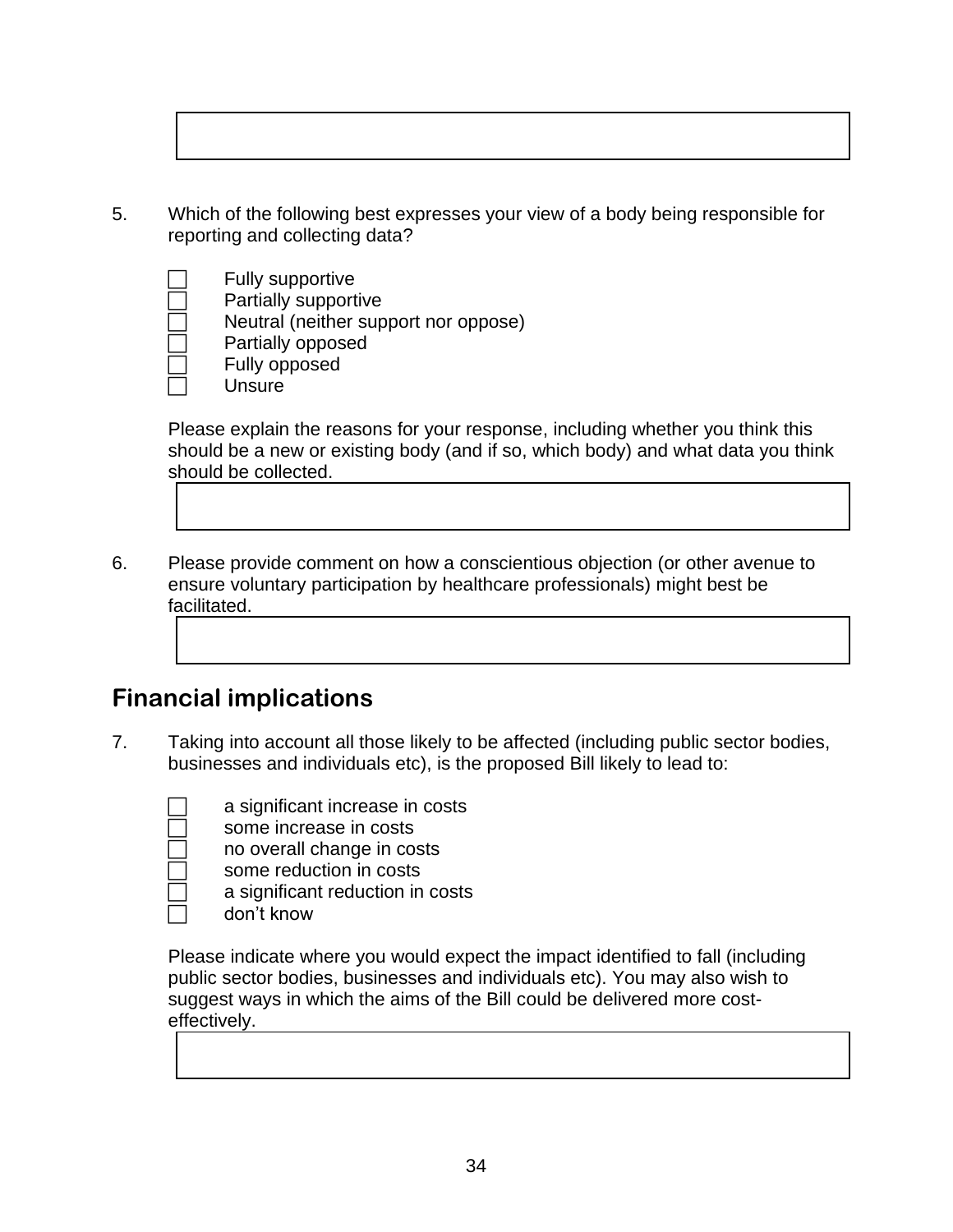5. Which of the following best expresses your view of a body being responsible for reporting and collecting data?



Please explain the reasons for your response, including whether you think this should be a new or existing body (and if so, which body) and what data you think should be collected.

6. Please provide comment on how a conscientious objection (or other avenue to ensure voluntary participation by healthcare professionals) might best be facilitated.

#### **Financial implications**

7. Taking into account all those likely to be affected (including public sector bodies, businesses and individuals etc), is the proposed Bill likely to lead to:

a significant increase in costs

some increase in costs

no overall change in costs

 some reduction in costs a significant reduction in costs

 $\Box$  don't know

Please indicate where you would expect the impact identified to fall (including public sector bodies, businesses and individuals etc). You may also wish to suggest ways in which the aims of the Bill could be delivered more costeffectively.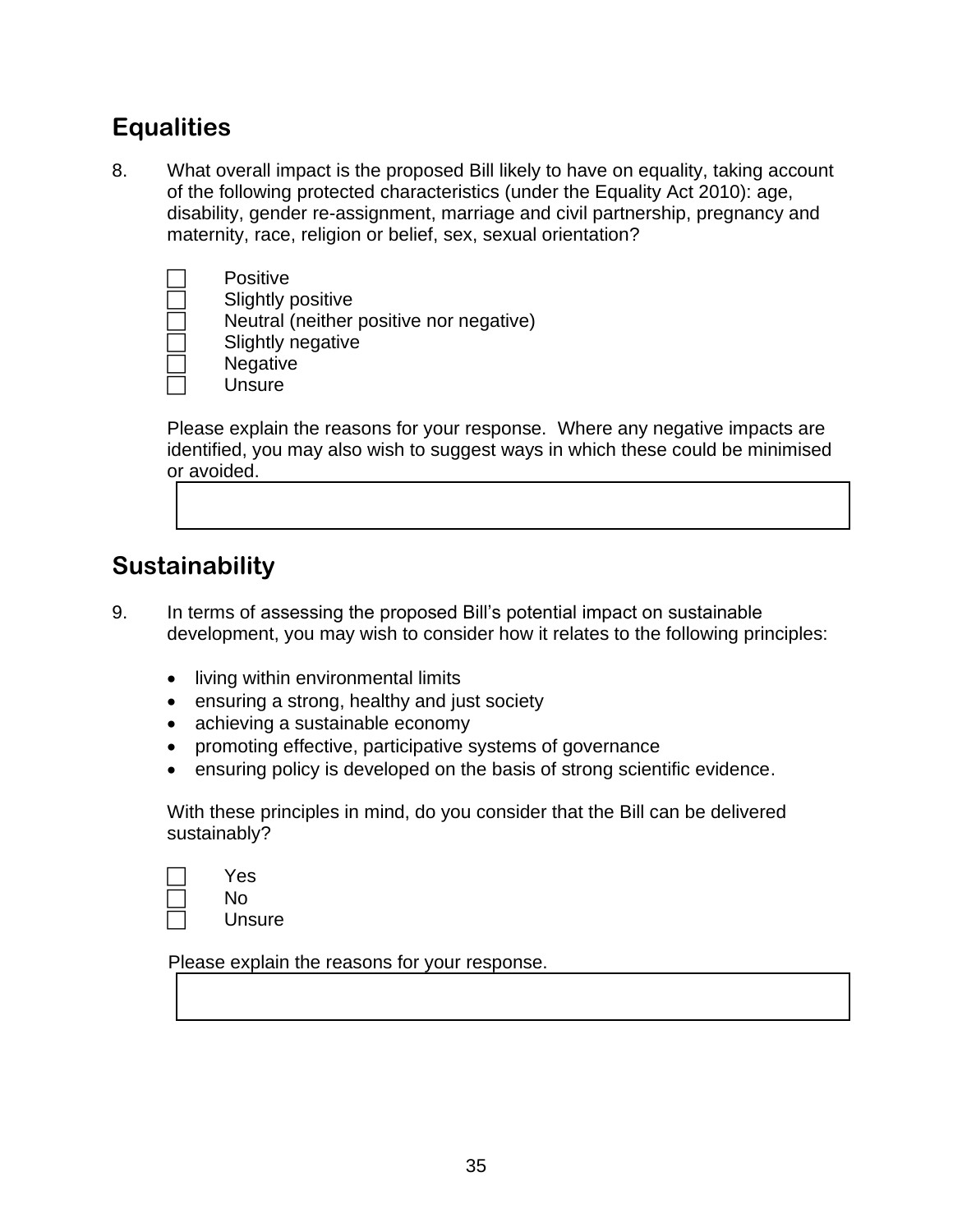#### **Equalities**

8. What overall impact is the proposed Bill likely to have on equality, taking account of the following protected characteristics (under the Equality Act 2010): age, disability, gender re-assignment, marriage and civil partnership, pregnancy and maternity, race, religion or belief, sex, sexual orientation?



**Positive** 

Slightly positive

Neutral (neither positive nor negative)

Slightly negative

**Negative** 

**Unsure** 

Please explain the reasons for your response. Where any negative impacts are identified, you may also wish to suggest ways in which these could be minimised or avoided.

#### **Sustainability**

- 9. In terms of assessing the proposed Bill's potential impact on sustainable development, you may wish to consider how it relates to the following principles:
	- living within environmental limits
	- ensuring a strong, healthy and just society
	- achieving a sustainable economy
	- promoting effective, participative systems of governance
	- ensuring policy is developed on the basis of strong scientific evidence.

With these principles in mind, do you consider that the Bill can be delivered sustainably?

| Yes  |
|------|
| No   |
| امطا |

Unsure

Please explain the reasons for your response.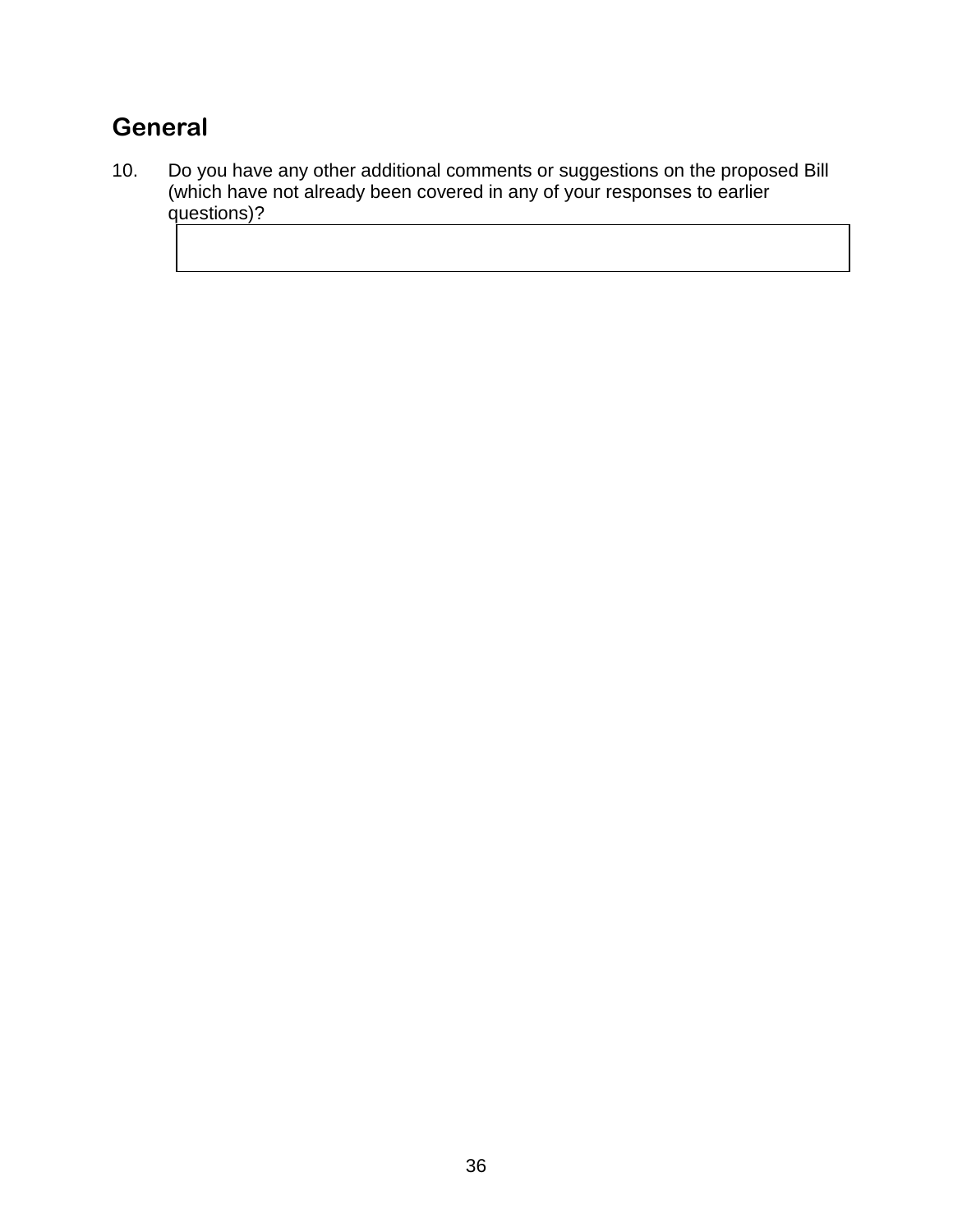## **General**

10. Do you have any other additional comments or suggestions on the proposed Bill (which have not already been covered in any of your responses to earlier questions)?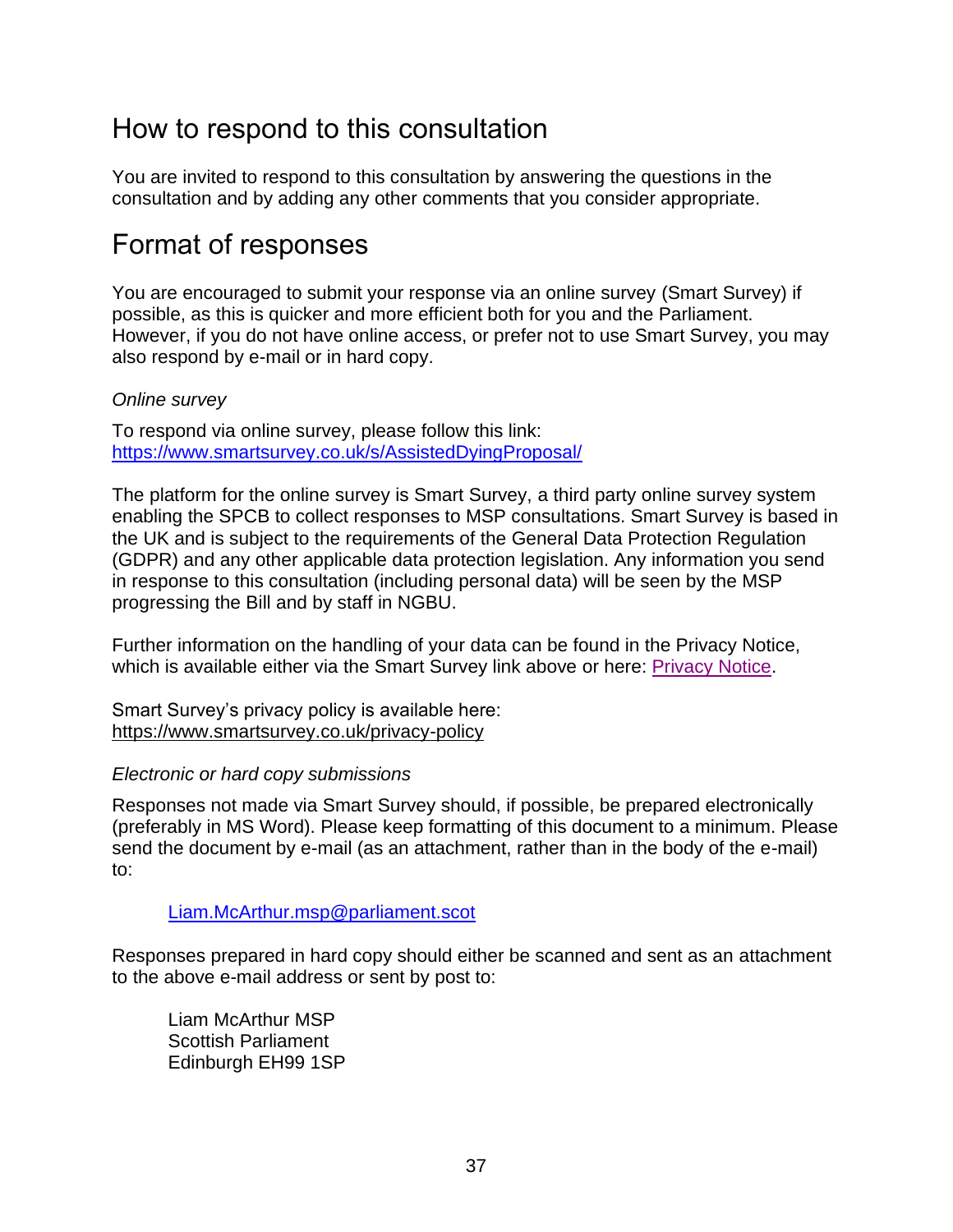### How to respond to this consultation

You are invited to respond to this consultation by answering the questions in the consultation and by adding any other comments that you consider appropriate.

#### Format of responses

You are encouraged to submit your response via an online survey (Smart Survey) if possible, as this is quicker and more efficient both for you and the Parliament. However, if you do not have online access, or prefer not to use Smart Survey, you may also respond by e-mail or in hard copy.

#### *Online survey*

To respond via online survey, please follow this link: <https://www.smartsurvey.co.uk/s/AssistedDyingProposal/>

The platform for the online survey is Smart Survey, a third party online survey system enabling the SPCB to collect responses to MSP consultations. Smart Survey is based in the UK and is subject to the requirements of the General Data Protection Regulation (GDPR) and any other applicable data protection legislation. Any information you send in response to this consultation (including personal data) will be seen by the MSP progressing the Bill and by staff in NGBU.

Further information on the handling of your data can be found in the Privacy Notice, which is available either via the Smart Survey link above or here: [Privacy Notice.](https://www.parliament.scot/about/information-rights/data-protection/privacy-notices/ngbu-members-bill-consultations)

Smart Survey's privacy policy is available here: <https://www.smartsurvey.co.uk/privacy-policy>

#### *Electronic or hard copy submissions*

Responses not made via Smart Survey should, if possible, be prepared electronically (preferably in MS Word). Please keep formatting of this document to a minimum. Please send the document by e-mail (as an attachment, rather than in the body of the e-mail) to:

#### [Liam.McArthur.msp@parliament.scot](mailto:Liam.McArthur.msp@parliament.scot)

Responses prepared in hard copy should either be scanned and sent as an attachment to the above e-mail address or sent by post to:

Liam McArthur MSP Scottish Parliament Edinburgh EH99 1SP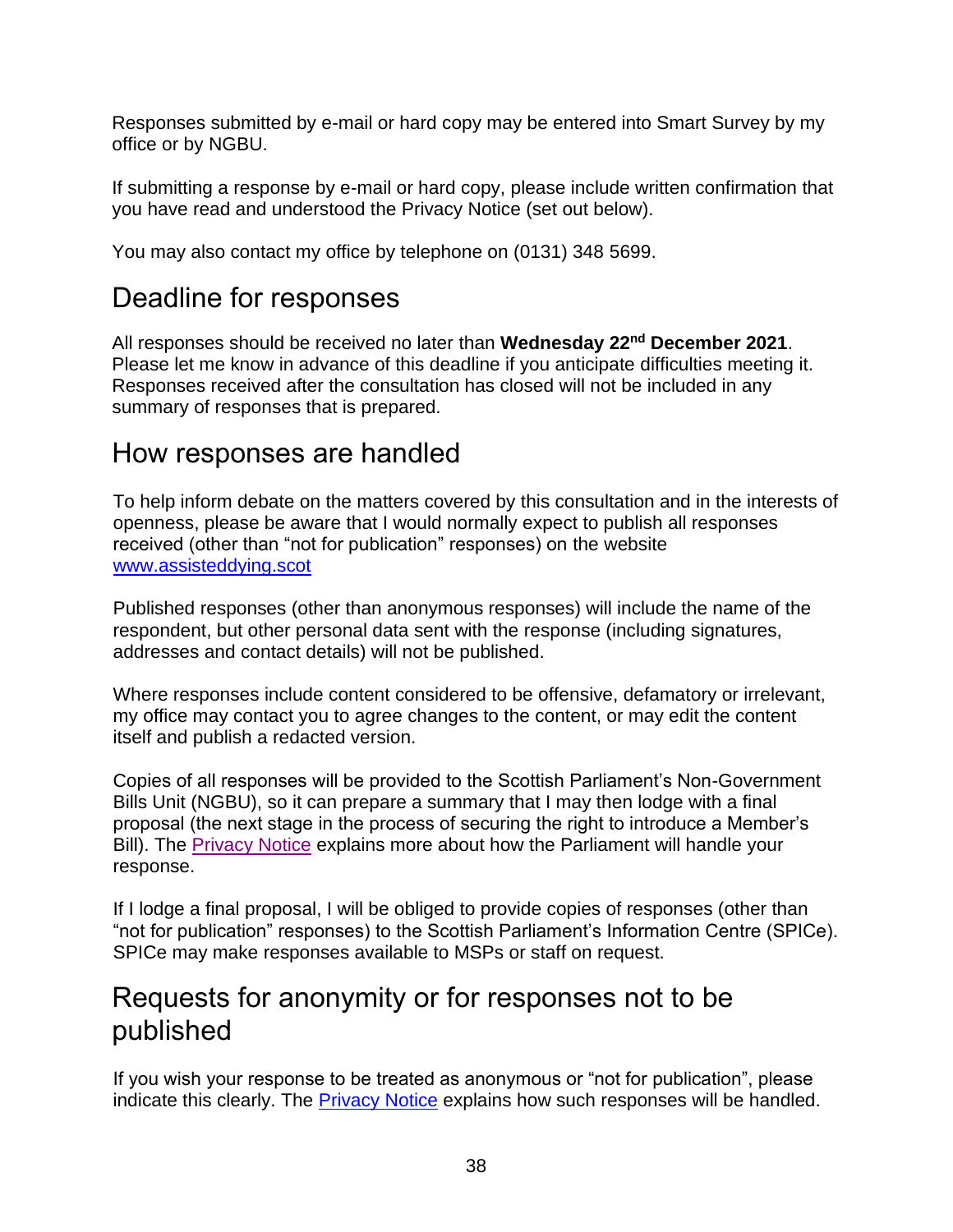Responses submitted by e-mail or hard copy may be entered into Smart Survey by my office or by NGBU.

If submitting a response by e-mail or hard copy, please include written confirmation that you have read and understood the Privacy Notice (set out below).

You may also contact my office by telephone on (0131) 348 5699.

## Deadline for responses

All responses should be received no later than **Wednesday 22nd December 2021**. Please let me know in advance of this deadline if you anticipate difficulties meeting it. Responses received after the consultation has closed will not be included in any summary of responses that is prepared.

### How responses are handled

To help inform debate on the matters covered by this consultation and in the interests of openness, please be aware that I would normally expect to publish all responses received (other than "not for publication" responses) on the website [www.assisteddying.scot](http://www.assisteddying.scot/)

Published responses (other than anonymous responses) will include the name of the respondent, but other personal data sent with the response (including signatures, addresses and contact details) will not be published.

Where responses include content considered to be offensive, defamatory or irrelevant, my office may contact you to agree changes to the content, or may edit the content itself and publish a redacted version.

Copies of all responses will be provided to the Scottish Parliament's Non-Government Bills Unit (NGBU), so it can prepare a summary that I may then lodge with a final proposal (the next stage in the process of securing the right to introduce a Member's Bill). The [Privacy Notice](https://www.parliament.scot/about/information-rights/data-protection/privacy-notices/ngbu-members-bill-consultations) explains more about how the Parliament will handle your response.

If I lodge a final proposal, I will be obliged to provide copies of responses (other than "not for publication" responses) to the Scottish Parliament's Information Centre (SPICe). SPICe may make responses available to MSPs or staff on request.

## Requests for anonymity or for responses not to be published

If you wish your response to be treated as anonymous or "not for publication", please indicate this clearly. The [Privacy Notice](https://www.parliament.scot/about/information-rights/data-protection/privacy-notices/ngbu-members-bill-consultations) explains how such responses will be handled.